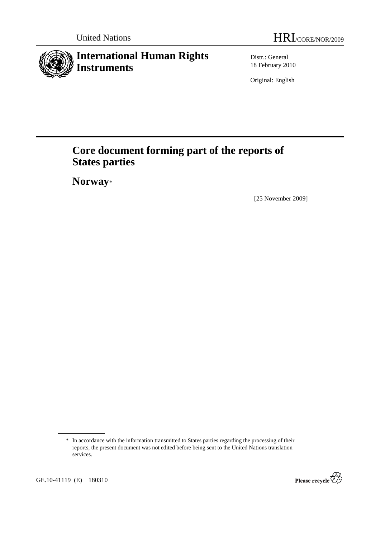# **International Human Rights Instruments**

Distr.: General 18 February 2010

Original: English

# **Core document forming part of the reports of States parties**

 **Norway**\*

[25 November 2009]



 <sup>\*</sup> In accordance with the information transmitted to States parties regarding the processing of their reports, the present document was not edited before being sent to the United Nations translation services.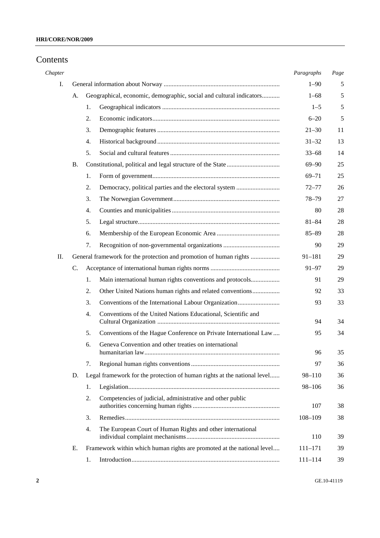## Contents

| Chapter |           |    |                                                                          | Paragraphs  | Page |
|---------|-----------|----|--------------------------------------------------------------------------|-------------|------|
| I.      |           |    |                                                                          | $1 - 90$    | 5    |
|         | A.        |    | Geographical, economic, demographic, social and cultural indicators      | $1 - 68$    | 5    |
|         |           | 1. |                                                                          | $1 - 5$     | 5    |
|         |           | 2. |                                                                          | $6 - 20$    | 5    |
|         |           | 3. |                                                                          | $21 - 30$   | 11   |
|         |           | 4. |                                                                          | $31 - 32$   | 13   |
|         |           | 5. |                                                                          | $33 - 68$   | 14   |
|         | <b>B.</b> |    |                                                                          | $69 - 90$   | 25   |
|         |           | 1. |                                                                          | $69 - 71$   | 25   |
|         |           | 2. | Democracy, political parties and the electoral system                    | $72 - 77$   | 26   |
|         |           | 3. |                                                                          | $78 - 79$   | 27   |
|         |           | 4. |                                                                          | 80          | 28   |
|         |           | 5. |                                                                          | $81 - 84$   | 28   |
|         |           | 6. |                                                                          | $85 - 89$   | 28   |
|         |           | 7. |                                                                          | 90          | 29   |
| П.      |           |    | General framework for the protection and promotion of human rights       | $91 - 181$  | 29   |
|         | C.        |    |                                                                          | $91 - 97$   | 29   |
|         |           | 1. | Main international human rights conventions and protocols                | 91          | 29   |
|         |           | 2. | Other United Nations human rights and related conventions                | 92          | 33   |
|         |           | 3. |                                                                          | 93          | 33   |
|         |           | 4. | Conventions of the United Nations Educational, Scientific and            | 94          | 34   |
|         |           | 5. | Conventions of the Hague Conference on Private International Law         | 95          | 34   |
|         |           | 6. | Geneva Convention and other treaties on international                    |             |      |
|         |           |    |                                                                          | 96          | 35   |
|         |           | 7. |                                                                          | 97          | 36   |
|         | D.        |    | Legal framework for the protection of human rights at the national level | 98-110      | 36   |
|         |           | 1. |                                                                          | 98-106      | 36   |
|         |           | 2. | Competencies of judicial, administrative and other public                | 107         | 38   |
|         |           | 3. |                                                                          | $108 - 109$ | 38   |
|         |           | 4. | The European Court of Human Rights and other international               | 110         | 39   |
|         | Е.        |    | Framework within which human rights are promoted at the national level   | $111 - 171$ | 39   |
|         |           | 1. |                                                                          | $111 - 114$ | 39   |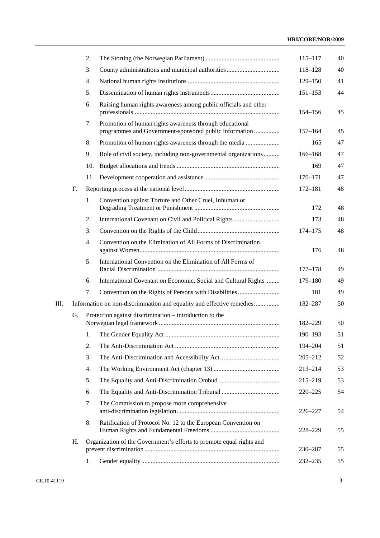## **HRI/CORE/NOR/2009**

|    |    | 2.  |                                                                                                                   | $115 - 117$ | 40 |
|----|----|-----|-------------------------------------------------------------------------------------------------------------------|-------------|----|
|    |    | 3.  |                                                                                                                   | 118-128     | 40 |
|    |    | 4.  |                                                                                                                   | $129 - 150$ | 41 |
|    |    | 5.  |                                                                                                                   | $151 - 153$ | 44 |
|    |    | 6.  | Raising human rights awareness among public officials and other                                                   | 154–156     | 45 |
|    |    | 7.  | Promotion of human rights awareness through educational<br>programmes and Government-sponsored public information | $157 - 164$ | 45 |
|    |    | 8.  | Promotion of human rights awareness through the media                                                             | 165         | 47 |
|    |    | 9.  | Role of civil society, including non-governmental organizations                                                   | 166-168     | 47 |
|    |    | 10. |                                                                                                                   | 169         | 47 |
|    |    | 11. |                                                                                                                   | 170-171     | 47 |
|    | F. |     |                                                                                                                   | $172 - 181$ | 48 |
|    |    | 1.  | Convention against Torture and Other Cruel, Inhuman or                                                            | 172         | 48 |
|    |    | 2.  |                                                                                                                   | 173         | 48 |
|    |    | 3.  |                                                                                                                   | 174-175     | 48 |
|    |    | 4.  | Convention on the Elimination of All Forms of Discrimination                                                      | 176         | 48 |
|    |    | 5.  | International Convention on the Elimination of All Forms of                                                       | $177 - 178$ | 49 |
|    |    | 6.  | International Covenant on Economic, Social and Cultural Rights                                                    | 179-180     | 49 |
|    |    | 7.  |                                                                                                                   | 181         | 49 |
| Ш. |    |     | Information on non-discrimination and equality and effective remedies                                             | 182-287     | 50 |
|    | G. |     | Protection against discrimination – introduction to the                                                           | 182-229     | 50 |
|    |    | 1.  |                                                                                                                   | 190-193     | 51 |
|    |    | 2.  |                                                                                                                   | 194-204     | 51 |
|    |    | 3.  |                                                                                                                   | $205 - 212$ | 52 |
|    |    | 4.  |                                                                                                                   | $213 - 214$ | 53 |
|    |    | 5.  |                                                                                                                   | 215-219     | 53 |
|    |    | 6.  |                                                                                                                   | 220-225     | 54 |
|    |    | 7.  | The Commission to propose more comprehensive                                                                      | 226-227     | 54 |
|    |    | 8.  | Ratification of Protocol No. 12 to the European Convention on                                                     | 228-229     | 55 |
|    | Η. |     | Organization of the Government's efforts to promote equal rights and                                              | 230-287     | 55 |
|    |    | 1.  |                                                                                                                   | 232-235     | 55 |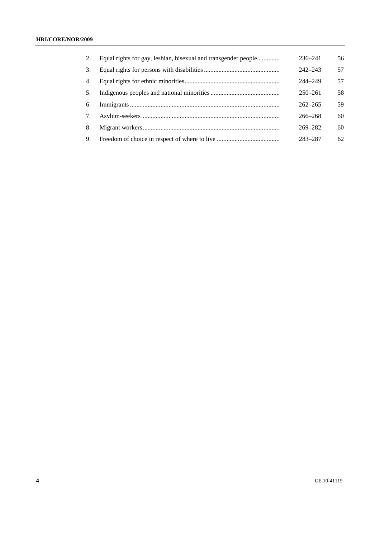| 2. | Equal rights for gay, lesbian, bisexual and transgender people | 236–241     | 56 |
|----|----------------------------------------------------------------|-------------|----|
| 3. |                                                                | $242 - 243$ | 57 |
| 4. |                                                                | 244-249     | 57 |
| 5. |                                                                | $250 - 261$ | 58 |
| 6. |                                                                | $262 - 265$ | 59 |
| 7. |                                                                | $266 - 268$ | 60 |
| 8. |                                                                | $269 - 282$ | 60 |
| 9. |                                                                | 283-287     | 62 |
|    |                                                                |             |    |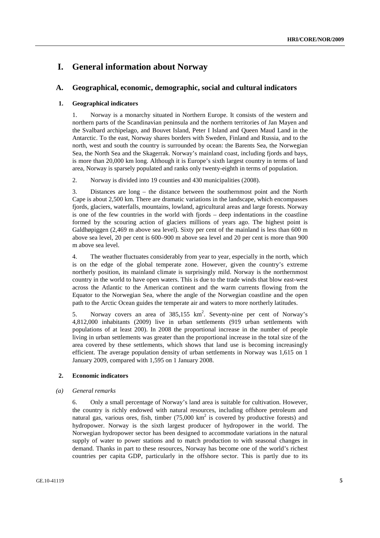## **I. General information about Norway**

## **A. Geographical, economic, demographic, social and cultural indicators**

#### **1. Geographical indicators**

1. Norway is a monarchy situated in Northern Europe. It consists of the western and northern parts of the Scandinavian peninsula and the northern territories of Jan Mayen and the Svalbard archipelago, and Bouvet Island, Peter I Island and Queen Maud Land in the Antarctic. To the east, Norway shares borders with Sweden, Finland and Russia, and to the north, west and south the country is surrounded by ocean: the Barents Sea, the Norwegian Sea, the North Sea and the Skagerrak. Norway's mainland coast, including fjords and bays, is more than 20,000 km long. Although it is Europe's sixth largest country in terms of land area, Norway is sparsely populated and ranks only twenty-eighth in terms of population.

2. Norway is divided into 19 counties and 430 municipalities (2008).

3. Distances are long – the distance between the southernmost point and the North Cape is about 2,500 km. There are dramatic variations in the landscape, which encompasses fjords, glaciers, waterfalls, mountains, lowland, agricultural areas and large forests. Norway is one of the few countries in the world with fjords – deep indentations in the coastline formed by the scouring action of glaciers millions of years ago. The highest point is Galdhøpiggen (2,469 m above sea level). Sixty per cent of the mainland is less than 600 m above sea level, 20 per cent is 600–900 m above sea level and 20 per cent is more than 900 m above sea level.

4. The weather fluctuates considerably from year to year, especially in the north, which is on the edge of the global temperate zone. However, given the country's extreme northerly position, its mainland climate is surprisingly mild. Norway is the northernmost country in the world to have open waters. This is due to the trade winds that blow east-west across the Atlantic to the American continent and the warm currents flowing from the Equator to the Norwegian Sea, where the angle of the Norwegian coastline and the open path to the Arctic Ocean guides the temperate air and waters to more northerly latitudes.

5. Norway covers an area of  $385,155$  km<sup>2</sup>. Seventy-nine per cent of Norway's 4,812,000 inhabitants (2009) live in urban settlements (919 urban settlements with populations of at least 200). In 2008 the proportional increase in the number of people living in urban settlements was greater than the proportional increase in the total size of the area covered by these settlements, which shows that land use is becoming increasingly efficient. The average population density of urban settlements in Norway was 1,615 on 1 January 2009, compared with 1,595 on 1 January 2008.

### **2. Economic indicators**

#### *(a) General remarks*

6. Only a small percentage of Norway's land area is suitable for cultivation. However, the country is richly endowed with natural resources, including offshore petroleum and natural gas, various ores, fish, timber  $(75,000 \text{ km}^2)$  is covered by productive forests) and hydropower. Norway is the sixth largest producer of hydropower in the world. The Norwegian hydropower sector has been designed to accommodate variations in the natural supply of water to power stations and to match production to with seasonal changes in demand. Thanks in part to these resources, Norway has become one of the world's richest countries per capita GDP, particularly in the offshore sector. This is partly due to its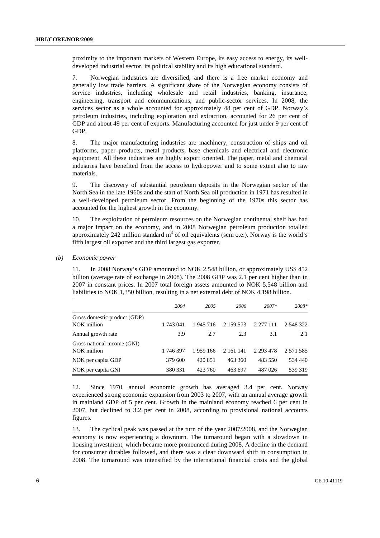proximity to the important markets of Western Europe, its easy access to energy, its welldeveloped industrial sector, its political stability and its high educational standard.

7. Norwegian industries are diversified, and there is a free market economy and generally low trade barriers. A significant share of the Norwegian economy consists of service industries, including wholesale and retail industries, banking, insurance, engineering, transport and communications, and public-sector services. In 2008, the services sector as a whole accounted for approximately 48 per cent of GDP. Norway's petroleum industries, including exploration and extraction, accounted for 26 per cent of GDP and about 49 per cent of exports. Manufacturing accounted for just under 9 per cent of GDP.

8. The major manufacturing industries are machinery, construction of ships and oil platforms, paper products, metal products, base chemicals and electrical and electronic equipment. All these industries are highly export oriented. The paper, metal and chemical industries have benefited from the access to hydropower and to some extent also to raw materials.

9. The discovery of substantial petroleum deposits in the Norwegian sector of the North Sea in the late 1960s and the start of North Sea oil production in 1971 has resulted in a well-developed petroleum sector. From the beginning of the 1970s this sector has accounted for the highest growth in the economy.

10. The exploitation of petroleum resources on the Norwegian continental shelf has had a major impact on the economy, and in 2008 Norwegian petroleum production totalled approximately 242 million standard  $m<sup>3</sup>$  of oil equivalents (scm o.e.). Norway is the world's fifth largest oil exporter and the third largest gas exporter.

#### *(b) Economic power*

11. In 2008 Norway's GDP amounted to NOK 2,548 billion, or approximately US\$ 452 billion (average rate of exchange in 2008). The 2008 GDP was 2.1 per cent higher than in 2007 in constant prices. In 2007 total foreign assets amounted to NOK 5,548 billion and liabilities to NOK 1,350 billion, resulting in a net external debt of NOK 4,198 billion.

|                                             | 2004      | 2005    | 2006      | $2007*$       | 2008*         |
|---------------------------------------------|-----------|---------|-----------|---------------|---------------|
| Gross domestic product (GDP)<br>NOK million | 1 743 041 | 1945716 | 2 159 573 | 2 277 111     | 2 548 322     |
| Annual growth rate                          | 3.9       | 2.7     | 2.3       | 3.1           | 2.1           |
| Gross national income (GNI)<br>NOK million  | 1 746 397 | 1959166 | 2 161 141 | 2 2 9 3 4 7 8 | 2 5 7 1 5 8 5 |
| NOK per capita GDP                          | 379 600   | 420 851 | 463 360   | 483 550       | 534 440       |
| NOK per capita GNI                          | 380 331   | 423 760 | 463 697   | 487 026       | 539 319       |

12. Since 1970, annual economic growth has averaged 3.4 per cent. Norway experienced strong economic expansion from 2003 to 2007, with an annual average growth in mainland GDP of 5 per cent. Growth in the mainland economy reached 6 per cent in 2007, but declined to 3.2 per cent in 2008, according to provisional national accounts figures.

13. The cyclical peak was passed at the turn of the year 2007/2008, and the Norwegian economy is now experiencing a downturn. The turnaround began with a slowdown in housing investment, which became more pronounced during 2008. A decline in the demand for consumer durables followed, and there was a clear downward shift in consumption in 2008. The turnaround was intensified by the international financial crisis and the global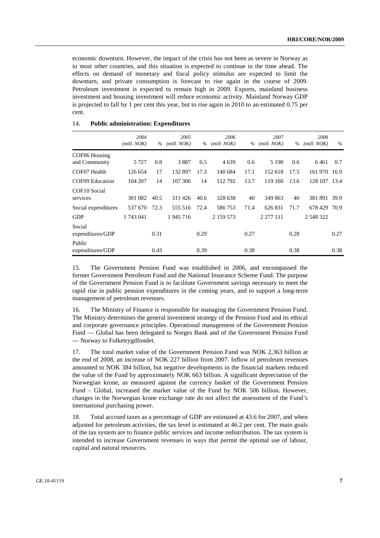economic downturn. However, the impact of the crisis has not been as severe in Norway as in most other countries, and this situation is expected to continue in the time ahead. The effects on demand of monetary and fiscal policy stimulus are expected to limit the downturn, and private consumption is forecast to rise again in the course of 2009. Petroleum investment is expected to remain high in 2009. Exports, mainland business investment and housing investment will reduce economic activity. Mainland Norway GDP is projected to fall by 1 per cent this year, but to rise again in 2010 to an estimated 0.75 per cent.

|                                | 2004        |      | 2005        |      | 2006        |      | 2007        |      | 2008         |      |
|--------------------------------|-------------|------|-------------|------|-------------|------|-------------|------|--------------|------|
|                                | (mill. NOK) | $\%$ | (mill. NOK) | $\%$ | (mill. NOK) | $\%$ | (mill. NOK) | $\%$ | (mill. NOK)  | $\%$ |
| COF06 Housing<br>and Community | 5 7 2 7     | 0.8  | 3887        | 0.5  | 4 6 3 9     | 0.6  | 5 1 9 0     | 0.6  | 6461         | 0.7  |
| COF07 Health                   | 126 654     | 17   | 132 897     | 17.3 | 140 684     | 17.1 | 152 618     | 17.5 | 161 970 16.9 |      |
| COF09 Education                | 104 207     | 14   | 107 306     | 14   | 112792      | 13.7 | 119 160     | 13.6 | 128 107 13.4 |      |
| COF10 Social<br>services       | 301 082     | 40.5 | 311426      | 40.6 | 328 638     | 40   | 349 863     | 40   | 381 891 39.9 |      |
| Social expenditures            | 537 670     | 72.3 | 555 516     | 72.4 | 586753      | 71.4 | 626 831     | 71.7 | 678 429      | 70.9 |
| <b>GDP</b>                     | 1 743 041   |      | 1945716     |      | 2 159 573   |      | 2 277 111   |      | 2 548 322    |      |
| Social<br>expenditures/GDP     |             | 0.31 |             | 0.29 |             | 0.27 |             | 0.28 |              | 0.27 |
| Public<br>expenditures/GDP     |             | 0.43 |             | 0.39 |             | 0.38 |             | 0.38 |              | 0.38 |

#### 14. **Public administration: Expenditures**

15. The Government Pension Fund was established in 2006, and encompassed the former Government Petroleum Fund and the National Insurance Scheme Fund. The purpose of the Government Pension Fund is to facilitate Government savings necessary to meet the rapid rise in public pension expenditures in the coming years, and to support a long-term management of petroleum revenues.

16. The Ministry of Finance is responsible for managing the Government Pension Fund. The Ministry determines the general investment strategy of the Pension Fund and its ethical and corporate governance principles. Operational management of the Government Pension Fund — Global has been delegated to Norges Bank and of the Government Pension Fund — Norway to Folketrygdfondet.

17. The total market value of the Government Pension Fund was NOK 2,363 billion at the end of 2008, an increase of NOK 227 billion from 2007. Inflow of petroleum revenues amounted to NOK 384 billion, but negative developments in the financial markets reduced the value of the Fund by approximately NOK 663 billion. A significant depreciation of the Norwegian krone, as measured against the currency basket of the Government Pension Fund – Global, increased the market value of the Fund by NOK 506 billion. However, changes in the Norwegian krone exchange rate do not affect the assessment of the Fund's international purchasing power.

18. Total accrued taxes as a percentage of GDP are estimated at 43.6 for 2007, and when adjusted for petroleum activities, the tax level is estimated at 46.2 per cent. The main goals of the tax system are to finance public services and income redistribution. The tax system is intended to increase Government revenues in ways that permit the optimal use of labour, capital and natural resources.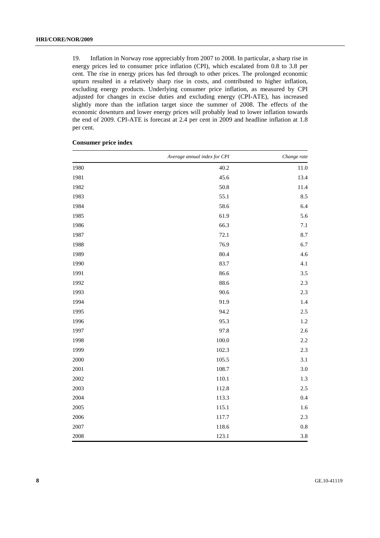19. Inflation in Norway rose appreciably from 2007 to 2008. In particular, a sharp rise in energy prices led to consumer price inflation (CPI), which escalated from 0.8 to 3.8 per cent. The rise in energy prices has fed through to other prices. The prolonged economic upturn resulted in a relatively sharp rise in costs, and contributed to higher inflation, excluding energy products. Underlying consumer price inflation, as measured by CPI adjusted for changes in excise duties and excluding energy (CPI-ATE), has increased slightly more than the inflation target since the summer of 2008. The effects of the economic downturn and lower energy prices will probably lead to lower inflation towards the end of 2009. CPI-ATE is forecast at 2.4 per cent in 2009 and headline inflation at 1.8 per cent.

|          | Average annual index for CPI | Change rate |
|----------|------------------------------|-------------|
| 1980     | 40.2                         | 11.0        |
| 1981     | 45.6                         | 13.4        |
| 1982     | 50.8                         | 11.4        |
| 1983     | 55.1                         | 8.5         |
| 1984     | 58.6                         | 6.4         |
| 1985     | 61.9                         | 5.6         |
| 1986     | 66.3                         | 7.1         |
| 1987     | 72.1                         | 8.7         |
| 1988     | 76.9                         | 6.7         |
| 1989     | 80.4                         | 4.6         |
| 1990     | 83.7                         | 4.1         |
| 1991     | 86.6                         | 3.5         |
| 1992     | 88.6                         | 2.3         |
| 1993     | 90.6                         | $2.3\,$     |
| 1994     | 91.9                         | 1.4         |
| 1995     | 94.2                         | $2.5\,$     |
| 1996     | 95.3                         | 1.2         |
| 1997     | 97.8                         | 2.6         |
| 1998     | 100.0                        | $2.2\,$     |
| 1999     | 102.3                        | 2.3         |
| 2000     | 105.5                        | 3.1         |
| 2001     | 108.7                        | $3.0\,$     |
| 2002     | 110.1                        | $1.3\,$     |
| 2003     | 112.8                        | $2.5\,$     |
| 2004     | 113.3                        | $0.4\,$     |
| 2005     | 115.1                        | 1.6         |
| $2006\,$ | 117.7                        | 2.3         |
| 2007     | 118.6                        | $0.8\,$     |
| 2008     | 123.1                        | 3.8         |

#### **Consumer price index**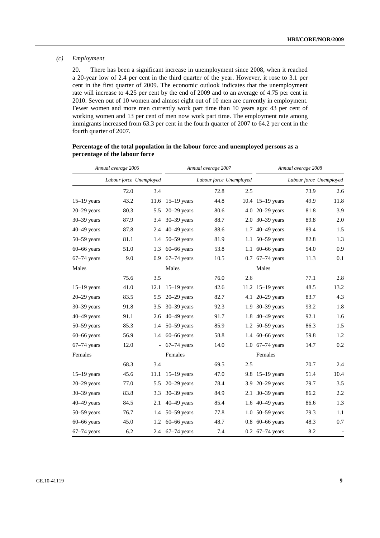#### *(c) Employment*

20. There has been a significant increase in unemployment since 2008, when it reached a 20-year low of 2.4 per cent in the third quarter of the year. However, it rose to 3.1 per cent in the first quarter of 2009. The economic outlook indicates that the unemployment rate will increase to 4.25 per cent by the end of 2009 and to an average of 4.75 per cent in 2010. Seven out of 10 women and almost eight out of 10 men are currently in employment. Fewer women and more men currently work part time than 10 years ago: 43 per cent of working women and 13 per cent of men now work part time. The employment rate among immigrants increased from 63.3 per cent in the fourth quarter of 2007 to 64.2 per cent in the fourth quarter of 2007.

#### **Percentage of the total population in the labour force and unemployed persons as a percentage of the labour force**

|                 | Annual average 2006     |      |                 | Annual average 2007     |     | Annual average 2008             |                         |                          |
|-----------------|-------------------------|------|-----------------|-------------------------|-----|---------------------------------|-------------------------|--------------------------|
|                 | Labour force Unemployed |      |                 | Labour force Unemployed |     |                                 | Labour force Unemployed |                          |
|                 | 72.0                    | 3.4  |                 | 72.8                    | 2.5 |                                 | 73.9                    | 2.6                      |
| $15-19$ years   | 43.2                    | 11.6 | $15-19$ years   | 44.8                    |     | 10.4 15-19 years                | 49.9                    | 11.8                     |
| $20-29$ years   | 80.3                    | 5.5  | $20 - 29$ years | 80.6                    |     | 4.0 20-29 years                 | 81.8                    | 3.9                      |
| $30 - 39$ years | 87.9                    | 3.4  | $30 - 39$ years | 88.7                    |     | 2.0 30-39 years                 | 89.8                    | 2.0                      |
| $40-49$ years   | 87.8                    | 2.4  | $40-49$ years   | 88.6                    | 1.7 | $40-49$ years                   | 89.4                    | 1.5                      |
| $50 - 59$ years | 81.1                    | 1.4  | $50 - 59$ years | 81.9                    | 1.1 | $50-59$ years                   | 82.8                    | 1.3                      |
| $60 - 66$ years | 51.0                    | 1.3  | $60-66$ years   | 53.8                    | 1.1 | $60 - 66$ years                 | 54.0                    | 0.9                      |
| $67-74$ years   | 9.0                     | 0.9  | $67-74$ years   | 10.5                    | 0.7 | $67-74$ years                   | 11.3                    | 0.1                      |
| Males           |                         |      | Males           |                         |     | Males                           |                         |                          |
|                 | 75.6                    | 3.5  |                 | 76.0                    | 2.6 |                                 | 77.1                    | 2.8                      |
| $15-19$ years   | 41.0                    | 12.1 | $15-19$ years   | 42.6                    |     | 11.2 $15-19$ years              | 48.5                    | 13.2                     |
| $20-29$ years   | 83.5                    | 5.5  | $20-29$ years   | 82.7                    |     | 4.1 20–29 years                 | 83.7                    | 4.3                      |
| $30 - 39$ years | 91.8                    | 3.5  | $30 - 39$ years | 92.3                    | 1.9 | $30-39$ years                   | 93.2                    | 1.8                      |
| $40-49$ years   | 91.1                    | 2.6  | $40-49$ years   | 91.7                    |     | 1.8 40-49 years                 | 92.1                    | 1.6                      |
| $50 - 59$ years | 85.3                    | 1.4  | $50 - 59$ years | 85.9                    |     | 1.2 50–59 years                 | 86.3                    | 1.5                      |
| $60 - 66$ years | 56.9                    | 1.4  | $60-66$ years   | 58.8                    |     | 1.4 60-66 years                 | 59.8                    | 1.2                      |
| $67-74$ years   | 12.0                    |      | $-67-74$ years  | 14.0                    |     | 1.0 67-74 years                 | 14.7                    | $0.2\,$                  |
| Females         |                         |      | Females         |                         |     | Females                         |                         |                          |
|                 | 68.3                    | 3.4  |                 | 69.5                    | 2.5 |                                 | 70.7                    | 2.4                      |
| $15-19$ years   | 45.6                    | 11.1 | $15-19$ years   | 47.0                    |     | 9.8 $15-19$ years               | 51.4                    | 10.4                     |
| $20-29$ years   | 77.0                    | 5.5  | $20 - 29$ years | 78.4                    | 3.9 | $20 - 29$ years                 | 79.7                    | 3.5                      |
| $30 - 39$ years | 83.8                    | 3.3  | $30 - 39$ years | 84.9                    | 2.1 | $30 - 39$ years                 | 86.2                    | 2.2                      |
| $40 - 49$ years | 84.5                    | 2.1  | $40-49$ years   | 85.4                    | 1.6 | $40-49$ years                   | 86.6                    | 1.3                      |
| $50 - 59$ years | 76.7                    | 1.4  | $50 - 59$ years | 77.8                    | 1.0 | $50 - 59$ years                 | 79.3                    | 1.1                      |
| $60 - 66$ years | 45.0                    | 1.2  | $60-66$ years   | 48.7                    |     | $0.8\;60 - 66$ years            | 48.3                    | 0.7                      |
| $67-74$ years   | 6.2                     |      | 2.4 67-74 years | 7.4                     |     | $0.2\; 67 - 74 \; \text{years}$ | 8.2                     | $\overline{\phantom{a}}$ |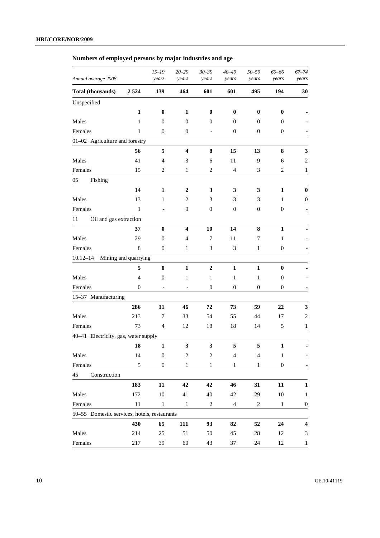## **Numbers of employed persons by major industries and age**

| Annual average 2008                          |                      | $15 - 19$<br>years           | $20 - 29$<br>years       | $30 - 39$<br>years       | $40 - 49$<br>years | 50-59<br>years           | 60-66<br>years   | $67 - 74$<br>years |
|----------------------------------------------|----------------------|------------------------------|--------------------------|--------------------------|--------------------|--------------------------|------------------|--------------------|
| Total (thousands)                            | 2524                 | 139                          | 464                      | 601                      | 601                | 495                      | 194              | 30                 |
| Unspecified                                  |                      |                              |                          |                          |                    |                          |                  |                    |
|                                              | 1                    | $\bf{0}$                     | 1                        | $\bf{0}$                 | $\bf{0}$           | $\bf{0}$                 | $\bf{0}$         |                    |
| Males                                        | 1                    | $\mathbf{0}$                 | $\boldsymbol{0}$         | $\boldsymbol{0}$         | $\overline{0}$     | 0                        | 0                |                    |
| Females                                      | 1                    | $\mathbf{0}$                 | $\boldsymbol{0}$         | $\overline{\phantom{0}}$ | 0                  | 0                        | $\boldsymbol{0}$ |                    |
| 01-02 Agriculture and forestry               |                      |                              |                          |                          |                    |                          |                  |                    |
|                                              | 56                   | 5                            | 4                        | 8                        | 15                 | 13                       | 8                | 3                  |
| Males                                        | 41                   | 4                            | 3                        | 6                        | 11                 | 9                        | 6                | $\overline{c}$     |
| Females                                      | 15                   | 2                            | 1                        | $\overline{c}$           | $\overline{4}$     | 3                        | $\overline{c}$   | $\mathbf{1}$       |
| 05<br>Fishing                                |                      |                              |                          |                          |                    |                          |                  |                    |
|                                              | 14                   | $\mathbf{1}$                 | $\boldsymbol{2}$         | 3                        | 3                  | $\mathbf{3}$             | 1                | $\bf{0}$           |
| Males                                        | 13                   | 1                            | $\overline{c}$           | 3                        | 3                  | 3                        | 1                | 0                  |
| Females                                      | 1                    | $\qquad \qquad \blacksquare$ | $\boldsymbol{0}$         | $\boldsymbol{0}$         | 0                  | 0                        | $\boldsymbol{0}$ |                    |
| 11<br>Oil and gas extraction                 |                      |                              |                          |                          |                    |                          |                  |                    |
|                                              | 37                   | $\bf{0}$                     | 4                        | 10                       | 14                 | 8                        | 1                |                    |
| Males                                        | 29                   | $\mathbf{0}$                 | 4                        | 7                        | 11                 | 7                        | 1                |                    |
| Females                                      | 8                    | $\boldsymbol{0}$             | $\mathbf{1}$             | 3                        | 3                  | 1                        | $\mathbf{0}$     |                    |
| $10.12 - 14$                                 | Mining and quarrying |                              |                          |                          |                    |                          |                  |                    |
|                                              | 5                    | $\bf{0}$                     | 1                        | $\boldsymbol{2}$         | 1                  | $\mathbf{1}$             | $\bf{0}$         |                    |
| Males                                        | $\overline{4}$       | $\boldsymbol{0}$             | $\mathbf{1}$             | 1                        | 1                  | 1                        | $\mathbf{0}$     |                    |
| Females                                      | 0                    | $\qquad \qquad -$            | $\overline{\phantom{0}}$ | $\boldsymbol{0}$         | $\boldsymbol{0}$   | $\boldsymbol{0}$         | $\mathbf{0}$     |                    |
| 15-37 Manufacturing                          |                      |                              |                          |                          |                    |                          |                  |                    |
|                                              | 286                  | 11                           | 46                       | 72                       | 73                 | 59                       | 22               | 3                  |
| Males                                        | 213                  | 7                            | 33                       | 54                       | 55                 | 44                       | 17               | $\overline{c}$     |
| Females                                      | 73                   | $\overline{4}$               | 12                       | 18                       | 18                 | 14                       | 5                | 1                  |
| 40-41 Electricity, gas, water supply         |                      |                              |                          |                          |                    |                          |                  |                    |
|                                              | 18                   | $\mathbf 1$                  | 3                        | $\mathbf{3}$             | 5                  | 5                        | 1                |                    |
| Males                                        | 14                   | $\boldsymbol{0}$             | $\sqrt{2}$               | $\boldsymbol{2}$         | $\overline{4}$     | $\overline{\mathcal{A}}$ | $\mathbf{1}$     |                    |
| Females                                      | 5                    | $\boldsymbol{0}$             | $\mathbf{1}$             | $\mathbf{1}$             | $\mathbf{1}$       | $\mathbf{1}$             | $\boldsymbol{0}$ |                    |
| Construction<br>45                           |                      |                              |                          |                          |                    |                          |                  |                    |
|                                              | 183                  | 11                           | 42                       | 42                       | 46                 | 31                       | 11               | $\mathbf{1}$       |
| Males                                        | 172                  | 10                           | 41                       | 40                       | 42                 | 29                       | 10               | 1                  |
| Females                                      | 11                   | $\mathbf{1}$                 | $\mathbf{1}$             | $\sqrt{2}$               | $\overline{4}$     | 2                        | $\,1$            | $\boldsymbol{0}$   |
| 50-55 Domestic services, hotels, restaurants |                      |                              |                          |                          |                    |                          |                  |                    |
|                                              | 430                  | 65                           | <b>111</b>               | 93                       | 82                 | 52                       | 24               | 4                  |
| Males                                        | 214                  | 25                           | 51                       | 50                       | 45                 | 28                       | 12               | 3                  |
| Females                                      | 217                  | 39                           | 60                       | 43                       | 37                 | 24                       | 12               | $\mathbf{1}$       |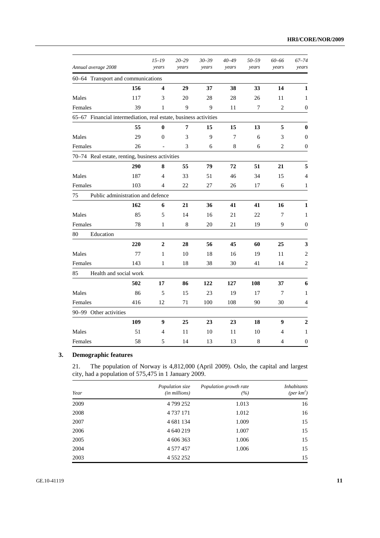| Annual average 2008                                              |                                   | $15 - 19$<br>years      | $20 - 29$<br>years | $30 - 39$<br>years | $40 - 49$<br>years | 50-59<br>years | 60-66<br>years | $67 - 74$<br>years       |
|------------------------------------------------------------------|-----------------------------------|-------------------------|--------------------|--------------------|--------------------|----------------|----------------|--------------------------|
| 60-64 Transport and communications                               |                                   |                         |                    |                    |                    |                |                |                          |
|                                                                  | 156                               | $\overline{\mathbf{4}}$ | 29                 | 37                 | 38                 | 33             | 14             | 1                        |
| Males                                                            | 117                               | 3                       | 20                 | 28                 | 28                 | 26             | 11             | 1                        |
| Females                                                          | 39                                | 1                       | 9                  | 9                  | 11                 | 7              | $\overline{2}$ | $\boldsymbol{0}$         |
| 65–67 Financial intermediation, real estate, business activities |                                   |                         |                    |                    |                    |                |                |                          |
|                                                                  | 55                                | 0                       | 7                  | 15                 | 15                 | 13             | 5              | $\bf{0}$                 |
| Males                                                            | 29                                | $\Omega$                | 3                  | 9                  | $\overline{7}$     | 6              | 3              | $\boldsymbol{0}$         |
| Females                                                          | 26                                | $\qquad \qquad -$       | 3                  | 6                  | 8                  | 6              | 2              | $\overline{0}$           |
| 70-74 Real estate, renting, business activities                  |                                   |                         |                    |                    |                    |                |                |                          |
|                                                                  | 290                               | 8                       | 55                 | 79                 | 72                 | 51             | 21             | 5                        |
| Males                                                            | 187                               | 4                       | 33                 | 51                 | 46                 | 34             | 15             | $\overline{\mathcal{L}}$ |
| Females                                                          | 103                               | $\overline{4}$          | 22                 | 27                 | 26                 | 17             | 6              | $\mathbf{1}$             |
| 75                                                               | Public administration and defence |                         |                    |                    |                    |                |                |                          |
|                                                                  | 162                               | 6                       | 21                 | 36                 | 41                 | 41             | 16             | 1                        |
| Males                                                            | 85                                | 5                       | 14                 | 16                 | 21                 | 22             | 7              | 1                        |
| Females                                                          | 78                                | 1                       | 8                  | 20                 | 21                 | 19             | 9              | $\boldsymbol{0}$         |
| 80<br>Education                                                  |                                   |                         |                    |                    |                    |                |                |                          |
|                                                                  | 220                               | $\overline{2}$          | 28                 | 56                 | 45                 | 60             | 25             | 3                        |
| Males                                                            | 77                                | $\mathbf{1}$            | 10                 | 18                 | 16                 | 19             | 11             | $\boldsymbol{2}$         |
| Females                                                          | 143                               | $\mathbf{1}$            | 18                 | 38                 | 30                 | 41             | 14             | $\mathbf{2}$             |
| 85                                                               | Health and social work            |                         |                    |                    |                    |                |                |                          |
|                                                                  | 502                               | 17                      | 86                 | 122                | 127                | 108            | 37             | 6                        |
| Males                                                            | 86                                | 5                       | 15                 | 23                 | 19                 | 17             | 7              | 1                        |
| Females                                                          | 416                               | 12                      | 71                 | 100                | 108                | 90             | 30             | 4                        |
| 90-99 Other activities                                           |                                   |                         |                    |                    |                    |                |                |                          |
|                                                                  | 109                               | 9                       | 25                 | 23                 | 23                 | 18             | 9              | $\boldsymbol{2}$         |
| Males                                                            | 51                                | 4                       | 11                 | 10                 | 11                 | 10             | 4              | 1                        |
| Females                                                          | 58                                | 5                       | 14                 | 13                 | 13                 | 8              | $\overline{4}$ | $\boldsymbol{0}$         |

## **3. Demographic features**

21. The population of Norway is 4,812,000 (April 2009). Oslo, the capital and largest city, had a population of 575,475 in 1 January 2009.

| Year | Population size<br>(in millions) | Population growth rate<br>(%) | <i>Inhabitants</i><br>(per $km^2$ ) |
|------|----------------------------------|-------------------------------|-------------------------------------|
| 2009 | 4 799 252                        | 1.013                         | 16                                  |
| 2008 | 4 7 3 7 1 7 1                    | 1.012                         | 16                                  |
| 2007 | 4 681 134                        | 1.009                         | 15                                  |
| 2006 | 4 640 219                        | 1.007                         | 15                                  |
| 2005 | 4 606 363                        | 1.006                         | 15                                  |
| 2004 | 4 577 457                        | 1.006                         | 15                                  |
| 2003 | 4 5 5 2 2 5 2                    |                               | 15                                  |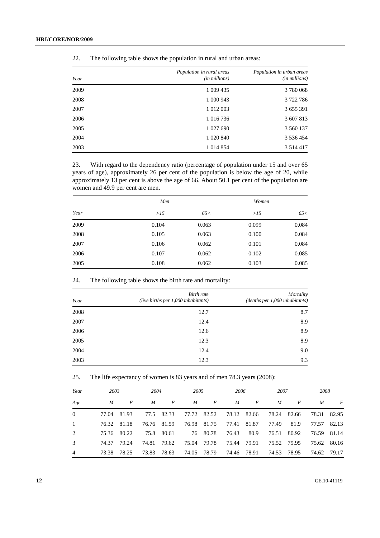| Year | Population in rural areas<br>(in millions) | Population in urban areas<br>(in millions) |
|------|--------------------------------------------|--------------------------------------------|
| 2009 | 1 009 435                                  | 3780068                                    |
| 2008 | 1 000 943                                  | 3722786                                    |
| 2007 | 1 012 003                                  | 3 655 391                                  |
| 2006 | 1 016 736                                  | 3 607 813                                  |
| 2005 | 1 027 690                                  | 3 560 137                                  |
| 2004 | 1 020 840                                  | 3 536 454                                  |
| 2003 | 1 0 14 8 54                                | 3 5 1 4 4 1 7                              |

22. The following table shows the population in rural and urban areas:

23. With regard to the dependency ratio (percentage of population under 15 and over 65 years of age), approximately 26 per cent of the population is below the age of 20, while approximately 13 per cent is above the age of 66. About 50.1 per cent of the population are women and 49.9 per cent are men.

|      | Men   |       | Women |       |
|------|-------|-------|-------|-------|
| Year | >15   | 65<   | >15   | 65<   |
| 2009 | 0.104 | 0.063 | 0.099 | 0.084 |
| 2008 | 0.105 | 0.063 | 0.100 | 0.084 |
| 2007 | 0.106 | 0.062 | 0.101 | 0.084 |
| 2006 | 0.107 | 0.062 | 0.102 | 0.085 |
| 2005 | 0.108 | 0.062 | 0.103 | 0.085 |

24. The following table shows the birth rate and mortality:

| Year | Birth rate<br>(live births per $1,000$ inhabitants) | Mortality<br>(deaths per 1,000 inhabitants) |
|------|-----------------------------------------------------|---------------------------------------------|
| 2008 | 12.7                                                | 8.7                                         |
| 2007 | 12.4                                                | 8.9                                         |
| 2006 | 12.6                                                | 8.9                                         |
| 2005 | 12.3                                                | 8.9                                         |
| 2004 | 12.4                                                | 9.0                                         |
| 2003 | 12.3                                                | 9.3                                         |

| 25. |  | The life expectancy of women is 83 years and of men 78.3 years (2008): |  |
|-----|--|------------------------------------------------------------------------|--|
|     |  |                                                                        |  |

| Year     | 2003  |       | 2004  |                  | 2005  |       | 2006  |       | 2007  |       | 2008  |       |
|----------|-------|-------|-------|------------------|-------|-------|-------|-------|-------|-------|-------|-------|
| Age      | M     | F     | M     | $\boldsymbol{F}$ | M     | F     | M     | F     | M     | F     | M     | F     |
| $\Omega$ | 77.04 | 81.93 | 77.5  | 82.33            | 77.72 | 82.52 | 78.12 | 82.66 | 78.24 | 82.66 | 78.31 | 82.95 |
|          | 76.32 | 81.18 | 76.76 | 81.59            | 76.98 | 81.75 | 77.41 | 81.87 | 77.49 | 81.9  | 77.57 | 82.13 |
| 2        | 75.36 | 80.22 | 75.8  | 80.61            | 76    | 80.78 | 76.43 | 80.9  | 76.51 | 80.92 | 76.59 | 81.14 |
| 3        | 74.37 | 79.24 | 74.81 | 79.62            | 75.04 | 79.78 | 75.44 | 79.91 | 75.52 | 79.95 | 75.62 | 80.16 |
| 4        | 73.38 | 78.25 | 73.83 | 78.63            | 74.05 | 78.79 | 74.46 | 78.91 | 74.53 | 78.95 | 74.62 | 79.17 |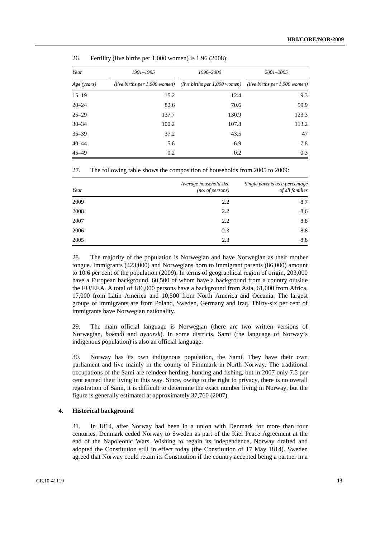| Year        | 1991–1995 | 1996–2000                                                                                 | 2001-2005 |  |
|-------------|-----------|-------------------------------------------------------------------------------------------|-----------|--|
| Age (years) |           | (live births per 1,000 women) (live births per 1,000 women) (live births per 1,000 women) |           |  |
| $15 - 19$   | 15.2      | 12.4                                                                                      | 9.3       |  |
| $20 - 24$   | 82.6      | 70.6                                                                                      | 59.9      |  |
| $25 - 29$   | 137.7     | 130.9                                                                                     | 123.3     |  |
| $30 - 34$   | 100.2     | 107.8                                                                                     | 113.2     |  |
| $35 - 39$   | 37.2      | 43.5                                                                                      | 47        |  |
| $40 - 44$   | 5.6       | 6.9                                                                                       | 7.8       |  |
| $45 - 49$   | 0.2       | 0.2                                                                                       | 0.3       |  |

26. Fertility (live births per 1,000 women) is 1.96 (2008):

27. The following table shows the composition of households from 2005 to 2009:

| Year | Average household size<br>(no. of persons) | Single parents as a percentage<br>of all families |
|------|--------------------------------------------|---------------------------------------------------|
| 2009 | 2.2                                        | 8.7                                               |
| 2008 | 2.2                                        | 8.6                                               |
| 2007 | 2.2                                        | 8.8                                               |
| 2006 | 2.3                                        | 8.8                                               |
| 2005 | 2.3                                        | 8.8                                               |

28. The majority of the population is Norwegian and have Norwegian as their mother tongue. Immigrants (423,000) and Norwegians born to immigrant parents (86,000) amount to 10.6 per cent of the population (2009). In terms of geographical region of origin, 203,000 have a European background, 60,500 of whom have a background from a country outside the EU/EEA. A total of 186,000 persons have a background from Asia, 61,000 from Africa, 17,000 from Latin America and 10,500 from North America and Oceania. The largest groups of immigrants are from Poland, Sweden, Germany and Iraq. Thirty-six per cent of immigrants have Norwegian nationality.

29. The main official language is Norwegian (there are two written versions of Norwegian, *bokmål* and *nynorsk*). In some districts, Sami (the language of Norway's indigenous population) is also an official language.

30. Norway has its own indigenous population, the Sami. They have their own parliament and live mainly in the county of Finnmark in North Norway. The traditional occupations of the Sami are reindeer herding, hunting and fishing, but in 2007 only 7.5 per cent earned their living in this way. Since, owing to the right to privacy, there is no overall registration of Sami, it is difficult to determine the exact number living in Norway, but the figure is generally estimated at approximately 37,760 (2007).

#### **4. Historical background**

31. In 1814, after Norway had been in a union with Denmark for more than four centuries, Denmark ceded Norway to Sweden as part of the Kiel Peace Agreement at the end of the Napoleonic Wars. Wishing to regain its independence, Norway drafted and adopted the Constitution still in effect today (the Constitution of 17 May 1814). Sweden agreed that Norway could retain its Constitution if the country accepted being a partner in a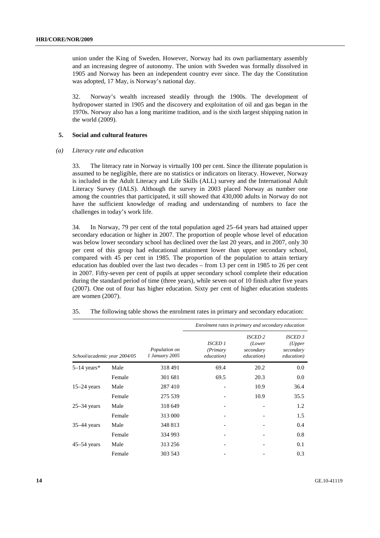union under the King of Sweden. However, Norway had its own parliamentary assembly and an increasing degree of autonomy. The union with Sweden was formally dissolved in 1905 and Norway has been an independent country ever since. The day the Constitution was adopted, 17 May, is Norway's national day.

32. Norway's wealth increased steadily through the 1900s. The development of hydropower started in 1905 and the discovery and exploitation of oil and gas began in the 1970s. Norway also has a long maritime tradition, and is the sixth largest shipping nation in the world (2009).

#### **5. Social and cultural features**

#### *(a) Literacy rate and education*

33. The literacy rate in Norway is virtually 100 per cent. Since the illiterate population is assumed to be negligible, there are no statistics or indicators on literacy. However, Norway is included in the Adult Literacy and Life Skills (ALL) survey and the International Adult Literacy Survey (IALS). Although the survey in 2003 placed Norway as number one among the countries that participated, it still showed that 430,000 adults in Norway do not have the sufficient knowledge of reading and understanding of numbers to face the challenges in today's work life.

34. In Norway, 79 per cent of the total population aged 25–64 years had attained upper secondary education or higher in 2007. The proportion of people whose level of education was below lower secondary school has declined over the last 20 years, and in 2007, only 30 per cent of this group had educational attainment lower than upper secondary school, compared with 45 per cent in 1985. The proportion of the population to attain tertiary education has doubled over the last two decades – from 13 per cent in 1985 to 26 per cent in 2007. Fifty-seven per cent of pupils at upper secondary school complete their education during the standard period of time (three years), while seven out of 10 finish after five years (2007). One out of four has higher education. Sixty per cent of higher education students are women (2007).

|                              |        |                                 |                                          | Enrolment rates in primary and secondary education  |                                                     |
|------------------------------|--------|---------------------------------|------------------------------------------|-----------------------------------------------------|-----------------------------------------------------|
| School/academic year 2004/05 |        | Population on<br>1 January 2005 | <b>ISCED 1</b><br>(Primary<br>education) | <b>ISCED 2</b><br>(Lower<br>secondary<br>education) | <b>ISCED 3</b><br>(Upper<br>secondary<br>education) |
| $5-14$ years*                | Male   | 318491                          | 69.4                                     | 20.2                                                | 0.0                                                 |
|                              | Female | 301 681                         | 69.5                                     | 20.3                                                | 0.0                                                 |
| $15-24$ years                | Male   | 287410                          |                                          | 10.9                                                | 36.4                                                |
|                              | Female | 275 539                         |                                          | 10.9                                                | 35.5                                                |
| $25-34$ years                | Male   | 318 649                         |                                          |                                                     | 1.2                                                 |
|                              | Female | 313 000                         |                                          |                                                     | 1.5                                                 |
| $35-44$ years                | Male   | 348 813                         |                                          |                                                     | 0.4                                                 |
|                              | Female | 334 993                         |                                          |                                                     | 0.8                                                 |
| $45-54$ years                | Male   | 313 256                         |                                          |                                                     | 0.1                                                 |
|                              | Female | 303 543                         |                                          |                                                     | 0.3                                                 |

35. The following table shows the enrolment rates in primary and secondary education: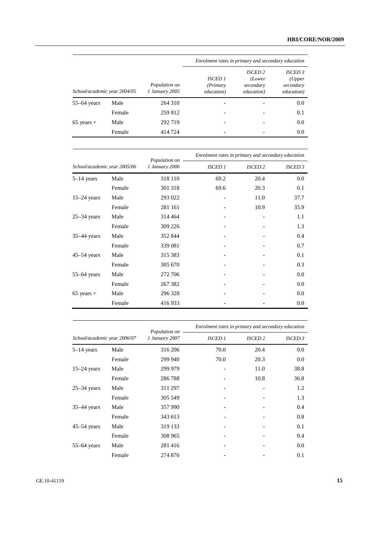|                              |        |                                 | Enrolment rates in primary and secondary education |                                                     |                                                     |  |
|------------------------------|--------|---------------------------------|----------------------------------------------------|-----------------------------------------------------|-----------------------------------------------------|--|
| School/academic year 2004/05 |        | Population on<br>1 January 2005 | <b>ISCED 1</b><br>(Primary<br>education)           | <b>ISCED 2</b><br>(Lower<br>secondary<br>education) | <b>ISCED 3</b><br>(Upper<br>secondary<br>education) |  |
| $55-64$ years                | Male   | 264 310                         |                                                    |                                                     | 0.0                                                 |  |
|                              | Female | 259 812                         |                                                    |                                                     | 0.1                                                 |  |
| $65$ years +                 | Male   | 292 719                         |                                                    |                                                     | 0.0                                                 |  |
|                              | Female | 414 724                         |                                                    |                                                     | 0.0                                                 |  |

| School/academic year 2005/06 |        | Population on  | Enrolment rates in primary and secondary education |                |                    |  |
|------------------------------|--------|----------------|----------------------------------------------------|----------------|--------------------|--|
|                              |        | 1 January 2006 | <b>ISCED 1</b>                                     | <b>ISCED 2</b> | ISCED <sub>3</sub> |  |
| $5-14$ years                 | Male   | 318 110        | 69.2                                               | 20.4           | 0.0                |  |
|                              | Female | 301 318        | 69.6                                               | 20.3           | 0.1                |  |
| $15-24$ years                | Male   | 293 022        |                                                    | 11.0           | 37.7               |  |
|                              | Female | 281 161        |                                                    | 10.9           | 35.9               |  |
| $25-34$ years                | Male   | 314 464        |                                                    |                | 1.1                |  |
|                              | Female | 309 226        |                                                    |                | 1.3                |  |
| $35-44$ years                | Male   | 352 844        |                                                    |                | 0.4                |  |
|                              | Female | 339 081        |                                                    |                | 0.7                |  |
| $45-54$ years                | Male   | 315 383        |                                                    |                | 0.1                |  |
|                              | Female | 305 670        |                                                    |                | 0.3                |  |
| $55-64$ years                | Male   | 272 706        |                                                    |                | 0.0                |  |
|                              | Female | 267 382        |                                                    |                | 0.0                |  |
| $65$ years +                 | Male   | 296 328        |                                                    |                | 0.0                |  |
|                              | Female | 416933         |                                                    |                | 0.0                |  |

|                              |        | Population on  | Enrolment rates in primary and secondary education |                |                    |
|------------------------------|--------|----------------|----------------------------------------------------|----------------|--------------------|
| School/academic year 2006/07 |        | 1 January 2007 | <b>ISCED 1</b>                                     | <b>ISCED 2</b> | ISCED <sub>3</sub> |
| $5-14$ years                 | Male   | 316 206        | 70.0                                               | 20.4           | 0.0                |
|                              | Female | 299 940        | 70.0                                               | 20.3           | 0.0                |
| $15-24$ years                | Male   | 299 979        |                                                    | 11.0           | 38.8               |
|                              | Female | 286788         |                                                    | 10.8           | 36.8               |
| $25-34$ years                | Male   | 311 297        |                                                    |                | 1.2                |
|                              | Female | 305 549        |                                                    |                | 1.3                |
| 35-44 years                  | Male   | 357 990        |                                                    |                | 0.4                |
|                              | Female | 343 613        |                                                    |                | 0.8                |
| $45-54$ years                | Male   | 319 133        |                                                    |                | 0.1                |
|                              | Female | 308 965        |                                                    |                | 0.4                |
| $55-64$ years                | Male   | 281416         |                                                    |                | 0.0                |
|                              | Female | 274 876        |                                                    |                | 0.1                |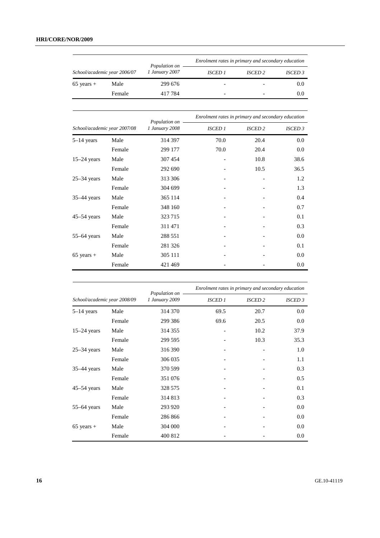|                              |        |                                 | Enrolment rates in primary and secondary education |                |                |  |
|------------------------------|--------|---------------------------------|----------------------------------------------------|----------------|----------------|--|
| School/academic year 2006/07 |        | Population on<br>1 January 2007 | <b>ISCED 1</b>                                     | <b>ISCED 2</b> | <b>ISCED 3</b> |  |
| $65$ years +                 | Male   | 299 676                         |                                                    |                | 0.0            |  |
|                              | Female | 417784                          |                                                    |                | 0.0            |  |
|                              |        | Population on                   | Enrolment rates in primary and secondary education |                |                |  |
| School/academic year 2007/08 |        | 1 January 2008                  | <b>ISCED 1</b>                                     | <b>ISCED 2</b> | <b>ISCED 3</b> |  |
| $5-14$ years                 | Male   | 314 397                         | 70.0                                               | 20.4           | 0.0            |  |
|                              | Female | 299 177                         | 70.0                                               | 20.4           | 0.0            |  |
| $15-24$ years                | Male   | 307 454                         |                                                    | 10.8           | 38.6           |  |
|                              | Female | 292 690                         |                                                    | 10.5           | 36.5           |  |
| $25-34$ years                | Male   | 313 306                         |                                                    |                | 1.2            |  |
|                              | Female | 304 699                         |                                                    |                | 1.3            |  |
| $35-44$ years                | Male   | 365 114                         |                                                    |                | 0.4            |  |
|                              | Female | 348 160                         |                                                    |                | 0.7            |  |
| $45-54$ years                | Male   | 323 715                         |                                                    |                | 0.1            |  |
|                              | Female | 311 471                         |                                                    |                | 0.3            |  |
| $55-64$ years                | Male   | 288 551                         |                                                    |                | 0.0            |  |
|                              | Female | 281 326                         |                                                    |                | 0.1            |  |
| $65$ years +                 | Male   | 305 111                         |                                                    |                | 0.0            |  |
|                              | Female | 421 469                         |                                                    |                | 0.0            |  |

|                              |        | Population on  | Enrolment rates in primary and secondary education |                |                |  |
|------------------------------|--------|----------------|----------------------------------------------------|----------------|----------------|--|
| School/academic year 2008/09 |        | 1 January 2009 | <b>ISCED 1</b>                                     | <b>ISCED 2</b> | <b>ISCED 3</b> |  |
| $5-14$ years                 | Male   | 314 370        | 69.5                                               | 20.7           | 0.0            |  |
|                              | Female | 299 386        | 69.6                                               | 20.5           | 0.0            |  |
| $15-24$ years                | Male   | 314 355        | $\overline{\phantom{a}}$                           | 10.2           | 37.9           |  |
|                              | Female | 299 595        |                                                    | 10.3           | 35.3           |  |
| $25-34$ years                | Male   | 316 390        |                                                    |                | 1.0            |  |
|                              | Female | 306 035        |                                                    |                | 1.1            |  |
| $35-44$ years                | Male   | 370 599        |                                                    |                | 0.3            |  |
|                              | Female | 351 076        |                                                    |                | 0.5            |  |
| $45-54$ years                | Male   | 328 575        |                                                    |                | 0.1            |  |
|                              | Female | 314 813        |                                                    |                | 0.3            |  |
| $55-64$ years                | Male   | 293 920        |                                                    |                | 0.0            |  |
|                              | Female | 286 866        |                                                    |                | 0.0            |  |
| $65$ years +                 | Male   | 304 000        |                                                    |                | 0.0            |  |
|                              | Female | 400 812        |                                                    |                | 0.0            |  |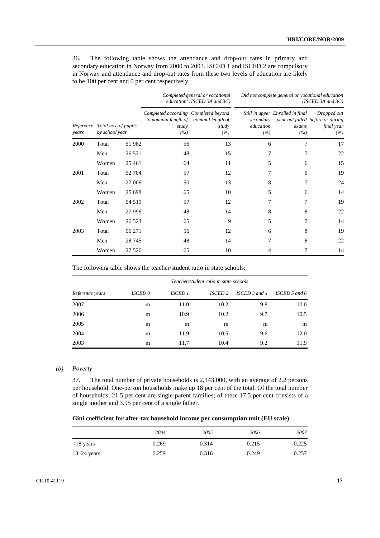36. The following table shows the attendance and drop-out rates in primary and secondary education in Norway from 2000 to 2003. ISCED 1 and ISCED 2 are compulsory in Norway and attendance and drop-out rates from these two levels of education are likely to be 100 per cent and 0 per cent respectively.

|       |                                                  |         |                                                                                                | Completed general or vocational<br>education <sup>1</sup> (ISCED 3A and 3C) |                               | Did not complete general or vocational education<br>(ISCED 3A and 3C) |                                                                      |  |  |
|-------|--------------------------------------------------|---------|------------------------------------------------------------------------------------------------|-----------------------------------------------------------------------------|-------------------------------|-----------------------------------------------------------------------|----------------------------------------------------------------------|--|--|
| years | Reference Total nos. of pupils<br>by school year |         | Completed according Completed beyond<br>to nominal length of nominal length of<br>study<br>(%) | study<br>(%)                                                                | secondary<br>education<br>(%) | Still in upper Enrolled in final<br>exams<br>(%)                      | Dropped out<br>year but failed before or during<br>final year<br>(%) |  |  |
| 2000  | Total                                            | 51 982  | 56                                                                                             | 13                                                                          | 6                             | 7                                                                     | 17                                                                   |  |  |
|       | Men                                              | 26 5 21 | 48                                                                                             | 15                                                                          | 7                             | 7                                                                     | 22                                                                   |  |  |
|       | Women                                            | 25 4 61 | 64                                                                                             | 11                                                                          | 5                             | 6                                                                     | 15                                                                   |  |  |
| 2001  | Total                                            | 52 704  | 57                                                                                             | 12                                                                          | 7                             | 6                                                                     | 19                                                                   |  |  |
|       | Men                                              | 27 006  | 50                                                                                             | 13                                                                          | 8                             | 7                                                                     | 24                                                                   |  |  |
|       | Women                                            | 25 6 98 | 65                                                                                             | 10                                                                          | 5                             | 6                                                                     | 14                                                                   |  |  |
| 2002  | Total                                            | 54 519  | 57                                                                                             | 12                                                                          | 7                             | 7                                                                     | 19                                                                   |  |  |
|       | Men                                              | 27 9 96 | 48                                                                                             | 14                                                                          | 8                             | 8                                                                     | 22                                                                   |  |  |
|       | Women                                            | 26 5 23 | 65                                                                                             | 9                                                                           | 5                             | 7                                                                     | 14                                                                   |  |  |
| 2003  | Total                                            | 56 271  | 56                                                                                             | 12                                                                          | 6                             | 8                                                                     | 19                                                                   |  |  |
|       | Men                                              | 28 7 45 | 48                                                                                             | 14                                                                          | 7                             | 8                                                                     | 22                                                                   |  |  |
|       | Women                                            | 27 5 26 | 65                                                                                             | 10                                                                          | 4                             | 7                                                                     | 14                                                                   |  |  |

The following table shows the teacher/student ratio in state schools:

|                 | Teacher/student ratio in state schools |         |                |                   |                 |  |  |
|-----------------|----------------------------------------|---------|----------------|-------------------|-----------------|--|--|
| Reference years | ISCED <sub>0</sub>                     | ISCED 1 | <b>ISCED 2</b> | ISCED $3$ and $4$ | ISCED 5 and $6$ |  |  |
| 2007            | m                                      | 11.0    | 10.2           | 9.8               | 10.0            |  |  |
| 2006            | m                                      | 10.9    | 10.2           | 9.7               | 10.5            |  |  |
| 2005            | m                                      | m       | m              | m                 | m               |  |  |
| 2004            | m                                      | 11.9    | 10.5           | 9.6               | 12.0            |  |  |
| 2003            | m                                      | 11.7    | 10.4           | 9.2               | 11.9            |  |  |

#### *(b) Poverty*

37. The total number of private households is 2,143,000, with an average of 2.2 persons per household. One-person households make up 18 per cent of the total. Of the total number of households, 21.5 per cent are single-parent families; of these 17.5 per cent consists of a single mother and 3.95 per cent of a single father.

 **Gini coefficient for after-tax household income per consumption unit (EU scale)** 

|               | 2004  | 2005  | 2006  | 2007  |
|---------------|-------|-------|-------|-------|
| $<$ 18 years  | 0.269 | 0.314 | 0.215 | 0.225 |
| $18-24$ years | 0.259 | 0.316 | 0.249 | 0.257 |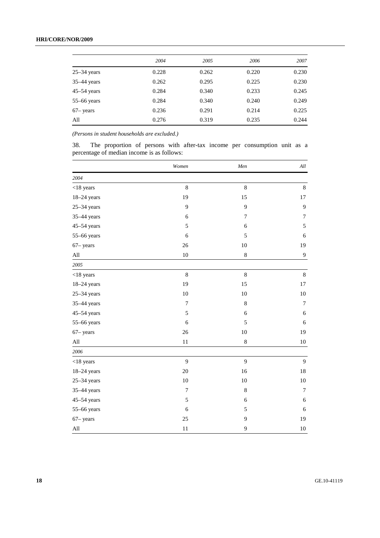## **HRI/CORE/NOR/2009**

|                 | 2004  | 2005  | 2006  | 2007  |
|-----------------|-------|-------|-------|-------|
| $25 - 34$ years | 0.228 | 0.262 | 0.220 | 0.230 |
| $35-44$ years   | 0.262 | 0.295 | 0.225 | 0.230 |
| $45-54$ years   | 0.284 | 0.340 | 0.233 | 0.245 |
| $55-66$ years   | 0.284 | 0.340 | 0.240 | 0.249 |
| $67 - years$    | 0.236 | 0.291 | 0.214 | 0.225 |
| All             | 0.276 | 0.319 | 0.235 | 0.244 |

*(Persons in student households are excluded.)* 

38. The proportion of persons with after-tax income per consumption unit as a percentage of median income is as follows:

|                             | Women          | Men         | $All$          |
|-----------------------------|----------------|-------------|----------------|
| 2004                        |                |             |                |
| $<$ 18 years                | $\,8\,$        | 8           | $8\,$          |
| $18-24$ years               | 19             | 15          | 17             |
| $25-34$ years               | 9              | 9           | 9              |
| $35-44$ years               | 6              | $\tau$      | $\tau$         |
| $45 - 54$ years             | 5              | 6           | 5              |
| 55-66 years                 | 6              | 5           | $\sqrt{6}$     |
| $67 - years$                | 26             | 10          | 19             |
| $\mathop{\rm All}\nolimits$ | 10             | $\,8$       | $\overline{9}$ |
| 2005                        |                |             |                |
| $<$ 18 years                | $\,8\,$        | $\,8$       | $\,8\,$        |
| $18-24$ years               | 19             | 15          | 17             |
| $25 - 34$ years             | 10             | 10          | $10\,$         |
| $35-44$ years               | $\overline{7}$ | $\,$ 8 $\,$ | $\tau$         |
| $45 - 54$ years             | 5              | $\sqrt{6}$  | $\sqrt{6}$     |
| 55-66 years                 | 6              | 5           | $\sqrt{6}$     |
| $67 - years$                | 26             | 10          | 19             |
| All                         | $11\,$         | 8           | 10             |
| 2006                        |                |             |                |
| $<$ 18 years                | 9              | 9           | 9              |
| $18-24$ years               | 20             | 16          | $18\,$         |
| $25 - 34$ years             | $10\,$         | 10          | $10\,$         |
| 35-44 years                 | $\overline{7}$ | $\,$ 8 $\,$ | $\overline{7}$ |
| $45-54$ years               | 5              | 6           | $\sqrt{6}$     |
| 55-66 years                 | 6              | 5           | $\sqrt{6}$     |
| $67 - years$                | 25             | 9           | 19             |
| $\mathop{\rm All}\nolimits$ | 11             | 9           | $10\,$         |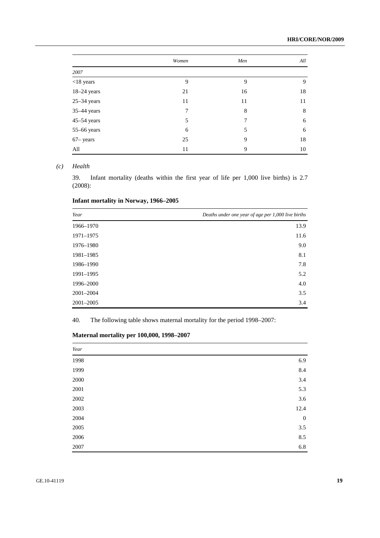|                 | Women | Men | All |
|-----------------|-------|-----|-----|
| 2007            |       |     |     |
| $<$ 18 years    | 9     | 9   | 9   |
| $18-24$ years   | 21    | 16  | 18  |
| $25 - 34$ years | 11    | 11  | 11  |
| 35-44 years     | 7     | 8   | 8   |
| $45 - 54$ years | 5     | 7   | 6   |
| $55-66$ years   | 6     | 5   | 6   |
| $67 - years$    | 25    | 9   | 18  |
| All             | 11    | 9   | 10  |

### *(c) Health*

39. Infant mortality (deaths within the first year of life per 1,000 live births) is 2.7 (2008):

## **Infant mortality in Norway, 1966–2005**

| Year          | Deaths under one year of age per 1,000 live births |
|---------------|----------------------------------------------------|
| 1966-1970     | 13.9                                               |
| 1971-1975     | 11.6                                               |
| 1976-1980     | 9.0                                                |
| 1981-1985     | 8.1                                                |
| 1986-1990     | 7.8                                                |
| 1991-1995     | 5.2                                                |
| 1996-2000     | 4.0                                                |
| 2001-2004     | 3.5                                                |
| $2001 - 2005$ | 3.4                                                |

40. The following table shows maternal mortality for the period 1998–2007:

| Year     |                  |
|----------|------------------|
| 1998     | 6.9              |
| 1999     | $8.4\,$          |
| $2000\,$ | 3.4              |
| $2001\,$ | 5.3              |
| $2002\,$ | 3.6              |
| 2003     | 12.4             |
| 2004     | $\boldsymbol{0}$ |
| $2005\,$ | 3.5              |
| 2006     | 8.5              |
| 2007     | 6.8              |

## **Maternal mortality per 100,000, 1998–2007**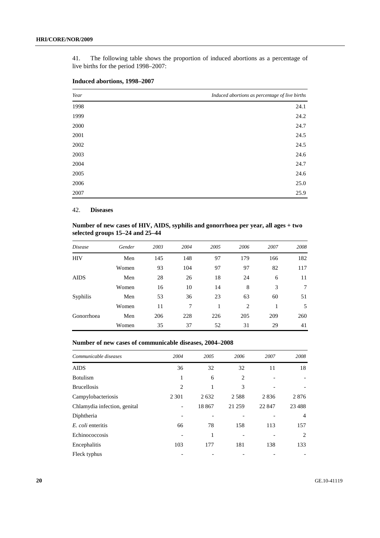41. The following table shows the proportion of induced abortions as a percentage of live births for the period 1998–2007:

| Year | Induced abortions as percentage of live births |
|------|------------------------------------------------|
| 1998 | 24.1                                           |
| 1999 | 24.2                                           |
| 2000 | 24.7                                           |
| 2001 | 24.5                                           |
| 2002 | 24.5                                           |
| 2003 | 24.6                                           |
| 2004 | 24.7                                           |
| 2005 | 24.6                                           |
| 2006 | 25.0                                           |
| 2007 | 25.9                                           |

## **Induced abortions, 1998–2007**

#### 42. **Diseases**

## **Number of new cases of HIV, AIDS, syphilis and gonorrhoea per year, all ages + two selected groups 15–24 and 25–44**

| <i>Disease</i> | Gender | 2003 | 2004 | 2005 | 2006 | 2007 | 2008 |
|----------------|--------|------|------|------|------|------|------|
| <b>HIV</b>     | Men    | 145  | 148  | 97   | 179  | 166  | 182  |
|                | Women  | 93   | 104  | 97   | 97   | 82   | 117  |
| <b>AIDS</b>    | Men    | 28   | 26   | 18   | 24   | 6    | 11   |
|                | Women  | 16   | 10   | 14   | 8    | 3    | 7    |
| Syphilis       | Men    | 53   | 36   | 23   | 63   | 60   | 51   |
|                | Women  | 11   | 7    | 1    | 2    |      | 5    |
| Gonorrhoea     | Men    | 206  | 228  | 226  | 205  | 209  | 260  |
|                | Women  | 35   | 37   | 52   | 31   | 29   | 41   |

## **Number of new cases of communicable diseases, 2004–2008**

| Communicable diseases        | 2004    | 2005  | 2006           | 2007   | 2008           |
|------------------------------|---------|-------|----------------|--------|----------------|
| <b>AIDS</b>                  | 36      | 32    | 32             | 11     | 18             |
| <b>Botulism</b>              | 1       | 6     | $\overline{2}$ |        |                |
| <b>Brucellosis</b>           | 2       | 1     | 3              |        |                |
| Campylobacteriosis           | 2 3 0 1 | 2632  | 2 5 8 8        | 2836   | 2876           |
| Chlamydia infection, genital |         | 18867 | 21 259         | 22 847 | 23 4 88        |
| Diphtheria                   |         |       |                |        | $\overline{4}$ |
| E. coli enteritis            | 66      | 78    | 158            | 113    | 157            |
| Echinococcosis               |         | 1     |                |        | 2              |
| Encephalitis                 | 103     | 177   | 181            | 138    | 133            |
| Fleck typhus                 |         |       |                |        |                |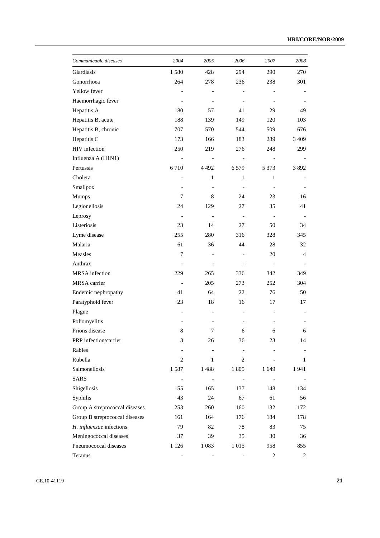| Communicable diseases          | 2004           | 2005              | 2006              | 2007           | 2008    |
|--------------------------------|----------------|-------------------|-------------------|----------------|---------|
| Giardiasis                     | 1580           | 428               | 294               | 290            | 270     |
| Gonorrhoea                     | 264            | 278               | 236               | 238            | 301     |
| Yellow fever                   |                |                   |                   |                |         |
| Haemorrhagic fever             |                |                   |                   |                |         |
| Hepatitis A                    | 180            | 57                | 41                | 29             | 49      |
| Hepatitis B, acute             | 188            | 139               | 149               | 120            | 103     |
| Hepatitis B, chronic           | 707            | 570               | 544               | 509            | 676     |
| Hepatitis C                    | 173            | 166               | 183               | 289            | 3 4 0 9 |
| HIV infection                  | 250            | 219               | 276               | 248            | 299     |
| Influenza A (H1N1)             |                | $\qquad \qquad -$ | $\qquad \qquad -$ |                |         |
| Pertussis                      | 6710           | 4 4 9 2           | 6579              | 5 3 7 3        | 3892    |
| Cholera                        |                | 1                 | 1                 | 1              |         |
| Smallpox                       |                |                   |                   |                |         |
| Mumps                          | 7              | 8                 | 24                | 23             | 16      |
| Legionellosis                  | 24             | 129               | 27                | 35             | 41      |
| Leprosy                        |                |                   |                   |                |         |
| Listeriosis                    | 23             | 14                | 27                | 50             | 34      |
| Lyme disease                   | 255            | 280               | 316               | 328            | 345     |
| Malaria                        | 61             | 36                | 44                | 28             | 32      |
| Measles                        | 7              |                   |                   | 20             | 4       |
| Anthrax                        |                |                   |                   |                |         |
| <b>MRSA</b> infection          | 229            | 265               | 336               | 342            | 349     |
| MRSA carrier                   |                | 205               | 273               | 252            | 304     |
| Endemic nephropathy            | 41             | 64                | 22                | 76             | 50      |
| Paratyphoid fever              | 23             | 18                | 16                | 17             | 17      |
| Plague                         |                | -                 |                   |                |         |
| Poliomyelitis                  |                |                   |                   |                |         |
| Prions disease                 | 8              | 7                 | 6                 | 6              | 6       |
| PRP infection/carrier          | 3              | 26                | 36                | 23             | 14      |
| Rabies                         |                |                   |                   |                |         |
| Rubella                        | $\overline{c}$ | 1                 | $\overline{c}$    |                | 1       |
| Salmonellosis                  | 1587           | 1488              | 1805              | 1 649          | 1941    |
| <b>SARS</b>                    |                |                   |                   |                |         |
| Shigellosis                    | 155            | 165               | 137               | 148            | 134     |
| Syphilis                       | 43             | 24                | 67                | 61             | 56      |
| Group A streptococcal diseases | 253            | 260               | 160               | 132            | 172     |
| Group B streptococcal diseases | 161            | 164               | 176               | 184            | 178     |
| H. influenzae infections       | 79             | 82                | 78                | 83             | 75      |
| Meningococcal diseases         | 37             | 39                | 35                | 30             | 36      |
| Pneumococcal diseases          | 1 1 2 6        | 1 0 8 3           | 1015              | 958            | 855     |
| Tetanus                        |                |                   |                   | $\overline{c}$ | 2       |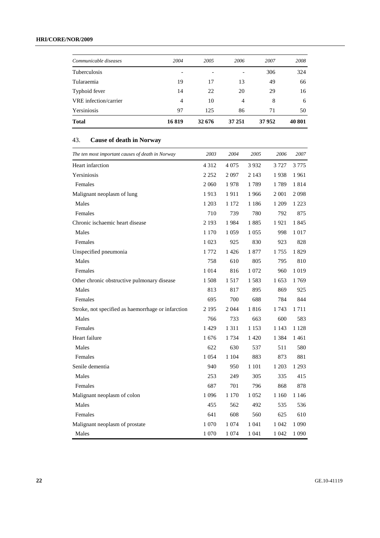## **HRI/CORE/NOR/2009**

| Communicable diseases | 2004  | 2005                     | 2006   | 2007  | 2008   |
|-----------------------|-------|--------------------------|--------|-------|--------|
| Tuberculosis          | -     | $\overline{\phantom{a}}$ |        | 306   | 324    |
| Tularaemia            | 19    | 17                       | 13     | 49    | 66     |
| Typhoid fever         | 14    | 22                       | 20     | 29    | 16     |
| VRE infection/carrier | 4     | 10                       | 4      | 8     | 6      |
| Yersiniosis           | 97    | 125                      | 86     | 71    | 50     |
| <b>Total</b>          | 16819 | 32 676                   | 37 251 | 37952 | 40 801 |

## 43. **Cause of death in Norway**

| The ten most important causes of death in Norway   | 2003    | 2004    | 2005    | 2006    | 2007    |
|----------------------------------------------------|---------|---------|---------|---------|---------|
| Heart infarction                                   | 4 3 1 2 | 4 0 7 5 | 3932    | 3 7 2 7 | 3 7 7 5 |
| Yersiniosis                                        | 2 252   | 2097    | 2 143   | 1938    | 1961    |
| Females                                            | 2 0 6 0 | 1978    | 1789    | 1789    | 1814    |
| Malignant neoplasm of lung                         | 1913    | 1911    | 1966    | 2 0 0 1 | 2098    |
| Males                                              | 1 2 0 3 | 1 1 7 2 | 1 1 8 6 | 1 209   | 1 2 2 3 |
| Females                                            | 710     | 739     | 780     | 792     | 875     |
| Chronic ischaemic heart disease                    | 2 1 9 3 | 1984    | 1885    | 1921    | 1845    |
| Males                                              | 1 170   | 1 0 5 9 | 1 0 5 5 | 998     | 1 0 1 7 |
| Females                                            | 1 0 2 3 | 925     | 830     | 923     | 828     |
| Unspecified pneumonia                              | 1 772   | 1426    | 1877    | 1 7 5 5 | 1829    |
| Males                                              | 758     | 610     | 805     | 795     | 810     |
| Females                                            | 1 0 1 4 | 816     | 1 0 7 2 | 960     | 1019    |
| Other chronic obstructive pulmonary disease        | 1508    | 1517    | 1583    | 1653    | 1769    |
| Males                                              | 813     | 817     | 895     | 869     | 925     |
| Females                                            | 695     | 700     | 688     | 784     | 844     |
| Stroke, not specified as haemorrhage or infarction | 2 1 9 5 | 2 0 4 4 | 1816    | 1743    | 1711    |
| Males                                              | 766     | 733     | 663     | 600     | 583     |
| Females                                            | 1429    | 1 3 1 1 | 1 1 5 3 | 1 1 4 3 | 1 1 2 8 |
| Heart failure                                      | 1676    | 1 7 3 4 | 1420    | 1 3 8 4 | 1461    |
| Males                                              | 622     | 630     | 537     | 511     | 580     |
| Females                                            | 1 0 5 4 | 1 1 0 4 | 883     | 873     | 881     |
| Senile dementia                                    | 940     | 950     | 1 1 0 1 | 1 2 0 3 | 1 2 9 3 |
| Males                                              | 253     | 249     | 305     | 335     | 415     |
| Females                                            | 687     | 701     | 796     | 868     | 878     |
| Malignant neoplasm of colon                        | 1 0 9 6 | 1 1 7 0 | 1 0 5 2 | 1 1 6 0 | 1 1 4 6 |
| Males                                              | 455     | 562     | 492     | 535     | 536     |
| Females                                            | 641     | 608     | 560     | 625     | 610     |
| Malignant neoplasm of prostate                     | 1 070   | 1 0 7 4 | 1 041   | 1 0 4 2 | 1 0 9 0 |
| Males                                              | 1 0 7 0 | 1 0 7 4 | 1 0 4 1 | 1 0 4 2 | 1 0 9 0 |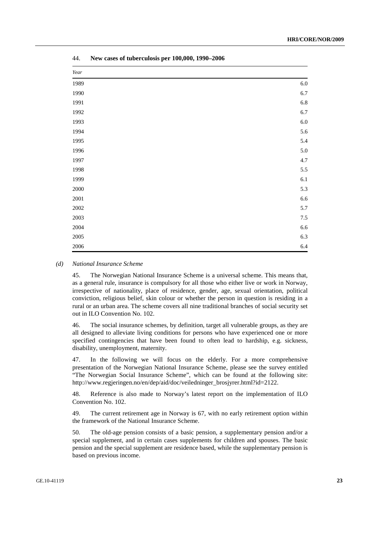| $\it Year$ |         |
|------------|---------|
| 1989       | $6.0\,$ |
| 1990       | 6.7     |
| 1991       | 6.8     |
| 1992       | 6.7     |
| 1993       | $6.0\,$ |
| 1994       | $5.6\,$ |
| 1995       | 5.4     |
| 1996       | $5.0\,$ |
| 1997       | 4.7     |
| 1998       | 5.5     |
| 1999       | $6.1\,$ |
| $2000\,$   | 5.3     |
| $2001\,$   | 6.6     |
| $2002\,$   | 5.7     |
| $2003\,$   | $7.5\,$ |
| $2004\,$   | $6.6\,$ |
| $2005\,$   | 6.3     |
| 2006       | 6.4     |

44. **New cases of tuberculosis per 100,000, 1990–2006** 

#### *(d) National Insurance Scheme*

45. The Norwegian National Insurance Scheme is a universal scheme. This means that, as a general rule, insurance is compulsory for all those who either live or work in Norway, irrespective of nationality, place of residence, gender, age, sexual orientation, political conviction, religious belief, skin colour or whether the person in question is residing in a rural or an urban area. The scheme covers all nine traditional branches of social security set out in ILO Convention No. 102.

46. The social insurance schemes, by definition, target all vulnerable groups, as they are all designed to alleviate living conditions for persons who have experienced one or more specified contingencies that have been found to often lead to hardship, e.g. sickness, disability, unemployment, maternity.

47. In the following we will focus on the elderly. For a more comprehensive presentation of the Norwegian National Insurance Scheme, please see the survey entitled "The Norwegian Social Insurance Scheme", which can be found at the following site: http://www.regjeringen.no/en/dep/aid/doc/veiledninger\_brosjyrer.html?id=2122.

48. Reference is also made to Norway's latest report on the implementation of ILO Convention No. 102.

49. The current retirement age in Norway is 67, with no early retirement option within the framework of the National Insurance Scheme.

50. The old-age pension consists of a basic pension, a supplementary pension and/or a special supplement, and in certain cases supplements for children and spouses. The basic pension and the special supplement are residence based, while the supplementary pension is based on previous income.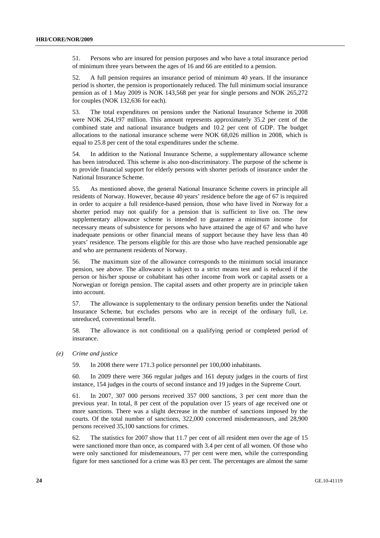51. Persons who are insured for pension purposes and who have a total insurance period of minimum three years between the ages of 16 and 66 are entitled to a pension.

52. A full pension requires an insurance period of minimum 40 years. If the insurance period is shorter, the pension is proportionately reduced. The full minimum social insurance pension as of 1 May 2009 is NOK 143,568 per year for single persons and NOK 265,272 for couples (NOK 132,636 for each).

53. The total expenditures on pensions under the National Insurance Scheme in 2008 were NOK 264,197 million. This amount represents approximately 35.2 per cent of the combined state and national insurance budgets and 10.2 per cent of GDP. The budget allocations to the national insurance scheme were NOK 68,026 million in 2008, which is equal to 25.8 per cent of the total expenditures under the scheme.

54. In addition to the National Insurance Scheme, a supplementary allowance scheme has been introduced. This scheme is also non-discriminatory. The purpose of the scheme is to provide financial support for elderly persons with shorter periods of insurance under the National Insurance Scheme.

55. As mentioned above, the general National Insurance Scheme covers in principle all residents of Norway. However, because 40 years' residence before the age of 67 is required in order to acquire a full residence-based pension, those who have lived in Norway for a shorter period may not qualify for a pension that is sufficient to live on. The new supplementary allowance scheme is intended to guarantee a minimum income for necessary means of subsistence for persons who have attained the age of 67 and who have inadequate pensions or other financial means of support because they have less than 40 years' residence. The persons eligible for this are those who have reached pensionable age and who are permanent residents of Norway.

56. The maximum size of the allowance corresponds to the minimum social insurance pension, see above. The allowance is subject to a strict means test and is reduced if the person or his/her spouse or cohabitant has other income from work or capital assets or a Norwegian or foreign pension. The capital assets and other property are in principle taken into account.

57. The allowance is supplementary to the ordinary pension benefits under the National Insurance Scheme, but excludes persons who are in receipt of the ordinary full, i.e. unreduced, conventional benefit.

58. The allowance is not conditional on a qualifying period or completed period of insurance.

 *(e) Crime and justice* 

59. In 2008 there were 171.3 police personnel per 100,000 inhabitants.

60. In 2009 there were 366 regular judges and 161 deputy judges in the courts of first instance, 154 judges in the courts of second instance and 19 judges in the Supreme Court.

61. In 2007, 307 000 persons received 357 000 sanctions, 3 per cent more than the previous year. In total, 8 per cent of the population over 15 years of age received one or more sanctions. There was a slight decrease in the number of sanctions imposed by the courts. Of the total number of sanctions, 322,000 concerned misdemeanours, and 28,900 persons received 35,100 sanctions for crimes.

62. The statistics for 2007 show that 11.7 per cent of all resident men over the age of 15 were sanctioned more than once, as compared with 3.4 per cent of all women. Of those who were only sanctioned for misdemeanours, 77 per cent were men, while the corresponding figure for men sanctioned for a crime was 83 per cent. The percentages are almost the same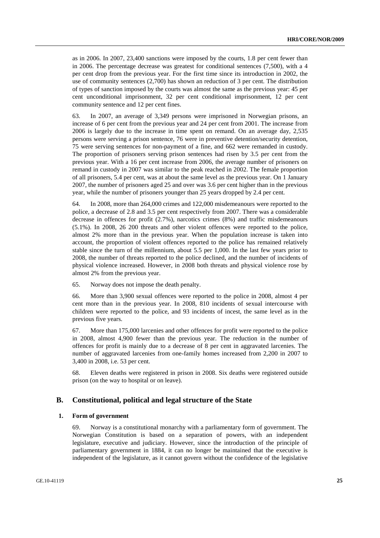as in 2006. In 2007, 23,400 sanctions were imposed by the courts, 1.8 per cent fewer than in 2006. The percentage decrease was greatest for conditional sentences (7,500), with a 4 per cent drop from the previous year. For the first time since its introduction in 2002, the use of community sentences (2,700) has shown an reduction of 3 per cent. The distribution of types of sanction imposed by the courts was almost the same as the previous year: 45 per cent unconditional imprisonment, 32 per cent conditional imprisonment, 12 per cent community sentence and 12 per cent fines.

63. In 2007, an average of 3,349 persons were imprisoned in Norwegian prisons, an increase of 6 per cent from the previous year and 24 per cent from 2001. The increase from 2006 is largely due to the increase in time spent on remand. On an average day, 2,535 persons were serving a prison sentence, 76 were in preventive detention/security detention, 75 were serving sentences for non-payment of a fine, and 662 were remanded in custody. The proportion of prisoners serving prison sentences had risen by 3.5 per cent from the previous year. With a 16 per cent increase from 2006, the average number of prisoners on remand in custody in 2007 was similar to the peak reached in 2002. The female proportion of all prisoners, 5.4 per cent, was at about the same level as the previous year. On 1 January 2007, the number of prisoners aged 25 and over was 3.6 per cent higher than in the previous year, while the number of prisoners younger than 25 years dropped by 2.4 per cent.

64. In 2008, more than 264,000 crimes and 122,000 misdemeanours were reported to the police, a decrease of 2.8 and 3.5 per cent respectively from 2007. There was a considerable decrease in offences for profit (2.7%), narcotics crimes (8%) and traffic misdemeanours (5.1%). In 2008, 26 200 threats and other violent offences were reported to the police, almost 2% more than in the previous year. When the population increase is taken into account, the proportion of violent offences reported to the police has remained relatively stable since the turn of the millennium, about 5.5 per 1,000. In the last few years prior to 2008, the number of threats reported to the police declined, and the number of incidents of physical violence increased. However, in 2008 both threats and physical violence rose by almost 2% from the previous year.

65. Norway does not impose the death penalty.

66. More than 3,900 sexual offences were reported to the police in 2008, almost 4 per cent more than in the previous year. In 2008, 810 incidents of sexual intercourse with children were reported to the police, and 93 incidents of incest, the same level as in the previous five years.

67. More than 175,000 larcenies and other offences for profit were reported to the police in 2008, almost 4,900 fewer than the previous year. The reduction in the number of offences for profit is mainly due to a decrease of 8 per cent in aggravated larcenies. The number of aggravated larcenies from one-family homes increased from 2,200 in 2007 to 3,400 in 2008, i.e. 53 per cent.

68. Eleven deaths were registered in prison in 2008. Six deaths were registered outside prison (on the way to hospital or on leave).

#### **B. Constitutional, political and legal structure of the State**

#### **1. Form of government**

69. Norway is a constitutional monarchy with a parliamentary form of government. The Norwegian Constitution is based on a separation of powers, with an independent legislature, executive and judiciary. However, since the introduction of the principle of parliamentary government in 1884, it can no longer be maintained that the executive is independent of the legislature, as it cannot govern without the confidence of the legislative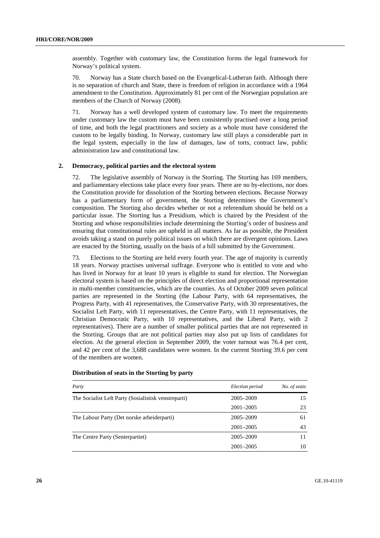assembly. Together with customary law, the Constitution forms the legal framework for Norway's political system.

70. Norway has a State church based on the Evangelical-Lutheran faith. Although there is no separation of church and State, there is freedom of religion in accordance with a 1964 amendment to the Constitution. Approximately 81 per cent of the Norwegian population are members of the Church of Norway (2008).

71. Norway has a well developed system of customary law. To meet the requirements under customary law the custom must have been consistently practised over a long period of time, and both the legal practitioners and society as a whole must have considered the custom to be legally binding. In Norway, customary law still plays a considerable part in the legal system, especially in the law of damages, law of torts, contract law, public administration law and constitutional law.

#### **2. Democracy, political parties and the electoral system**

72. The legislative assembly of Norway is the Storting. The Storting has 169 members, and parliamentary elections take place every four years. There are no by-elections, nor does the Constitution provide for dissolution of the Storting between elections. Because Norway has a parliamentary form of government, the Storting determines the Government's composition. The Storting also decides whether or not a referendum should be held on a particular issue. The Storting has a Presidium, which is chaired by the President of the Storting and whose responsibilities include determining the Storting's order of business and ensuring that constitutional rules are upheld in all matters. As far as possible, the President avoids taking a stand on purely political issues on which there are divergent opinions. Laws are enacted by the Storting, usually on the basis of a bill submitted by the Government.

73. Elections to the Storting are held every fourth year. The age of majority is currently 18 years. Norway practises universal suffrage. Everyone who is entitled to vote and who has lived in Norway for at least 10 years is eligible to stand for election. The Norwegian electoral system is based on the principles of direct election and proportional representation in multi-member constituencies, which are the counties. As of October 2009 seven political parties are represented in the Storting (the Labour Party, with 64 representatives, the Progress Party, with 41 representatives, the Conservative Party, with 30 representatives, the Socialist Left Party, with 11 representatives, the Centre Party, with 11 representatives, the Christian Democratic Party, with 10 representatives, and the Liberal Party, with 2 representatives). There are a number of smaller political parties that are not represented in the Storting. Groups that are not political parties may also put up lists of candidates for election. At the general election in September 2009, the voter turnout was 76.4 per cent, and 42 per cent of the 3,688 candidates were women. In the current Storting 39.6 per cent of the members are women.

| Party                                                | Election period | No. of seats |
|------------------------------------------------------|-----------------|--------------|
| The Socialist Left Party (Sosialistisk venstreparti) | 2005–2009       | 15           |
|                                                      | $2001 - 2005$   | 23           |
| The Labour Party (Det norske arbeiderparti)          | 2005-2009       | 61           |
|                                                      | $2001 - 2005$   | 43           |
| The Centre Party (Senterpartiet)                     | 2005-2009       |              |
|                                                      | $2001 - 2005$   | 10           |

#### **Distribution of seats in the Storting by party**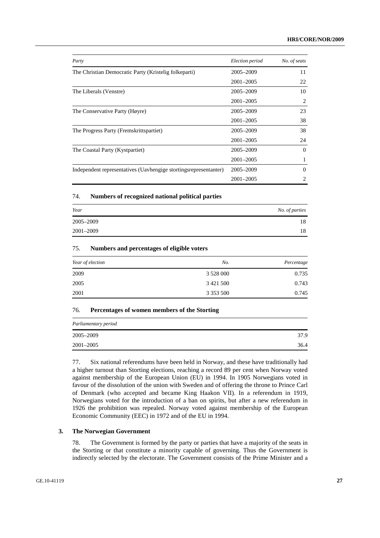| Party                                                            | Election period | No. of seats |
|------------------------------------------------------------------|-----------------|--------------|
| The Christian Democratic Party (Kristelig folkeparti)            | 2005–2009       | 11           |
|                                                                  | $2001 - 2005$   | 22           |
| The Liberals (Venstre)                                           | 2005-2009       | 10           |
|                                                                  | $2001 - 2005$   | 2            |
| The Conservative Party (Høyre)                                   | 2005-2009       | 23           |
|                                                                  | $2001 - 2005$   | 38           |
| The Progress Party (Fremskrittspartiet)                          | 2005-2009       | 38           |
|                                                                  | $2001 - 2005$   | 24           |
| The Coastal Party (Kystpartiet)                                  | 2005-2009       | $\Omega$     |
|                                                                  | $2001 - 2005$   |              |
| Independent representatives (Uavhengige stortingsrepresentanter) | 2005-2009       | $\Omega$     |
|                                                                  | $2001 - 2005$   | 2            |

## 74. **Numbers of recognized national political parties**

| Year      | No. of parties |
|-----------|----------------|
| 2005-2009 | 18             |
| 2001-2009 | 18             |

#### 75. **Numbers and percentages of eligible voters**

| Year of election | No.           | Percentage |
|------------------|---------------|------------|
| 2009             | 3 5 28 0 00   | 0.735      |
| 2005             | 3 4 21 5 00   | 0.743      |
| 2001             | 3 3 5 3 5 0 0 | 0.745      |

#### 76. **Percentages of women members of the Storting**

| Parliamentary period |      |
|----------------------|------|
| 2005–2009            | 37.9 |
| 2001-2005            | 36.4 |

77. Six national referendums have been held in Norway, and these have traditionally had a higher turnout than Storting elections, reaching a record 89 per cent when Norway voted against membership of the European Union (EU) in 1994. In 1905 Norwegians voted in favour of the dissolution of the union with Sweden and of offering the throne to Prince Carl of Denmark (who accepted and became King Haakon VII). In a referendum in 1919, Norwegians voted for the introduction of a ban on spirits, but after a new referendum in 1926 the prohibition was repealed. Norway voted against membership of the European Economic Community (EEC) in 1972 and of the EU in 1994.

#### **3. The Norwegian Government**

78. The Government is formed by the party or parties that have a majority of the seats in the Storting or that constitute a minority capable of governing. Thus the Government is indirectly selected by the electorate. The Government consists of the Prime Minister and a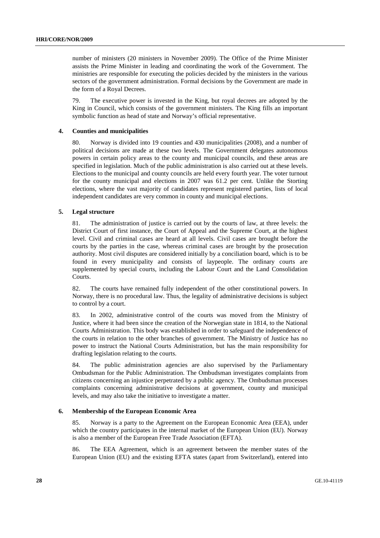number of ministers (20 ministers in November 2009). The Office of the Prime Minister assists the Prime Minister in leading and coordinating the work of the Government. The ministries are responsible for executing the policies decided by the ministers in the various sectors of the government administration. Formal decisions by the Government are made in the form of a Royal Decrees.

79. The executive power is invested in the King, but royal decrees are adopted by the King in Council, which consists of the government ministers. The King fills an important symbolic function as head of state and Norway's official representative.

#### **4. Counties and municipalities**

80. Norway is divided into 19 counties and 430 municipalities (2008), and a number of political decisions are made at these two levels. The Government delegates autonomous powers in certain policy areas to the county and municipal councils, and these areas are specified in legislation. Much of the public administration is also carried out at these levels. Elections to the municipal and county councils are held every fourth year. The voter turnout for the county municipal and elections in 2007 was 61.2 per cent. Unlike the Storting elections, where the vast majority of candidates represent registered parties, lists of local independent candidates are very common in county and municipal elections.

#### **5. Legal structure**

81. The administration of justice is carried out by the courts of law, at three levels: the District Court of first instance, the Court of Appeal and the Supreme Court, at the highest level. Civil and criminal cases are heard at all levels. Civil cases are brought before the courts by the parties in the case, whereas criminal cases are brought by the prosecution authority. Most civil disputes are considered initially by a conciliation board, which is to be found in every municipality and consists of laypeople. The ordinary courts are supplemented by special courts, including the Labour Court and the Land Consolidation Courts.

82. The courts have remained fully independent of the other constitutional powers. In Norway, there is no procedural law. Thus, the legality of administrative decisions is subject to control by a court.

83. In 2002, administrative control of the courts was moved from the Ministry of Justice, where it had been since the creation of the Norwegian state in 1814, to the National Courts Administration. This body was established in order to safeguard the independence of the courts in relation to the other branches of government. The Ministry of Justice has no power to instruct the National Courts Administration, but has the main responsibility for drafting legislation relating to the courts.

84. The public administration agencies are also supervised by the Parliamentary Ombudsman for the Public Administration. The Ombudsman investigates complaints from citizens concerning an injustice perpetrated by a public agency. The Ombudsman processes complaints concerning administrative decisions at government, county and municipal levels, and may also take the initiative to investigate a matter.

#### **6. Membership of the European Economic Area**

85. Norway is a party to the Agreement on the European Economic Area (EEA), under which the country participates in the internal market of the European Union (EU). Norway is also a member of the European Free Trade Association (EFTA).

86. The EEA Agreement, which is an agreement between the member states of the European Union (EU) and the existing EFTA states (apart from Switzerland), entered into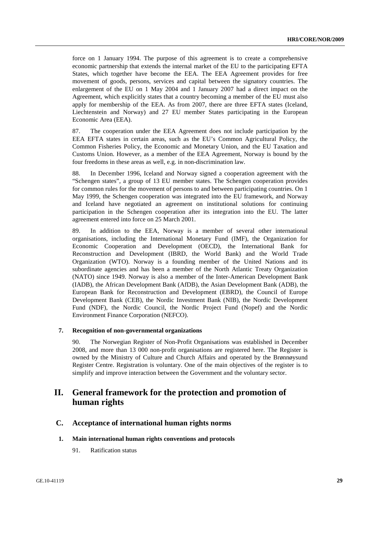force on 1 January 1994. The purpose of this agreement is to create a comprehensive economic partnership that extends the internal market of the EU to the participating EFTA States, which together have become the EEA. The EEA Agreement provides for free movement of goods, persons, services and capital between the signatory countries. The enlargement of the EU on 1 May 2004 and 1 January 2007 had a direct impact on the Agreement, which explicitly states that a country becoming a member of the EU must also apply for membership of the EEA. As from 2007, there are three EFTA states (Iceland, Liechtenstein and Norway) and 27 EU member States participating in the European Economic Area (EEA).

87. The cooperation under the EEA Agreement does not include participation by the EEA EFTA states in certain areas, such as the EU's Common Agricultural Policy, the Common Fisheries Policy, the Economic and Monetary Union, and the EU Taxation and Customs Union. However, as a member of the EEA Agreement, Norway is bound by the four freedoms in these areas as well, e.g. in non-discrimination law.

88. In December 1996, Iceland and Norway signed a cooperation agreement with the "Schengen states", a group of 13 EU member states. The Schengen cooperation provides for common rules for the movement of persons to and between participating countries. On 1 May 1999, the Schengen cooperation was integrated into the EU framework, and Norway and Iceland have negotiated an agreement on institutional solutions for continuing participation in the Schengen cooperation after its integration into the EU. The latter agreement entered into force on 25 March 2001.

89. In addition to the EEA, Norway is a member of several other international organisations, including the International Monetary Fund (IMF), the Organization for Economic Cooperation and Development (OECD), the International Bank for Reconstruction and Development (IBRD, the World Bank) and the World Trade Organization (WTO). Norway is a founding member of the United Nations and its subordinate agencies and has been a member of the North Atlantic Treaty Organization (NATO) since 1949. Norway is also a member of the Inter-American Development Bank (IADB), the African Development Bank (AfDB), the Asian Development Bank (ADB), the European Bank for Reconstruction and Development (EBRD), the Council of Europe Development Bank (CEB), the Nordic Investment Bank (NIB), the Nordic Development Fund (NDF), the Nordic Council, the Nordic Project Fund (Nopef) and the Nordic Environment Finance Corporation (NEFCO).

#### **7. Recognition of non-governmental organizations**

90. The Norwegian Register of Non-Profit Organisations was established in December 2008, and more than 13 000 non-profit organisations are registered here. The Register is owned by the Ministry of Culture and Church Affairs and operated by the Brønnøysund Register Centre. Registration is voluntary. One of the main objectives of the register is to simplify and improve interaction between the Government and the voluntary sector.

## **II. General framework for the protection and promotion of human rights**

## **C. Acceptance of international human rights norms**

#### **1. Main international human rights conventions and protocols**

91. Ratification status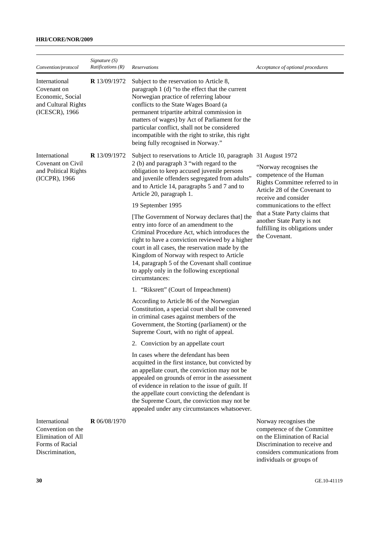## **HRI/CORE/NOR/2009**

| Convention/protocol                                                                            | Signature $(S)$<br><i>Ratifications (R)</i> | Reservations                                                                                                                                                                                                                                                                                                                                                                                                               | Acceptance of optional procedures                                                                                                                                                                                                                                                 |
|------------------------------------------------------------------------------------------------|---------------------------------------------|----------------------------------------------------------------------------------------------------------------------------------------------------------------------------------------------------------------------------------------------------------------------------------------------------------------------------------------------------------------------------------------------------------------------------|-----------------------------------------------------------------------------------------------------------------------------------------------------------------------------------------------------------------------------------------------------------------------------------|
| International<br>Covenant on<br>Economic, Social<br>and Cultural Rights<br>(ICESCR), 1966      | <b>R</b> 13/09/1972                         | Subject to the reservation to Article 8,<br>paragraph 1 (d) "to the effect that the current<br>Norwegian practice of referring labour<br>conflicts to the State Wages Board (a<br>permanent tripartite arbitral commission in<br>matters of wages) by Act of Parliament for the<br>particular conflict, shall not be considered<br>incompatible with the right to strike, this right<br>being fully recognised in Norway." |                                                                                                                                                                                                                                                                                   |
| International<br>Covenant on Civil<br>and Political Rights<br>(ICCPR), 1966                    | R 13/09/1972                                | Subject to reservations to Article 10, paragraph 31 August 1972<br>2 (b) and paragraph 3 "with regard to the<br>obligation to keep accused juvenile persons<br>and juvenile offenders segregated from adults"<br>and to Article 14, paragraphs 5 and 7 and to<br>Article 20, paragraph 1.<br>19 September 1995<br>[The Government of Norway declares that] the<br>entry into force of an amendment to the                  | "Norway recognises the<br>competence of the Human<br>Rights Committee referred to in<br>Article 28 of the Covenant to<br>receive and consider<br>communications to the effect<br>that a State Party claims that<br>another State Party is not<br>fulfilling its obligations under |
|                                                                                                |                                             | Criminal Procedure Act, which introduces the<br>right to have a conviction reviewed by a higher<br>court in all cases, the reservation made by the<br>Kingdom of Norway with respect to Article<br>14, paragraph 5 of the Covenant shall continue<br>to apply only in the following exceptional<br>circumstances:                                                                                                          | the Covenant.                                                                                                                                                                                                                                                                     |
|                                                                                                |                                             | 1. "Riksrett" (Court of Impeachment)                                                                                                                                                                                                                                                                                                                                                                                       |                                                                                                                                                                                                                                                                                   |
|                                                                                                |                                             | According to Article 86 of the Norwegian<br>Constitution, a special court shall be convened<br>in criminal cases against members of the<br>Government, the Storting (parliament) or the<br>Supreme Court, with no right of appeal.                                                                                                                                                                                         |                                                                                                                                                                                                                                                                                   |
|                                                                                                |                                             | 2. Conviction by an appellate court                                                                                                                                                                                                                                                                                                                                                                                        |                                                                                                                                                                                                                                                                                   |
|                                                                                                |                                             | In cases where the defendant has been<br>acquitted in the first instance, but convicted by<br>an appellate court, the conviction may not be<br>appealed on grounds of error in the assessment<br>of evidence in relation to the issue of guilt. If<br>the appellate court convicting the defendant is<br>the Supreme Court, the conviction may not be<br>appealed under any circumstances whatsoever.                      |                                                                                                                                                                                                                                                                                   |
| International<br>Convention on the<br>Elimination of All<br>Forms of Racial<br>Discrimination, | <b>R</b> 06/08/1970                         |                                                                                                                                                                                                                                                                                                                                                                                                                            | Norway recognises the<br>competence of the Committee<br>on the Elimination of Racial<br>Discrimination to receive and<br>considers communications from<br>individuals or groups of                                                                                                |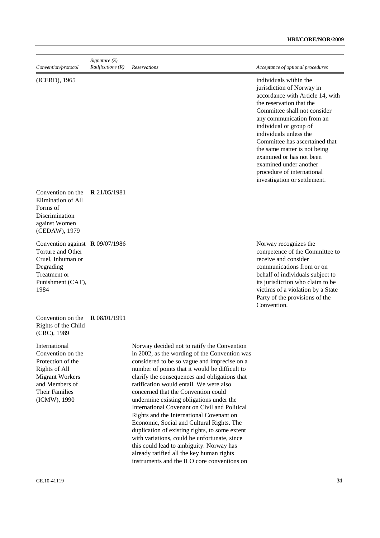| Convention/protocol                                                                                                                                           | Signature $(S)$<br><i>Ratifications</i> $(R)$ | Reservations                                                                                                                                                                                                                                                                                                                                                                                                                                                                                                                                                                                                                                                                                                                                                      | Acceptance of optional procedures                                                                                                                                                                                                                                                                                                                                                                                          |
|---------------------------------------------------------------------------------------------------------------------------------------------------------------|-----------------------------------------------|-------------------------------------------------------------------------------------------------------------------------------------------------------------------------------------------------------------------------------------------------------------------------------------------------------------------------------------------------------------------------------------------------------------------------------------------------------------------------------------------------------------------------------------------------------------------------------------------------------------------------------------------------------------------------------------------------------------------------------------------------------------------|----------------------------------------------------------------------------------------------------------------------------------------------------------------------------------------------------------------------------------------------------------------------------------------------------------------------------------------------------------------------------------------------------------------------------|
| (ICERD), 1965                                                                                                                                                 |                                               |                                                                                                                                                                                                                                                                                                                                                                                                                                                                                                                                                                                                                                                                                                                                                                   | individuals within the<br>jurisdiction of Norway in<br>accordance with Article 14, with<br>the reservation that the<br>Committee shall not consider<br>any communication from an<br>individual or group of<br>individuals unless the<br>Committee has ascertained that<br>the same matter is not being<br>examined or has not been<br>examined under another<br>procedure of international<br>investigation or settlement. |
| Convention on the<br>Elimination of All<br>Forms of<br>Discrimination<br>against Women<br>(CEDAW), 1979                                                       | <b>R</b> 21/05/1981                           |                                                                                                                                                                                                                                                                                                                                                                                                                                                                                                                                                                                                                                                                                                                                                                   |                                                                                                                                                                                                                                                                                                                                                                                                                            |
| Convention against R 09/07/1986<br>Torture and Other<br>Cruel, Inhuman or<br>Degrading<br>Treatment or<br>Punishment (CAT),<br>1984                           |                                               |                                                                                                                                                                                                                                                                                                                                                                                                                                                                                                                                                                                                                                                                                                                                                                   | Norway recognizes the<br>competence of the Committee to<br>receive and consider<br>communications from or on<br>behalf of individuals subject to<br>its jurisdiction who claim to be<br>victims of a violation by a State<br>Party of the provisions of the<br>Convention.                                                                                                                                                 |
| Convention on the<br>Rights of the Child<br>(CRC), 1989                                                                                                       | <b>R</b> 08/01/1991                           |                                                                                                                                                                                                                                                                                                                                                                                                                                                                                                                                                                                                                                                                                                                                                                   |                                                                                                                                                                                                                                                                                                                                                                                                                            |
| International<br>Convention on the<br>Protection of the<br>Rights of All<br><b>Migrant Workers</b><br>and Members of<br><b>Their Families</b><br>(ICMW), 1990 |                                               | Norway decided not to ratify the Convention<br>in 2002, as the wording of the Convention was<br>considered to be so vague and imprecise on a<br>number of points that it would be difficult to<br>clarify the consequences and obligations that<br>ratification would entail. We were also<br>concerned that the Convention could<br>undermine existing obligations under the<br>International Covenant on Civil and Political<br>Rights and the International Covenant on<br>Economic, Social and Cultural Rights. The<br>duplication of existing rights, to some extent<br>with variations, could be unfortunate, since<br>this could lead to ambiguity. Norway has<br>already ratified all the key human rights<br>instruments and the ILO core conventions on |                                                                                                                                                                                                                                                                                                                                                                                                                            |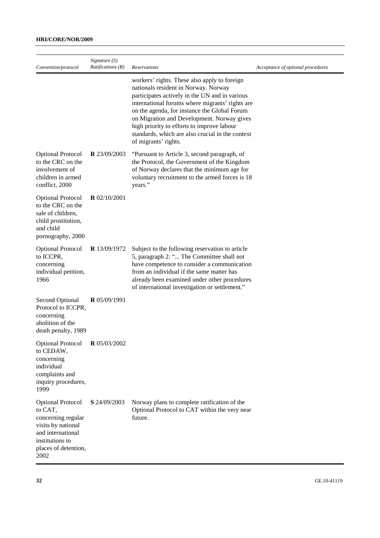## **HRI/CORE/NOR/2009**

| Convention/protocol                                                                                                                                     | Signature $(S)$<br>Ratifications (R) | <b>Reservations</b>                                                                                                                                                                                                                                                                                                                                                                                               | Acceptance of optional procedures |
|---------------------------------------------------------------------------------------------------------------------------------------------------------|--------------------------------------|-------------------------------------------------------------------------------------------------------------------------------------------------------------------------------------------------------------------------------------------------------------------------------------------------------------------------------------------------------------------------------------------------------------------|-----------------------------------|
|                                                                                                                                                         |                                      | workers' rights. These also apply to foreign<br>nationals resident in Norway. Norway<br>participates actively in the UN and in various<br>international forums where migrants' rights are<br>on the agenda, for instance the Global Forum<br>on Migration and Development. Norway gives<br>high priority to efforts to improve labour<br>standards, which are also crucial in the context<br>of migrants' rights. |                                   |
| <b>Optional Protocol</b><br>to the CRC on the<br>involvement of<br>children in armed<br>conflict, 2000                                                  | <b>R</b> 23/09/2003                  | "Pursuant to Article 3, second paragraph, of<br>the Protocol, the Government of the Kingdom<br>of Norway declares that the minimum age for<br>voluntary recruitment to the armed forces is 18<br>years."                                                                                                                                                                                                          |                                   |
| <b>Optional Protocol</b><br>to the CRC on the<br>sale of children,<br>child prostitution,<br>and child<br>pornography, 2000                             | $R$ 02/10/2001                       |                                                                                                                                                                                                                                                                                                                                                                                                                   |                                   |
| <b>Optional Protocol</b><br>to ICCPR,<br>concerning<br>individual petition,<br>1966                                                                     | <b>R</b> 13/09/1972                  | Subject to the following reservation to article<br>5, paragraph 2: " The Committee shall not<br>have competence to consider a communication<br>from an individual if the same matter has<br>already been examined under other procedures<br>of international investigation or settlement."                                                                                                                        |                                   |
| <b>Second Optional</b><br>Protocol to ICCPR,<br>concerning<br>abolition of the<br>death penalty, 1989                                                   | $R$ 05/09/1991                       |                                                                                                                                                                                                                                                                                                                                                                                                                   |                                   |
| <b>Optional Protocol</b><br>to CEDAW,<br>concerning<br>individual<br>complaints and<br>inquiry procedures,<br>1999                                      | <b>R</b> 05/03/2002                  |                                                                                                                                                                                                                                                                                                                                                                                                                   |                                   |
| <b>Optional Protocol</b><br>to CAT,<br>concerning regular<br>visits by national<br>and international<br>institutions to<br>places of detention,<br>2002 | S 24/09/2003                         | Norway plans to complete ratification of the<br>Optional Protocol to CAT within the very near<br>future.                                                                                                                                                                                                                                                                                                          |                                   |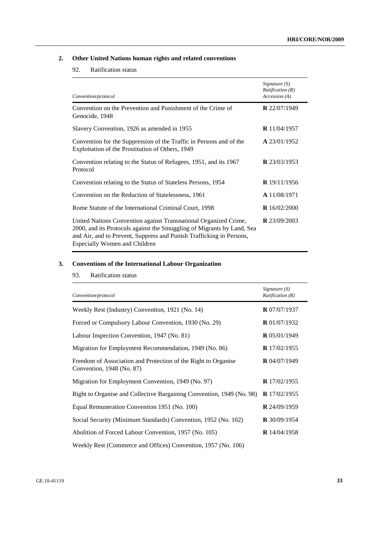## **2. Other United Nations human rights and related conventions**

## 92. Ratification status

| Convention/protocol                                                                                                                                                                                                                                        | Signature $(S)$<br>Ratification(R)<br>Accession (A) |
|------------------------------------------------------------------------------------------------------------------------------------------------------------------------------------------------------------------------------------------------------------|-----------------------------------------------------|
| Convention on the Prevention and Punishment of the Crime of<br>Genocide, 1948                                                                                                                                                                              | R 22/07/1949                                        |
| Slavery Convention, 1926 as amended in 1955                                                                                                                                                                                                                | <b>R</b> $11/04/1957$                               |
| Convention for the Suppression of the Traffic in Persons and of the<br>Exploitation of the Prostitution of Others, 1949                                                                                                                                    | $\mathbf{A}$ 23/01/1952                             |
| Convention relating to the Status of Refugees, 1951, and its 1967<br>Protocol                                                                                                                                                                              | <b>R</b> 23/03/1953                                 |
| Convention relating to the Status of Stateless Persons, 1954                                                                                                                                                                                               | <b>R</b> $19/11/1956$                               |
| Convention on the Reduction of Statelessness, 1961                                                                                                                                                                                                         | A 11/08/1971                                        |
| Rome Statute of the International Criminal Court, 1998                                                                                                                                                                                                     | <b>R</b> $16/02/2000$                               |
| United Nations Convention against Transnational Organized Crime,<br>2000, and its Protocols against the Smuggling of Migrants by Land, Sea<br>and Air, and to Prevent, Suppress and Punish Trafficking in Persons,<br><b>Especially Women and Children</b> | <b>R</b> 23/09/2003                                 |

## **3. Conventions of the International Labour Organization**

## 93. Ratification status

| Convention/protocol                                                                         | Signature $(S)$<br>Ratification(R) |
|---------------------------------------------------------------------------------------------|------------------------------------|
| Weekly Rest (Industry) Convention, 1921 (No. 14)                                            | <b>R</b> 07/07/1937                |
| Forced or Compulsory Labour Convention, 1930 (No. 29)                                       | <b>R</b> 01/07/1932                |
| Labour Inspection Convention, 1947 (No. 81)                                                 | $R$ 05/01/1949                     |
| Migration for Employment Recommendation, 1949 (No. 86)                                      | <b>R</b> 17/02/1955                |
| Freedom of Association and Protection of the Right to Organise<br>Convention, 1948 (No. 87) | $R$ 04/07/1949                     |
| Migration for Employment Convention, 1949 (No. 97)                                          | <b>R</b> $17/02/1955$              |
| Right to Organise and Collective Bargaining Convention, 1949 (No. 98)                       | R 17/02/1955                       |
| Equal Remuneration Convention 1951 (No. 100)                                                | <b>R</b> 24/09/1959                |
| Social Security (Minimum Standards) Convention, 1952 (No. 102)                              | $R$ 30/09/1954                     |
| Abolition of Forced Labour Convention, 1957 (No. 105)                                       | <b>R</b> $14/04/1958$              |
| Weekly Rest (Commerce and Offices) Convention, 1957 (No. 106)                               |                                    |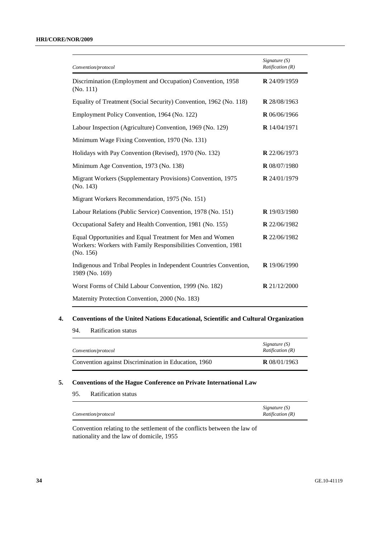| Convention/protocol                                                                                                                      | Signature $(S)$<br>Ratification(R) |
|------------------------------------------------------------------------------------------------------------------------------------------|------------------------------------|
| Discrimination (Employment and Occupation) Convention, 1958<br>(No. 111)                                                                 | R 24/09/1959                       |
| Equality of Treatment (Social Security) Convention, 1962 (No. 118)                                                                       | R 28/08/1963                       |
| Employment Policy Convention, 1964 (No. 122)                                                                                             | R 06/06/1966                       |
| Labour Inspection (Agriculture) Convention, 1969 (No. 129)                                                                               | R 14/04/1971                       |
| Minimum Wage Fixing Convention, 1970 (No. 131)                                                                                           |                                    |
| Holidays with Pay Convention (Revised), 1970 (No. 132)                                                                                   | R 22/06/1973                       |
| Minimum Age Convention, 1973 (No. 138)                                                                                                   | <b>R</b> 08/07/1980                |
| Migrant Workers (Supplementary Provisions) Convention, 1975<br>(No. 143)                                                                 | <b>R</b> 24/01/1979                |
| Migrant Workers Recommendation, 1975 (No. 151)                                                                                           |                                    |
| Labour Relations (Public Service) Convention, 1978 (No. 151)                                                                             | <b>R</b> 19/03/1980                |
| Occupational Safety and Health Convention, 1981 (No. 155)                                                                                | R 22/06/1982                       |
| Equal Opportunities and Equal Treatment for Men and Women<br>Workers: Workers with Family Responsibilities Convention, 1981<br>(No. 156) | R 22/06/1982                       |
| Indigenous and Tribal Peoples in Independent Countries Convention,<br>1989 (No. 169)                                                     | <b>R</b> $19/06/1990$              |
| Worst Forms of Child Labour Convention, 1999 (No. 182)                                                                                   | <b>R</b> $21/12/2000$              |
| Maternity Protection Convention, 2000 (No. 183)                                                                                          |                                    |

### **4. Conventions of the United Nations Educational, Scientific and Cultural Organization**

94. Ratification status

| Convention/protocol                                  | Signature (S)<br><i>Ratification</i> $(R)$ |
|------------------------------------------------------|--------------------------------------------|
| Convention against Discrimination in Education, 1960 | <b>R</b> $08/01/1963$                      |

## **5. Conventions of the Hague Conference on Private International Law**

|                     | Signature $(S)$           |
|---------------------|---------------------------|
| Convention/protocol | <i>Ratification</i> $(R)$ |

Convention relating to the settlement of the conflicts between the law of nationality and the law of domicile, 1955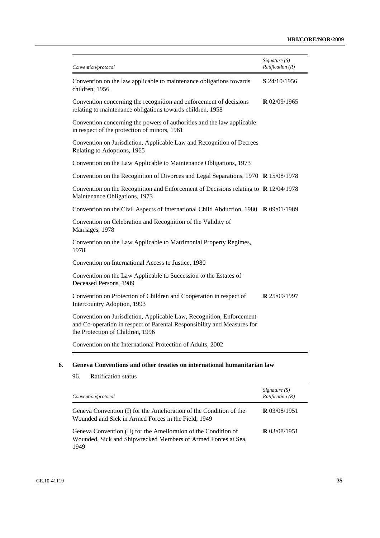| Convention/protocol                                                                                                                                                                 | Signature (S)<br>Ratification (R) |
|-------------------------------------------------------------------------------------------------------------------------------------------------------------------------------------|-----------------------------------|
| Convention on the law applicable to maintenance obligations towards<br>children, 1956                                                                                               | S 24/10/1956                      |
| Convention concerning the recognition and enforcement of decisions<br>relating to maintenance obligations towards children, 1958                                                    | $R$ 02/09/1965                    |
| Convention concerning the powers of authorities and the law applicable<br>in respect of the protection of minors, 1961                                                              |                                   |
| Convention on Jurisdiction, Applicable Law and Recognition of Decrees<br>Relating to Adoptions, 1965                                                                                |                                   |
| Convention on the Law Applicable to Maintenance Obligations, 1973                                                                                                                   |                                   |
| Convention on the Recognition of Divorces and Legal Separations, 1970 R 15/08/1978                                                                                                  |                                   |
| Convention on the Recognition and Enforcement of Decisions relating to $\bf{R}$ 12/04/1978<br>Maintenance Obligations, 1973                                                         |                                   |
| Convention on the Civil Aspects of International Child Abduction, 1980                                                                                                              | <b>R</b> 09/01/1989               |
| Convention on Celebration and Recognition of the Validity of<br>Marriages, 1978                                                                                                     |                                   |
| Convention on the Law Applicable to Matrimonial Property Regimes,<br>1978                                                                                                           |                                   |
| Convention on International Access to Justice, 1980                                                                                                                                 |                                   |
| Convention on the Law Applicable to Succession to the Estates of<br>Deceased Persons, 1989                                                                                          |                                   |
| Convention on Protection of Children and Cooperation in respect of<br>Intercountry Adoption, 1993                                                                                   | R 25/09/1997                      |
| Convention on Jurisdiction, Applicable Law, Recognition, Enforcement<br>and Co-operation in respect of Parental Responsibility and Measures for<br>the Protection of Children, 1996 |                                   |
| Convention on the International Protection of Adults, 2002                                                                                                                          |                                   |

## **6. Geneva Conventions and other treaties on international humanitarian law**

| <b>Ratification</b> status<br>96.                                                                                                        |                                    |
|------------------------------------------------------------------------------------------------------------------------------------------|------------------------------------|
| Convention/protocol                                                                                                                      | Signature $(S)$<br>Ratification(R) |
| Geneva Convention (I) for the Amelioration of the Condition of the<br>Wounded and Sick in Armed Forces in the Field, 1949                | <b>R</b> $03/08/1951$              |
| Geneva Convention (II) for the Amelioration of the Condition of<br>Wounded, Sick and Shipwrecked Members of Armed Forces at Sea,<br>1949 | <b>R</b> $03/08/1951$              |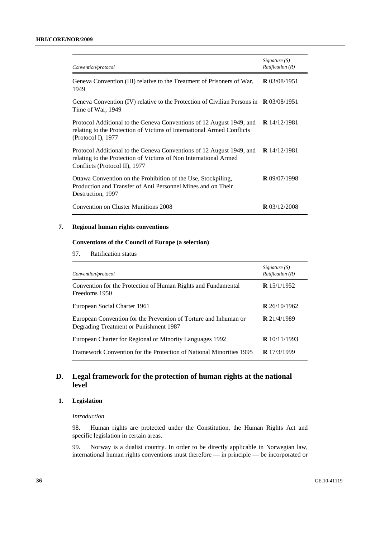| Convention/protocol                                                                                                                                                       | Signature $(S)$<br><i>Ratification</i> $(R)$ |
|---------------------------------------------------------------------------------------------------------------------------------------------------------------------------|----------------------------------------------|
| Geneva Convention (III) relative to the Treatment of Prisoners of War,<br>1949                                                                                            | <b>R</b> $03/08/1951$                        |
| Geneva Convention (IV) relative to the Protection of Civilian Persons in $\mathbb{R}$ 03/08/1951<br>Time of War, 1949                                                     |                                              |
| Protocol Additional to the Geneva Conventions of 12 August 1949, and<br>relating to the Protection of Victims of International Armed Conflicts<br>(Protocol I), $1977$    | <b>R</b> $14/12/1981$                        |
| Protocol Additional to the Geneva Conventions of 12 August 1949, and<br>relating to the Protection of Victims of Non International Armed<br>Conflicts (Protocol II), 1977 | <b>R</b> $14/12/1981$                        |
| Ottawa Convention on the Prohibition of the Use, Stockpiling,<br>Production and Transfer of Anti Personnel Mines and on Their<br>Destruction, 1997                        | <b>R</b> 09/07/1998                          |
| Convention on Cluster Munitions 2008                                                                                                                                      | <b>R</b> $03/12/2008$                        |

## **7. Regional human rights conventions**

## **Conventions of the Council of Europe (a selection)**

97. Ratification status

| Convention/protocol                                                                                        | Signature $(S)$<br><i>Ratification</i> $(R)$ |
|------------------------------------------------------------------------------------------------------------|----------------------------------------------|
| Convention for the Protection of Human Rights and Fundamental<br>Freedoms 1950                             | <b>R</b> $15/1/1952$                         |
| European Social Charter 1961                                                                               | <b>R</b> $26/10/1962$                        |
| European Convention for the Prevention of Torture and Inhuman or<br>Degrading Treatment or Punishment 1987 | <b>R</b> 21/4/1989                           |
| European Charter for Regional or Minority Languages 1992                                                   | <b>R</b> $10/11/1993$                        |
| <b>Framework Convention for the Protection of National Minorities 1995</b>                                 | <b>R</b> $17/3/1999$                         |

## **D. Legal framework for the protection of human rights at the national level**

## **1. Legislation**

#### *Introduction*

98. Human rights are protected under the Constitution, the Human Rights Act and specific legislation in certain areas.

99. Norway is a dualist country. In order to be directly applicable in Norwegian law, international human rights conventions must therefore — in principle — be incorporated or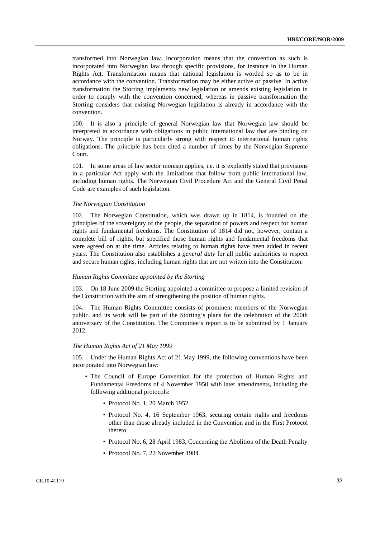transformed into Norwegian law. Incorporation means that the convention as such is incorporated into Norwegian law through specific provisions, for instance in the Human Rights Act. Transformation means that national legislation is worded so as to be in accordance with the convention. Transformation may be either active or passive. In active transformation the Storting implements new legislation or amends existing legislation in order to comply with the convention concerned, whereas in passive transformation the Storting considers that existing Norwegian legislation is already in accordance with the convention.

100. It is also a principle of general Norwegian law that Norwegian law should be interpreted in accordance with obligations in public international law that are binding on Norway. The principle is particularly strong with respect to international human rights obligations. The principle has been cited a number of times by the Norwegian Supreme Court.

101. In some areas of law sector monism applies, i.e. it is explicitly stated that provisions in a particular Act apply with the limitations that follow from public international law, including human rights. The Norwegian Civil Procedure Act and the General Civil Penal Code are examples of such legislation.

#### *The Norwegian Constitution*

102. The Norwegian Constitution, which was drawn up in 1814, is founded on the principles of the sovereignty of the people, the separation of powers and respect for human rights and fundamental freedoms. The Constitution of 1814 did not, however, contain a complete bill of rights, but specified those human rights and fundamental freedoms that were agreed on at the time. Articles relating to human rights have been added in recent years. The Constitution also establishes a *general duty* for all public authorities to respect and secure human rights, including human rights that are not written into the Constitution.

#### *Human Rights Committee appointed by the Storting*

103. On 18 June 2009 the Storting appointed a committee to propose a limited revision of the Constitution with the aim of strengthening the position of human rights.

104. The Human Rights Committee consists of prominent members of the Norwegian public, and its work will be part of the Storting's plans for the celebration of the 200th anniversary of the Constitution. The Committee's report is to be submitted by 1 January 2012.

#### *The Human Rights Act of 21 May 1999*

105. Under the Human Rights Act of 21 May 1999, the following conventions have been incorporated into Norwegian law:

- The Council of Europe Convention for the protection of Human Rights and Fundamental Freedoms of 4 November 1950 with later amendments, including the following additional protocols:
	- Protocol No. 1, 20 March 1952
	- Protocol No. 4, 16 September 1963, securing certain rights and freedoms other than those already included in the Convention and in the First Protocol thereto
	- Protocol No. 6, 28 April 1983, Concerning the Abolition of the Death Penalty
	- Protocol No. 7, 22 November 1984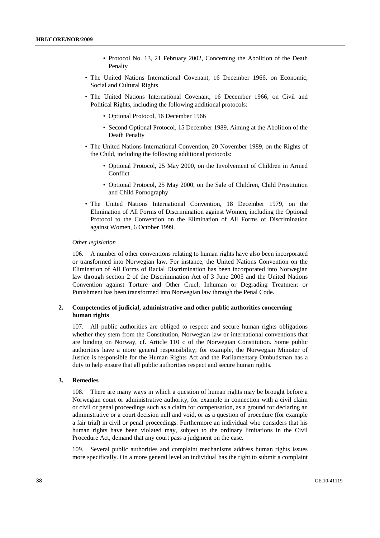- Protocol No. 13, 21 February 2002, Concerning the Abolition of the Death Penalty
- The United Nations International Covenant, 16 December 1966, on Economic, Social and Cultural Rights
- The United Nations International Covenant, 16 December 1966, on Civil and Political Rights, including the following additional protocols:
	- Optional Protocol, 16 December 1966
	- Second Optional Protocol, 15 December 1989, Aiming at the Abolition of the Death Penalty
- The United Nations International Convention, 20 November 1989, on the Rights of the Child, including the following additional protocols:
	- Optional Protocol, 25 May 2000, on the Involvement of Children in Armed **Conflict**
	- Optional Protocol, 25 May 2000, on the Sale of Children, Child Prostitution and Child Pornography
- The United Nations International Convention, 18 December 1979, on the Elimination of All Forms of Discrimination against Women, including the Optional Protocol to the Convention on the Elimination of All Forms of Discrimination against Women, 6 October 1999.

#### *Other legislation*

106. A number of other conventions relating to human rights have also been incorporated or transformed into Norwegian law. For instance, the United Nations Convention on the Elimination of All Forms of Racial Discrimination has been incorporated into Norwegian law through section 2 of the Discrimination Act of 3 June 2005 and the United Nations Convention against Torture and Other Cruel, Inhuman or Degrading Treatment or Punishment has been transformed into Norwegian law through the Penal Code.

#### **2. Competencies of judicial, administrative and other public authorities concerning human rights**

107. All public authorities are obliged to respect and secure human rights obligations whether they stem from the Constitution, Norwegian law or international conventions that are binding on Norway, cf. Article 110 c of the Norwegian Constitution. Some public authorities have a more general responsibility; for example, the Norwegian Minister of Justice is responsible for the Human Rights Act and the Parliamentary Ombudsman has a duty to help ensure that all public authorities respect and secure human rights.

### **3. Remedies**

108. There are many ways in which a question of human rights may be brought before a Norwegian court or administrative authority, for example in connection with a civil claim or civil or penal proceedings such as a claim for compensation, as a ground for declaring an administrative or a court decision null and void, or as a question of procedure (for example a fair trial) in civil or penal proceedings. Furthermore an individual who considers that his human rights have been violated may, subject to the ordinary limitations in the Civil Procedure Act, demand that any court pass a judgment on the case.

109. Several public authorities and complaint mechanisms address human rights issues more specifically. On a more general level an individual has the right to submit a complaint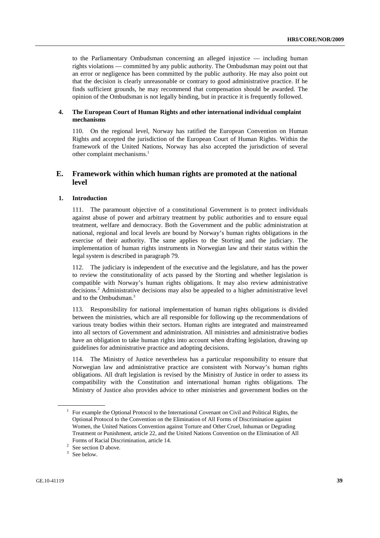to the Parliamentary Ombudsman concerning an alleged injustice — including human rights violations — committed by any public authority. The Ombudsman may point out that an error or negligence has been committed by the public authority. He may also point out that the decision is clearly unreasonable or contrary to good administrative practice. If he finds sufficient grounds, he may recommend that compensation should be awarded. The opinion of the Ombudsman is not legally binding, but in practice it is frequently followed.

## **4. The European Court of Human Rights and other international individual complaint mechanisms**

110. On the regional level, Norway has ratified the European Convention on Human Rights and accepted the jurisdiction of the European Court of Human Rights. Within the framework of the United Nations, Norway has also accepted the jurisdiction of several other complaint mechanisms.<sup>1</sup>

## **E. Framework within which human rights are promoted at the national level**

## **1. Introduction**

111. The paramount objective of a constitutional Government is to protect individuals against abuse of power and arbitrary treatment by public authorities and to ensure equal treatment, welfare and democracy. Both the Government and the public administration at national, regional and local levels are bound by Norway's human rights obligations in the exercise of their authority. The same applies to the Storting and the judiciary. The implementation of human rights instruments in Norwegian law and their status within the legal system is described in paragraph 79.

112. The judiciary is independent of the executive and the legislature, and has the power to review the constitutionality of acts passed by the Storting and whether legislation is compatible with Norway's human rights obligations. It may also review administrative decisions.<sup>2</sup> Administrative decisions may also be appealed to a higher administrative level and to the Ombudsman.3

113. Responsibility for national implementation of human rights obligations is divided between the ministries, which are all responsible for following up the recommendations of various treaty bodies within their sectors. Human rights are integrated and mainstreamed into all sectors of Government and administration. All ministries and administrative bodies have an obligation to take human rights into account when drafting legislation, drawing up guidelines for administrative practice and adopting decisions.

114. The Ministry of Justice nevertheless has a particular responsibility to ensure that Norwegian law and administrative practice are consistent with Norway's human rights obligations. All draft legislation is revised by the Ministry of Justice in order to assess its compatibility with the Constitution and international human rights obligations. The Ministry of Justice also provides advice to other ministries and government bodies on the

<sup>&</sup>lt;sup>1</sup> For example the Optional Protocol to the International Covenant on Civil and Political Rights, the Optional Protocol to the Convention on the Elimination of All Forms of Discrimination against Women, the United Nations Convention against Torture and Other Cruel, Inhuman or Degrading Treatment or Punishment, article 22, and the United Nations Convention on the Elimination of All Forms of Racial Discrimination, article 14. 2

 $2$  See section D above.

 $3$  See below.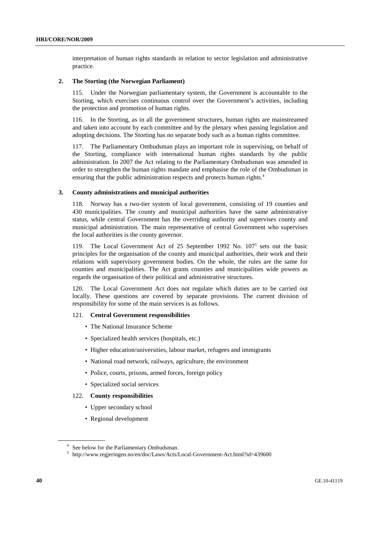interpretation of human rights standards in relation to sector legislation and administrative practice.

#### **2. The Storting (the Norwegian Parliament)**

115. Under the Norwegian parliamentary system, the Government is accountable to the Storting, which exercises continuous control over the Government's activities, including the protection and promotion of human rights.

116. In the Storting, as in all the government structures, human rights are mainstreamed and taken into account by each committee and by the plenary when passing legislation and adopting decisions. The Storting has no separate body such as a human rights committee.

117. The Parliamentary Ombudsman plays an important role in supervising, on behalf of the Storting, compliance with international human rights standards by the public administration. In 2007 the Act relating to the Parliamentary Ombudsman was amended in order to strengthen the human rights mandate and emphasise the role of the Ombudsman in ensuring that the public administration respects and protects human rights.<sup>4</sup>

#### **3. County administrations and municipal authorities**

118. Norway has a two-tier system of local government, consisting of 19 counties and 430 municipalities. The county and municipal authorities have the same administrative status, while central Government has the overriding authority and supervises county and municipal administration. The main representative of central Government who supervises the local authorities is the county governor.

119. The Local Government Act of 25 September 1992 No. 107<sup>5</sup> sets out the basic principles for the organisation of the county and municipal authorities, their work and their relations with supervisory government bodies. On the whole, the rules are the same for counties and municipalities. The Act grants counties and municipalities wide powers as regards the organisation of their political and administrative structures.

120. The Local Government Act does not regulate which duties are to be carried out locally. These questions are covered by separate provisions. The current division of responsibility for some of the main services is as follows.

#### 121. **Central Government responsibilities**

- The National Insurance Scheme
- Specialized health services (hospitals, etc.)
- Higher education/universities, labour market, refugees and immigrants
- National road network, railways, agriculture, the environment
- Police, courts, prisons, armed forces, foreign policy
- Specialized social services

#### 122. **County responsibilities**

- Upper secondary school
- Regional development

<sup>&</sup>lt;sup>4</sup> See below for the Parliamentary Ombudsman.

<sup>5</sup> http://www.regjeringen.no/en/doc/Laws/Acts/Local-Government-Act.html?id=439600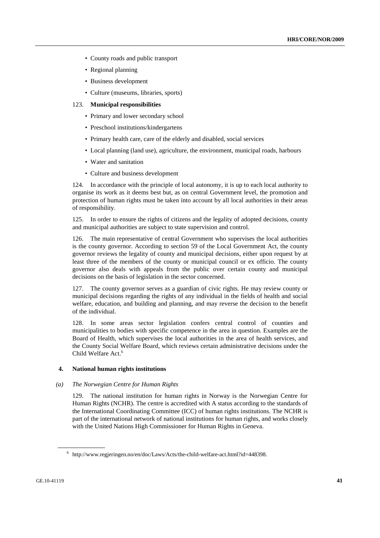- County roads and public transport
- Regional planning
- Business development
- Culture (museums, libraries, sports)

#### 123. **Municipal responsibilities**

- Primary and lower secondary school
- Preschool institutions/kindergartens
- Primary health care, care of the elderly and disabled, social services
- Local planning (land use), agriculture, the environment, municipal roads, harbours
- Water and sanitation
- Culture and business development

124. In accordance with the principle of local autonomy, it is up to each local authority to organise its work as it deems best but, as on central Government level, the promotion and protection of human rights must be taken into account by all local authorities in their areas of responsibility.

125. In order to ensure the rights of citizens and the legality of adopted decisions, county and municipal authorities are subject to state supervision and control.

126. The main representative of central Government who supervises the local authorities is the county governor. According to section 59 of the Local Government Act, the county governor reviews the legality of county and municipal decisions, either upon request by at least three of the members of the county or municipal council or ex officio. The county governor also deals with appeals from the public over certain county and municipal decisions on the basis of legislation in the sector concerned.

127. The county governor serves as a guardian of civic rights. He may review county or municipal decisions regarding the rights of any individual in the fields of health and social welfare, education, and building and planning, and may reverse the decision to the benefit of the individual.

128. In some areas sector legislation confers central control of counties and municipalities to bodies with specific competence in the area in question. Examples are the Board of Health, which supervises the local authorities in the area of health services, and the County Social Welfare Board, which reviews certain administrative decisions under the Child Welfare Act.<sup>6</sup>

#### **4. National human rights institutions**

#### *(a) The Norwegian Centre for Human Rights*

129. The national institution for human rights in Norway is the Norwegian Centre for Human Rights (NCHR). The centre is accredited with A status according to the standards of the International Coordinating Committee (ICC) of human rights institutions. The NCHR is part of the international network of national institutions for human rights, and works closely with the United Nations High Commissioner for Human Rights in Geneva.

<sup>6</sup> http://www.regjeringen.no/en/doc/Laws/Acts/the-child-welfare-act.html?id=448398.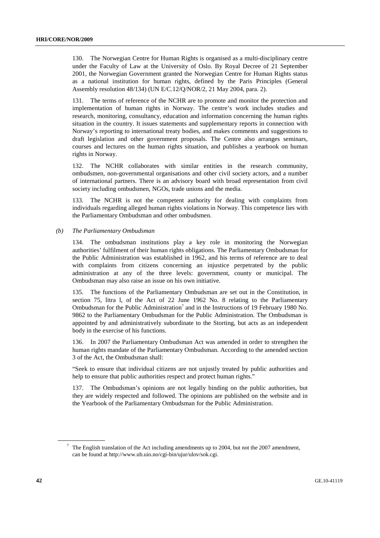130. The Norwegian Centre for Human Rights is organised as a multi-disciplinary centre under the Faculty of Law at the University of Oslo. By Royal Decree of 21 September 2001, the Norwegian Government granted the Norwegian Centre for Human Rights status as a national institution for human rights, defined by the Paris Principles (General Assembly resolution 48/134) (UN E/C.12/Q/NOR/2, 21 May 2004, para. 2).

131. The terms of reference of the NCHR are to promote and monitor the protection and implementation of human rights in Norway. The centre's work includes studies and research, monitoring, consultancy, education and information concerning the human rights situation in the country. It issues statements and supplementary reports in connection with Norway's reporting to international treaty bodies, and makes comments and suggestions to draft legislation and other government proposals. The Centre also arranges seminars, courses and lectures on the human rights situation, and publishes a yearbook on human rights in Norway.

132. The NCHR collaborates with similar entities in the research community, ombudsmen, non-governmental organisations and other civil society actors, and a number of international partners. There is an advisory board with broad representation from civil society including ombudsmen, NGOs, trade unions and the media.

133. The NCHR is not the competent authority for dealing with complaints from individuals regarding alleged human rights violations in Norway. This competence lies with the Parliamentary Ombudsman and other ombudsmen.

#### *(b) The Parliamentary Ombudsman*

134. The ombudsman institutions play a key role in monitoring the Norwegian authorities' fulfilment of their human rights obligations. The Parliamentary Ombudsman for the Public Administration was established in 1962, and his terms of reference are to deal with complaints from citizens concerning an injustice perpetrated by the public administration at any of the three levels: government, county or municipal. The Ombudsman may also raise an issue on his own initiative.

135. The functions of the Parliamentary Ombudsman are set out in the Constitution, in section 75, litra l, of the Act of 22 June 1962 No. 8 relating to the Parliamentary Ombudsman for the Public Administration<sup>7</sup> and in the Instructions of 19 February 1980 No. 9862 to the Parliamentary Ombudsman for the Public Administration. The Ombudsman is appointed by and administratively subordinate to the Storting, but acts as an independent body in the exercise of his functions.

136. In 2007 the Parliamentary Ombudsman Act was amended in order to strengthen the human rights mandate of the Parliamentary Ombudsman. According to the amended section 3 of the Act, the Ombudsman shall:

"Seek to ensure that individual citizens are not unjustly treated by public authorities and help to ensure that public authorities respect and protect human rights."

137. The Ombudsman's opinions are not legally binding on the public authorities, but they are widely respected and followed. The opinions are published on the website and in the Yearbook of the Parliamentary Ombudsman for the Public Administration.

 $7$  The English translation of the Act including amendments up to 2004, but not the 2007 amendment, can be found at http://www.ub.uio.no/cgi-bin/ujur/ulov/sok.cgi.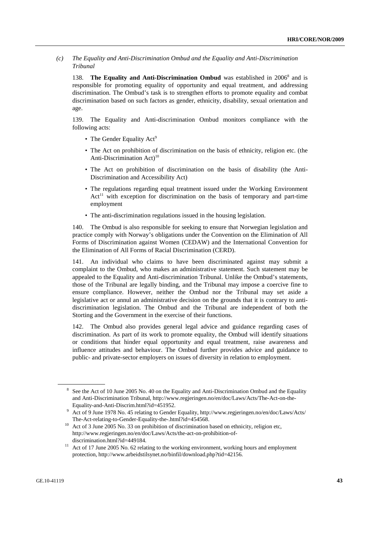*(c) The Equality and Anti-Discrimination Ombud and the Equality and Anti-Discrimination Tribunal* 

138. The Equality and Anti-Discrimination Ombud was established in 2006<sup>8</sup> and is responsible for promoting equality of opportunity and equal treatment, and addressing discrimination. The Ombud's task is to strengthen efforts to promote equality and combat discrimination based on such factors as gender, ethnicity, disability, sexual orientation and age.

139. The Equality and Anti-discrimination Ombud monitors compliance with the following acts:

- The Gender Equality Act<sup>9</sup>
- The Act on prohibition of discrimination on the basis of ethnicity, religion etc. (the Anti-Discrimination Act)<sup>10</sup>
- The Act on prohibition of discrimination on the basis of disability (the Anti-Discrimination and Accessibility Act)
- The regulations regarding equal treatment issued under the Working Environment  $Act<sup>11</sup>$  with exception for discrimination on the basis of temporary and part-time employment
- The anti-discrimination regulations issued in the housing legislation.

140. The Ombud is also responsible for seeking to ensure that Norwegian legislation and practice comply with Norway's obligations under the Convention on the Elimination of All Forms of Discrimination against Women (CEDAW) and the International Convention for the Elimination of All Forms of Racial Discrimination (CERD).

141. An individual who claims to have been discriminated against may submit a complaint to the Ombud, who makes an administrative statement. Such statement may be appealed to the Equality and Anti-discrimination Tribunal. Unlike the Ombud's statements, those of the Tribunal are legally binding, and the Tribunal may impose a coercive fine to ensure compliance. However, neither the Ombud nor the Tribunal may set aside a legislative act or annul an administrative decision on the grounds that it is contrary to antidiscrimination legislation. The Ombud and the Tribunal are independent of both the Storting and the Government in the exercise of their functions.

142. The Ombud also provides general legal advice and guidance regarding cases of discrimination. As part of its work to promote equality, the Ombud will identify situations or conditions that hinder equal opportunity and equal treatment, raise awareness and influence attitudes and behaviour. The Ombud further provides advice and guidance to public- and private-sector employers on issues of diversity in relation to employment.

<sup>8</sup> See the Act of 10 June 2005 No. 40 on the Equality and Anti-Discrimination Ombud and the Equality and Anti-Discrimination Tribunal, http://www.regjeringen.no/en/doc/Laws/Acts/The-Act-on-the-Equality-and-Anti-Discrim.html?id=451952.

Act of 9 June 1978 No. 45 relating to Gender Equality, http://www.regjeringen.no/en/doc/Laws/Acts/

The-Act-relating-to-Gender-Equality-the-.html?id=454568.<br><sup>10</sup> Act of 3 June 2005 No. 33 on prohibition of discrimination based on ethnicity, religion etc, http://www.regjeringen.no/en/doc/Laws/Acts/the-act-on-prohibition-of-

discrimination.html?id=449184.<br><sup>11</sup> Act of 17 June 2005 No. 62 relating to the working environment, working hours and employment protection, http://www.arbeidstilsynet.no/binfil/download.php?tid=42156.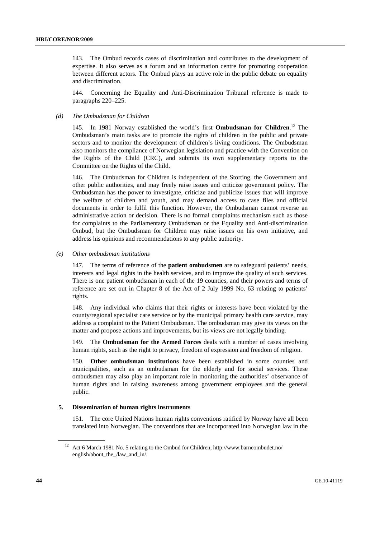143. The Ombud records cases of discrimination and contributes to the development of expertise. It also serves as a forum and an information centre for promoting cooperation between different actors. The Ombud plays an active role in the public debate on equality and discrimination.

144. Concerning the Equality and Anti-Discrimination Tribunal reference is made to paragraphs 220–225.

#### *(d) The Ombudsman for Children*

145. In 1981 Norway established the world's first **Ombudsman for Children**.<sup>12</sup> The Ombudsman's main tasks are to promote the rights of children in the public and private sectors and to monitor the development of children's living conditions. The Ombudsman also monitors the compliance of Norwegian legislation and practice with the Convention on the Rights of the Child (CRC), and submits its own supplementary reports to the Committee on the Rights of the Child.

146. The Ombudsman for Children is independent of the Storting, the Government and other public authorities, and may freely raise issues and criticize government policy. The Ombudsman has the power to investigate, criticize and publicize issues that will improve the welfare of children and youth, and may demand access to case files and official documents in order to fulfil this function. However, the Ombudsman cannot reverse an administrative action or decision. There is no formal complaints mechanism such as those for complaints to the Parliamentary Ombudsman or the Equality and Anti-discrimination Ombud, but the Ombudsman for Children may raise issues on his own initiative, and address his opinions and recommendations to any public authority.

 *(e) Other ombudsman institutions* 

147. The terms of reference of the **patient ombudsmen** are to safeguard patients' needs, interests and legal rights in the health services, and to improve the quality of such services. There is one patient ombudsman in each of the 19 counties, and their powers and terms of reference are set out in Chapter 8 of the Act of 2 July 1999 No. 63 relating to patients' rights.

148. Any individual who claims that their rights or interests have been violated by the county/regional specialist care service or by the municipal primary health care service, may address a complaint to the Patient Ombudsman. The ombudsman may give its views on the matter and propose actions and improvements, but its views are not legally binding.

149. The **Ombudsman for the Armed Forces** deals with a number of cases involving human rights, such as the right to privacy, freedom of expression and freedom of religion.

150. **Other ombudsman institutions** have been established in some counties and municipalities, such as an ombudsman for the elderly and for social services. These ombudsmen may also play an important role in monitoring the authorities' observance of human rights and in raising awareness among government employees and the general public.

#### **5. Dissemination of human rights instruments**

151. The core United Nations human rights conventions ratified by Norway have all been translated into Norwegian. The conventions that are incorporated into Norwegian law in the

<sup>12</sup> Act 6 March 1981 No. 5 relating to the Ombud for Children, http://www.barneombudet.no/ english/about\_the\_/law\_and\_in/.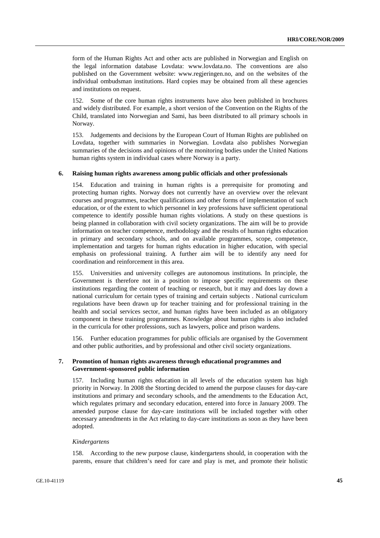form of the Human Rights Act and other acts are published in Norwegian and English on the legal information database Lovdata: www.lovdata.no. The conventions are also published on the Government website: www.regjeringen.no, and on the websites of the individual ombudsman institutions. Hard copies may be obtained from all these agencies and institutions on request.

152. Some of the core human rights instruments have also been published in brochures and widely distributed. For example, a short version of the Convention on the Rights of the Child, translated into Norwegian and Sami, has been distributed to all primary schools in Norway.

153. Judgements and decisions by the European Court of Human Rights are published on Lovdata, together with summaries in Norwegian. Lovdata also publishes Norwegian summaries of the decisions and opinions of the monitoring bodies under the United Nations human rights system in individual cases where Norway is a party.

#### **6. Raising human rights awareness among public officials and other professionals**

154. Education and training in human rights is a prerequisite for promoting and protecting human rights. Norway does not currently have an overview over the relevant courses and programmes, teacher qualifications and other forms of implementation of such education, or of the extent to which personnel in key professions have sufficient operational competence to identify possible human rights violations. A study on these questions is being planned in collaboration with civil society organizations. The aim will be to provide information on teacher competence, methodology and the results of human rights education in primary and secondary schools, and on available programmes, scope, competence, implementation and targets for human rights education in higher education, with special emphasis on professional training. A further aim will be to identify any need for coordination and reinforcement in this area.

155. Universities and university colleges are autonomous institutions. In principle, the Government is therefore not in a position to impose specific requirements on these institutions regarding the content of teaching or research, but it may and does lay down a national curriculum for certain types of training and certain subjects . National curriculum regulations have been drawn up for teacher training and for professional training in the health and social services sector, and human rights have been included as an obligatory component in these training programmes. Knowledge about human rights is also included in the curricula for other professions, such as lawyers, police and prison wardens.

156. Further education programmes for public officials are organised by the Government and other public authorities, and by professional and other civil society organizations.

#### **7. Promotion of human rights awareness through educational programmes and Government-sponsored public information**

157. Including human rights education in all levels of the education system has high priority in Norway. In 2008 the Storting decided to amend the purpose clauses for day-care institutions and primary and secondary schools, and the amendments to the Education Act, which regulates primary and secondary education, entered into force in January 2009. The amended purpose clause for day-care institutions will be included together with other necessary amendments in the Act relating to day-care institutions as soon as they have been adopted.

#### *Kindergartens*

158. According to the new purpose clause, kindergartens should, in cooperation with the parents, ensure that children's need for care and play is met, and promote their holistic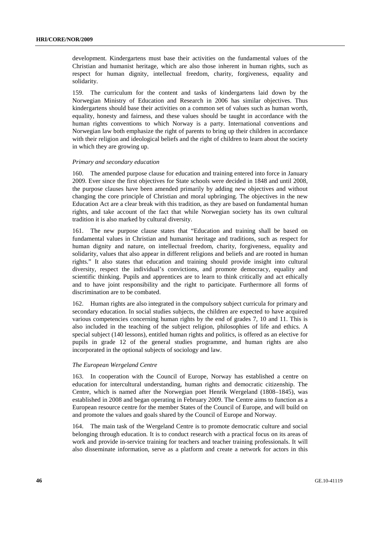development. Kindergartens must base their activities on the fundamental values of the Christian and humanist heritage, which are also those inherent in human rights, such as respect for human dignity, intellectual freedom, charity, forgiveness, equality and solidarity.

159. The curriculum for the content and tasks of kindergartens laid down by the Norwegian Ministry of Education and Research in 2006 has similar objectives. Thus kindergartens should base their activities on a common set of values such as human worth, equality, honesty and fairness, and these values should be taught in accordance with the human rights conventions to which Norway is a party. International conventions and Norwegian law both emphasize the right of parents to bring up their children in accordance with their religion and ideological beliefs and the right of children to learn about the society in which they are growing up.

#### *Primary and secondary education*

160. The amended purpose clause for education and training entered into force in January 2009. Ever since the first objectives for State schools were decided in 1848 and until 2008, the purpose clauses have been amended primarily by adding new objectives and without changing the core principle of Christian and moral upbringing. The objectives in the new Education Act are a clear break with this tradition, as they are based on fundamental human rights, and take account of the fact that while Norwegian society has its own cultural tradition it is also marked by cultural diversity.

161. The new purpose clause states that "Education and training shall be based on fundamental values in Christian and humanist heritage and traditions, such as respect for human dignity and nature, on intellectual freedom, charity, forgiveness, equality and solidarity, values that also appear in different religions and beliefs and are rooted in human rights." It also states that education and training should provide insight into cultural diversity, respect the individual's convictions, and promote democracy, equality and scientific thinking. Pupils and apprentices are to learn to think critically and act ethically and to have joint responsibility and the right to participate. Furthermore all forms of discrimination are to be combated.

162. Human rights are also integrated in the compulsory subject curricula for primary and secondary education. In social studies subjects, the children are expected to have acquired various competencies concerning human rights by the end of grades 7, 10 and 11. This is also included in the teaching of the subject religion, philosophies of life and ethics. A special subject (140 lessons), entitled human rights and politics, is offered as an elective for pupils in grade 12 of the general studies programme, and human rights are also incorporated in the optional subjects of sociology and law.

#### *The European Wergeland Centre*

163. In cooperation with the Council of Europe, Norway has established a centre on education for intercultural understanding, human rights and democratic citizenship. The Centre, which is named after the Norwegian poet Henrik Wergeland (1808–1845), was established in 2008 and began operating in February 2009. The Centre aims to function as a European resource centre for the member States of the Council of Europe, and will build on and promote the values and goals shared by the Council of Europe and Norway.

164. The main task of the Wergeland Centre is to promote democratic culture and social belonging through education. It is to conduct research with a practical focus on its areas of work and provide in-service training for teachers and teacher training professionals. It will also disseminate information, serve as a platform and create a network for actors in this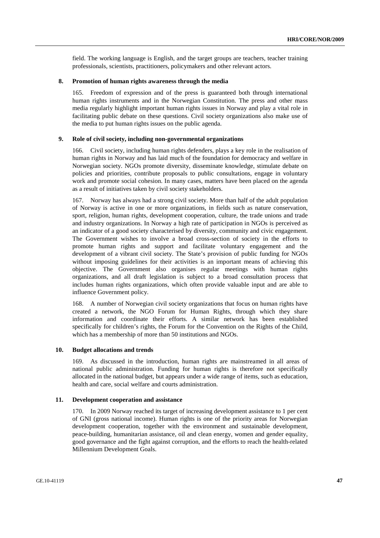field. The working language is English, and the target groups are teachers, teacher training professionals, scientists, practitioners, policymakers and other relevant actors.

#### **8. Promotion of human rights awareness through the media**

165. Freedom of expression and of the press is guaranteed both through international human rights instruments and in the Norwegian Constitution. The press and other mass media regularly highlight important human rights issues in Norway and play a vital role in facilitating public debate on these questions. Civil society organizations also make use of the media to put human rights issues on the public agenda.

#### **9. Role of civil society, including non-governmental organizations**

166. Civil society, including human rights defenders, plays a key role in the realisation of human rights in Norway and has laid much of the foundation for democracy and welfare in Norwegian society. NGOs promote diversity, disseminate knowledge, stimulate debate on policies and priorities, contribute proposals to public consultations, engage in voluntary work and promote social cohesion. In many cases, matters have been placed on the agenda as a result of initiatives taken by civil society stakeholders.

167. Norway has always had a strong civil society. More than half of the adult population of Norway is active in one or more organizations, in fields such as nature conservation, sport, religion, human rights, development cooperation, culture, the trade unions and trade and industry organizations. In Norway a high rate of participation in NGOs is perceived as an indicator of a good society characterised by diversity, community and civic engagement. The Government wishes to involve a broad cross-section of society in the efforts to promote human rights and support and facilitate voluntary engagement and the development of a vibrant civil society. The State's provision of public funding for NGOs without imposing guidelines for their activities is an important means of achieving this objective. The Government also organises regular meetings with human rights organizations, and all draft legislation is subject to a broad consultation process that includes human rights organizations, which often provide valuable input and are able to influence Government policy.

168. A number of Norwegian civil society organizations that focus on human rights have created a network, the NGO Forum for Human Rights, through which they share information and coordinate their efforts. A similar network has been established specifically for children's rights, the Forum for the Convention on the Rights of the Child, which has a membership of more than 50 institutions and NGOs.

#### **10. Budget allocations and trends**

169. As discussed in the introduction, human rights are mainstreamed in all areas of national public administration. Funding for human rights is therefore not specifically allocated in the national budget, but appears under a wide range of items, such as education, health and care, social welfare and courts administration.

#### **11. Development cooperation and assistance**

170. In 2009 Norway reached its target of increasing development assistance to 1 per cent of GNI (gross national income). Human rights is one of the priority areas for Norwegian development cooperation, together with the environment and sustainable development, peace-building, humanitarian assistance, oil and clean energy, women and gender equality, good governance and the fight against corruption, and the efforts to reach the health-related Millennium Development Goals.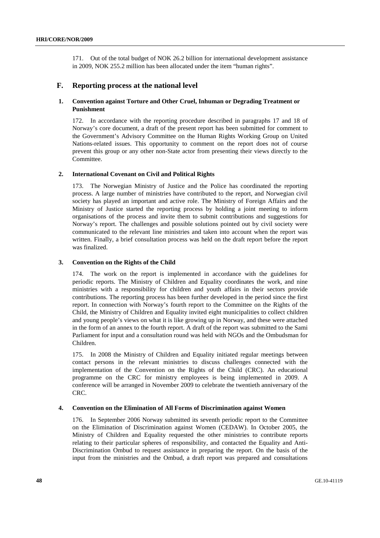171. Out of the total budget of NOK 26.2 billion for international development assistance in 2009, NOK 255.2 million has been allocated under the item "human rights".

## **F. Reporting process at the national level**

## **1. Convention against Torture and Other Cruel, Inhuman or Degrading Treatment or Punishment**

172. In accordance with the reporting procedure described in paragraphs 17 and 18 of Norway's core document, a draft of the present report has been submitted for comment to the Government's Advisory Committee on the Human Rights Working Group on United Nations-related issues. This opportunity to comment on the report does not of course prevent this group or any other non-State actor from presenting their views directly to the Committee.

## **2. International Covenant on Civil and Political Rights**

173. The Norwegian Ministry of Justice and the Police has coordinated the reporting process. A large number of ministries have contributed to the report, and Norwegian civil society has played an important and active role. The Ministry of Foreign Affairs and the Ministry of Justice started the reporting process by holding a joint meeting to inform organisations of the process and invite them to submit contributions and suggestions for Norway's report. The challenges and possible solutions pointed out by civil society were communicated to the relevant line ministries and taken into account when the report was written. Finally, a brief consultation process was held on the draft report before the report was finalized.

#### **3. Convention on the Rights of the Child**

174. The work on the report is implemented in accordance with the guidelines for periodic reports. The Ministry of Children and Equality coordinates the work, and nine ministries with a responsibility for children and youth affairs in their sectors provide contributions. The reporting process has been further developed in the period since the first report. In connection with Norway's fourth report to the Committee on the Rights of the Child, the Ministry of Children and Equality invited eight municipalities to collect children and young people's views on what it is like growing up in Norway, and these were attached in the form of an annex to the fourth report. A draft of the report was submitted to the Sami Parliament for input and a consultation round was held with NGOs and the Ombudsman for Children.

175. In 2008 the Ministry of Children and Equality initiated regular meetings between contact persons in the relevant ministries to discuss challenges connected with the implementation of the Convention on the Rights of the Child (CRC). An educational programme on the CRC for ministry employees is being implemented in 2009. A conference will be arranged in November 2009 to celebrate the twentieth anniversary of the CRC.

#### **4. Convention on the Elimination of All Forms of Discrimination against Women**

176. In September 2006 Norway submitted its seventh periodic report to the Committee on the Elimination of Discrimination against Women (CEDAW). In October 2005, the Ministry of Children and Equality requested the other ministries to contribute reports relating to their particular spheres of responsibility, and contacted the Equality and Anti-Discrimination Ombud to request assistance in preparing the report. On the basis of the input from the ministries and the Ombud, a draft report was prepared and consultations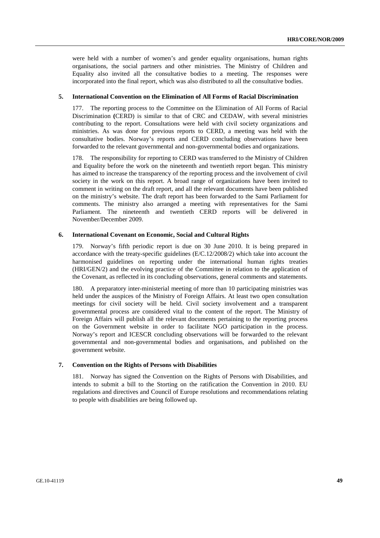were held with a number of women's and gender equality organisations, human rights organisations, the social partners and other ministries. The Ministry of Children and Equality also invited all the consultative bodies to a meeting. The responses were incorporated into the final report, which was also distributed to all the consultative bodies.

#### **5. International Convention on the Elimination of All Forms of Racial Discrimination**

177. The reporting process to the Committee on the Elimination of All Forms of Racial Discrimination **(**CERD) is similar to that of CRC and CEDAW, with several ministries contributing to the report. Consultations were held with civil society organizations and ministries. As was done for previous reports to CERD, a meeting was held with the consultative bodies. Norway's reports and CERD concluding observations have been forwarded to the relevant governmental and non-governmental bodies and organizations.

178. The responsibility for reporting to CERD was transferred to the Ministry of Children and Equality before the work on the nineteenth and twentieth report began. This ministry has aimed to increase the transparency of the reporting process and the involvement of civil society in the work on this report. A broad range of organizations have been invited to comment in writing on the draft report, and all the relevant documents have been published on the ministry's website. The draft report has been forwarded to the Sami Parliament for comments. The ministry also arranged a meeting with representatives for the Sami Parliament. The nineteenth and twentieth CERD reports will be delivered in November/December 2009.

#### **6. International Covenant on Economic, Social and Cultural Rights**

179. Norway's fifth periodic report is due on 30 June 2010. It is being prepared in accordance with the treaty-specific guidelines (E/C.12/2008/2) which take into account the harmonised guidelines on reporting under the international human rights treaties (HRI/GEN/2) and the evolving practice of the Committee in relation to the application of the Covenant, as reflected in its concluding observations, general comments and statements.

180. A preparatory inter-ministerial meeting of more than 10 participating ministries was held under the auspices of the Ministry of Foreign Affairs. At least two open consultation meetings for civil society will be held. Civil society involvement and a transparent governmental process are considered vital to the content of the report. The Ministry of Foreign Affairs will publish all the relevant documents pertaining to the reporting process on the Government website in order to facilitate NGO participation in the process. Norway's report and ICESCR concluding observations will be forwarded to the relevant governmental and non-governmental bodies and organisations, and published on the government website.

#### **7. Convention on the Rights of Persons with Disabilities**

181. Norway has signed the Convention on the Rights of Persons with Disabilities, and intends to submit a bill to the Storting on the ratification the Convention in 2010. EU regulations and directives and Council of Europe resolutions and recommendations relating to people with disabilities are being followed up.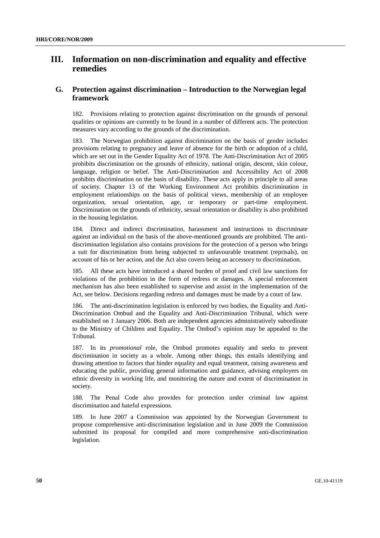## **III. Information on non-discrimination and equality and effective remedies**

## **G. Protection against discrimination – Introduction to the Norwegian legal framework**

182. Provisions relating to protection against discrimination on the grounds of personal qualities or opinions are currently to be found in a number of different acts. The protection measures vary according to the grounds of the discrimination.

183. The Norwegian prohibition against discrimination on the basis of gender includes provisions relating to pregnancy and leave of absence for the birth or adoption of a child, which are set out in the Gender Equality Act of 1978. The Anti-Discrimination Act of 2005 prohibits discrimination on the grounds of ethnicity, national origin, descent, skin colour, language, religion or belief. The Anti-Discrimination and Accessibility Act of 2008 prohibits discrimination on the basis of disability. These acts apply in principle to all areas of society. Chapter 13 of the Working Environment Act prohibits discrimination in employment relationships on the basis of political views, membership of an employee organization, sexual orientation, age, or temporary or part-time employment. Discrimination on the grounds of ethnicity, sexual orientation or disability is also prohibited in the housing legislation.

184. Direct and indirect discrimination, harassment and instructions to discriminate against an individual on the basis of the above-mentioned grounds are prohibited. The antidiscrimination legislation also contains provisions for the protection of a person who brings a suit for discrimination from being subjected to unfavourable treatment (reprisals), on account of his or her action, and the Act also covers being an accessory to discrimination.

185. All these acts have introduced a shared burden of proof and civil law sanctions for violations of the prohibition in the form of redress or damages. A special enforcement mechanism has also been established to supervise and assist in the implementation of the Act, see below. Decisions regarding redress and damages must be made by a court of law.

186. The anti-discrimination legislation is enforced by two bodies, the Equality and Anti-Discrimination Ombud and the Equality and Anti-Discrimination Tribunal, which were established on 1 January 2006. Both are independent agencies administratively subordinate to the Ministry of Children and Equality. The Ombud's opinion may be appealed to the Tribunal.

187. In its *promotional* role, the Ombud promotes equality and seeks to prevent discrimination in society as a whole. Among other things, this entails identifying and drawing attention to factors that hinder equality and equal treatment, raising awareness and educating the public, providing general information and guidance, advising employers on ethnic diversity in working life, and monitoring the nature and extent of discrimination in society.

188. The Penal Code also provides for protection under criminal law against discrimination and hateful expressions.

189. In June 2007 a Commission was appointed by the Norwegian Government to propose comprehensive anti-discrimination legislation and in June 2009 the Commission submitted its proposal for compiled and more comprehensive anti-discrimination legislation.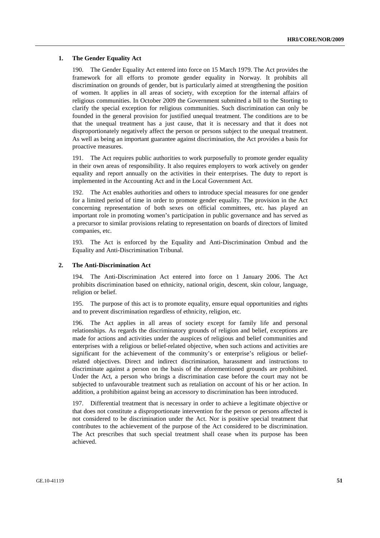#### **1. The Gender Equality Act**

190. The Gender Equality Act entered into force on 15 March 1979. The Act provides the framework for all efforts to promote gender equality in Norway. It prohibits all discrimination on grounds of gender, but is particularly aimed at strengthening the position of women. It applies in all areas of society, with exception for the internal affairs of religious communities. In October 2009 the Government submitted a bill to the Storting to clarify the special exception for religious communities. Such discrimination can only be founded in the general provision for justified unequal treatment. The conditions are to be that the unequal treatment has a just cause, that it is necessary and that it does not disproportionately negatively affect the person or persons subject to the unequal treatment. As well as being an important guarantee against discrimination, the Act provides a basis for proactive measures.

191. The Act requires public authorities to work purposefully to promote gender equality in their own areas of responsibility. It also requires employers to work actively on gender equality and report annually on the activities in their enterprises. The duty to report is implemented in the Accounting Act and in the Local Government Act.

192. The Act enables authorities and others to introduce special measures for one gender for a limited period of time in order to promote gender equality. The provision in the Act concerning representation of both sexes on official committees, etc. has played an important role in promoting women's participation in public governance and has served as a precursor to similar provisions relating to representation on boards of directors of limited companies, etc.

193. The Act is enforced by the Equality and Anti-Discrimination Ombud and the Equality and Anti-Discrimination Tribunal.

#### **2. The Anti-Discrimination Act**

194. The Anti-Discrimination Act entered into force on 1 January 2006. The Act prohibits discrimination based on ethnicity, national origin, descent, skin colour, language, religion or belief.

195. The purpose of this act is to promote equality, ensure equal opportunities and rights and to prevent discrimination regardless of ethnicity, religion, etc.

The Act applies in all areas of society except for family life and personal relationships. As regards the discriminatory grounds of religion and belief, exceptions are made for actions and activities under the auspices of religious and belief communities and enterprises with a religious or belief-related objective, when such actions and activities are significant for the achievement of the community's or enterprise's religious or beliefrelated objectives. Direct and indirect discrimination, harassment and instructions to discriminate against a person on the basis of the aforementioned grounds are prohibited. Under the Act, a person who brings a discrimination case before the court may not be subjected to unfavourable treatment such as retaliation on account of his or her action. In addition, a prohibition against being an accessory to discrimination has been introduced.

197. Differential treatment that is necessary in order to achieve a legitimate objective or that does not constitute a disproportionate intervention for the person or persons affected is not considered to be discrimination under the Act. Nor is positive special treatment that contributes to the achievement of the purpose of the Act considered to be discrimination. The Act prescribes that such special treatment shall cease when its purpose has been achieved.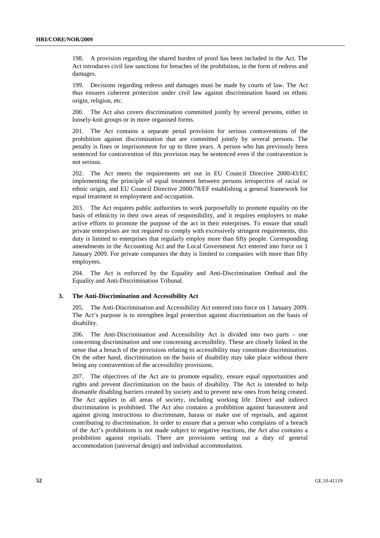198. A provision regarding the shared burden of proof has been included in the Act. The Act introduces civil law sanctions for breaches of the prohibition, in the form of redress and damages.

199. Decisions regarding redress and damages must be made by courts of law. The Act thus ensures coherent protection under civil law against discrimination based on ethnic origin, religion, etc.

200. The Act also covers discrimination committed jointly by several persons, either in loosely-knit groups or in more organised forms.

201. The Act contains a separate penal provision for serious contraventions of the prohibition against discrimination that are committed jointly by several persons. The penalty is fines or imprisonment for up to three years. A person who has previously been sentenced for contravention of this provision may be sentenced even if the contravention is not serious.

202. The Act meets the requirements set out in EU Council Directive 2000/43/EC implementing the principle of equal treatment between persons irrespective of racial or ethnic origin, and EU Council Directive 2000/78/EF establishing a general framework for equal treatment in employment and occupation.

203. The Act requires public authorities to work purposefully to promote equality on the basis of ethnicity in their own areas of responsibility, and it requires employers to make active efforts to promote the purpose of the act in their enterprises. To ensure that small private enterprises are not required to comply with excessively stringent requirements, this duty is limited to enterprises that regularly employ more than fifty people. Corresponding amendments in the Accounting Act and the Local Government Act entered into force on 1 January 2009. For private companies the duty is limited to companies with more than fifty employees.

204. The Act is enforced by the Equality and Anti-Discrimination Ombud and the Equality and Anti-Discrimination Tribunal.

#### **3. The Anti-Discrimination and Accessibility Act**

205. The Anti-Discrimination and Accessibility Act entered into force on 1 January 2009. The Act's purpose is to strengthen legal protection against discrimination on the basis of disability.

206. The Anti-Discrimination and Accessibility Act is divided into two parts – one concerning discrimination and one concerning accessibility. These are closely linked in the sense that a breach of the provisions relating to accessibility may constitute discrimination. On the other hand, discrimination on the basis of disability may take place without there being any contravention of the accessibility provisions.

207. The objectives of the Act are to promote equality, ensure equal opportunities and rights and prevent discrimination on the basis of disability. The Act is intended to help dismantle disabling barriers created by society and to prevent new ones from being created. The Act applies in all areas of society, including working life. Direct and indirect discrimination is prohibited. The Act also contains a prohibition against harassment and against giving instructions to discriminate, harass or make use of reprisals, and against contributing to discrimination. In order to ensure that a person who complains of a breach of the Act's prohibitions is not made subject to negative reactions, the Act also contains a prohibition against reprisals. There are provisions setting out a duty of general accommodation (universal design) and individual accommodation.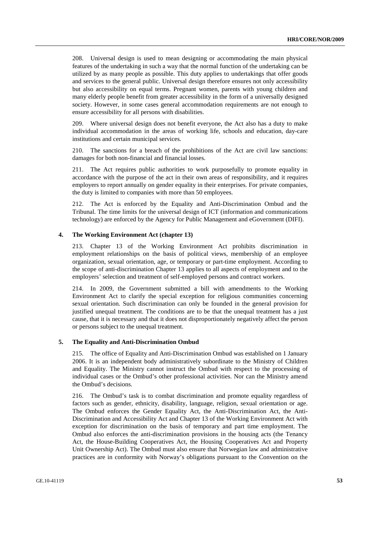208. Universal design is used to mean designing or accommodating the main physical features of the undertaking in such a way that the normal function of the undertaking can be utilized by as many people as possible. This duty applies to undertakings that offer goods and services to the general public. Universal design therefore ensures not only accessibility but also accessibility on equal terms. Pregnant women, parents with young children and many elderly people benefit from greater accessibility in the form of a universally designed society. However, in some cases general accommodation requirements are not enough to ensure accessibility for all persons with disabilities.

209. Where universal design does not benefit everyone, the Act also has a duty to make individual accommodation in the areas of working life, schools and education, day-care institutions and certain municipal services.

210. The sanctions for a breach of the prohibitions of the Act are civil law sanctions: damages for both non-financial and financial losses.

211. The Act requires public authorities to work purposefully to promote equality in accordance with the purpose of the act in their own areas of responsibility, and it requires employers to report annually on gender equality in their enterprises. For private companies, the duty is limited to companies with more than 50 employees.

212. The Act is enforced by the Equality and Anti-Discrimination Ombud and the Tribunal. The time limits for the universal design of ICT (information and communications technology) are enforced by the Agency for Public Management and eGovernment (DIFI).

### **4. The Working Environment Act (chapter 13)**

213. Chapter 13 of the Working Environment Act prohibits discrimination in employment relationships on the basis of political views, membership of an employee organization, sexual orientation, age, or temporary or part-time employment. According to the scope of anti-discrimination Chapter 13 applies to all aspects of employment and to the employers' selection and treatment of self-employed persons and contract workers.

214. In 2009, the Government submitted a bill with amendments to the Working Environment Act to clarify the special exception for religious communities concerning sexual orientation. Such discrimination can only be founded in the general provision for justified unequal treatment. The conditions are to be that the unequal treatment has a just cause, that it is necessary and that it does not disproportionately negatively affect the person or persons subject to the unequal treatment.

#### **5. The Equality and Anti-Discrimination Ombud**

215. The office of Equality and Anti-Discrimination Ombud was established on 1 January 2006. It is an independent body administratively subordinate to the Ministry of Children and Equality. The Ministry cannot instruct the Ombud with respect to the processing of individual cases or the Ombud's other professional activities. Nor can the Ministry amend the Ombud's decisions.

216. The Ombud's task is to combat discrimination and promote equality regardless of factors such as gender, ethnicity, disability, language, religion, sexual orientation or age. The Ombud enforces the Gender Equality Act, the Anti-Discrimination Act, the Anti-Discrimination and Accessibility Act and Chapter 13 of the Working Environment Act with exception for discrimination on the basis of temporary and part time employment. The Ombud also enforces the anti-discrimination provisions in the housing acts (the Tenancy Act, the House-Building Cooperatives Act, the Housing Cooperatives Act and Property Unit Ownership Act). The Ombud must also ensure that Norwegian law and administrative practices are in conformity with Norway's obligations pursuant to the Convention on the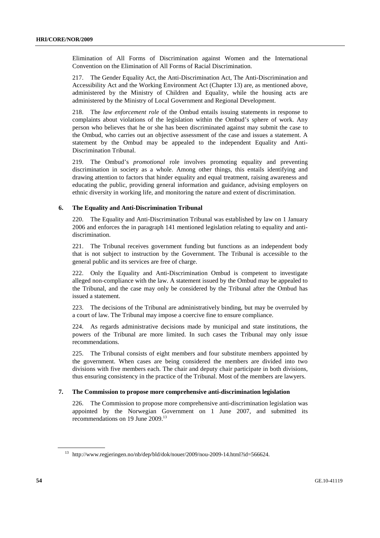Elimination of All Forms of Discrimination against Women and the International Convention on the Elimination of All Forms of Racial Discrimination.

217. The Gender Equality Act, the Anti-Discrimination Act, The Anti-Discrimination and Accessibility Act and the Working Environment Act (Chapter 13) are, as mentioned above, administered by the Ministry of Children and Equality, while the housing acts are administered by the Ministry of Local Government and Regional Development.

218. The *law enforcement role* of the Ombud entails issuing statements in response to complaints about violations of the legislation within the Ombud's sphere of work. Any person who believes that he or she has been discriminated against may submit the case to the Ombud, who carries out an objective assessment of the case and issues a statement. A statement by the Ombud may be appealed to the independent Equality and Anti-Discrimination Tribunal.

219. The Ombud's *promotional* role involves promoting equality and preventing discrimination in society as a whole. Among other things, this entails identifying and drawing attention to factors that hinder equality and equal treatment, raising awareness and educating the public, providing general information and guidance, advising employers on ethnic diversity in working life, and monitoring the nature and extent of discrimination.

#### **6. The Equality and Anti-Discrimination Tribunal**

220. The Equality and Anti-Discrimination Tribunal was established by law on 1 January 2006 and enforces the in paragraph 141 mentioned legislation relating to equality and antidiscrimination.

221. The Tribunal receives government funding but functions as an independent body that is not subject to instruction by the Government. The Tribunal is accessible to the general public and its services are free of charge.

222. Only the Equality and Anti-Discrimination Ombud is competent to investigate alleged non-compliance with the law. A statement issued by the Ombud may be appealed to the Tribunal, and the case may only be considered by the Tribunal after the Ombud has issued a statement.

223. The decisions of the Tribunal are administratively binding, but may be overruled by a court of law. The Tribunal may impose a coercive fine to ensure compliance.

224. As regards administrative decisions made by municipal and state institutions, the powers of the Tribunal are more limited. In such cases the Tribunal may only issue recommendations.

225. The Tribunal consists of eight members and four substitute members appointed by the government. When cases are being considered the members are divided into two divisions with five members each. The chair and deputy chair participate in both divisions, thus ensuring consistency in the practice of the Tribunal. Most of the members are lawyers.

#### **7. The Commission to propose more comprehensive anti-discrimination legislation**

226. The Commission to propose more comprehensive anti-discrimination legislation was appointed by the Norwegian Government on 1 June 2007, and submitted its recommendations on 19 June 2009.13

<sup>13</sup> http://www.regjeringen.no/nb/dep/bld/dok/nouer/2009/nou-2009-14.html?id=566624.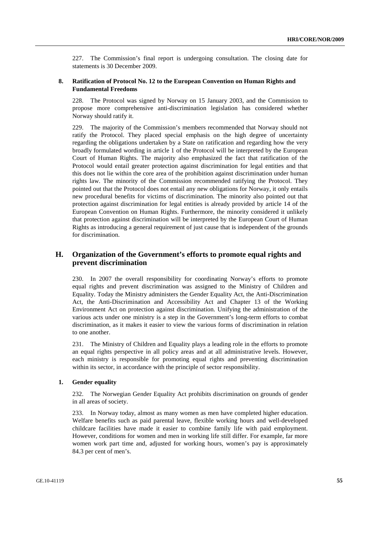227. The Commission's final report is undergoing consultation. The closing date for statements is 30 December 2009.

### **8. Ratification of Protocol No. 12 to the European Convention on Human Rights and Fundamental Freedoms**

The Protocol was signed by Norway on 15 January 2003, and the Commission to propose more comprehensive anti-discrimination legislation has considered whether Norway should ratify it.

229. The majority of the Commission's members recommended that Norway should not ratify the Protocol. They placed special emphasis on the high degree of uncertainty regarding the obligations undertaken by a State on ratification and regarding how the very broadly formulated wording in article 1 of the Protocol will be interpreted by the European Court of Human Rights. The majority also emphasized the fact that ratification of the Protocol would entail greater protection against discrimination for legal entities and that this does not lie within the core area of the prohibition against discrimination under human rights law. The minority of the Commission recommended ratifying the Protocol. They pointed out that the Protocol does not entail any new obligations for Norway, it only entails new procedural benefits for victims of discrimination. The minority also pointed out that protection against discrimination for legal entities is already provided by article 14 of the European Convention on Human Rights. Furthermore, the minority considered it unlikely that protection against discrimination will be interpreted by the European Court of Human Rights as introducing a general requirement of just cause that is independent of the grounds for discrimination.

## **H. Organization of the Government's efforts to promote equal rights and prevent discrimination**

230. In 2007 the overall responsibility for coordinating Norway's efforts to promote equal rights and prevent discrimination was assigned to the Ministry of Children and Equality. Today the Ministry administers the Gender Equality Act, the Anti-Discrimination Act, the Anti-Discrimination and Accessibility Act and Chapter 13 of the Working Environment Act on protection against discrimination. Unifying the administration of the various acts under one ministry is a step in the Government's long-term efforts to combat discrimination, as it makes it easier to view the various forms of discrimination in relation to one another.

231. The Ministry of Children and Equality plays a leading role in the efforts to promote an equal rights perspective in all policy areas and at all administrative levels. However, each ministry is responsible for promoting equal rights and preventing discrimination within its sector, in accordance with the principle of sector responsibility.

#### **1. Gender equality**

232. The Norwegian Gender Equality Act prohibits discrimination on grounds of gender in all areas of society.

233. In Norway today, almost as many women as men have completed higher education. Welfare benefits such as paid parental leave, flexible working hours and well-developed childcare facilities have made it easier to combine family life with paid employment. However, conditions for women and men in working life still differ. For example, far more women work part time and, adjusted for working hours, women's pay is approximately 84.3 per cent of men's.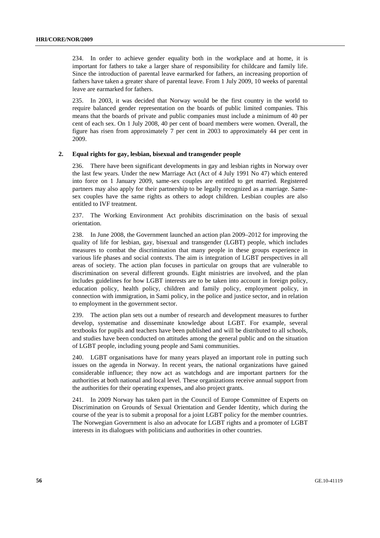234. In order to achieve gender equality both in the workplace and at home, it is important for fathers to take a larger share of responsibility for childcare and family life. Since the introduction of parental leave earmarked for fathers, an increasing proportion of fathers have taken a greater share of parental leave. From 1 July 2009, 10 weeks of parental leave are earmarked for fathers.

235. In 2003, it was decided that Norway would be the first country in the world to require balanced gender representation on the boards of public limited companies. This means that the boards of private and public companies must include a minimum of 40 per cent of each sex. On 1 July 2008, 40 per cent of board members were women. Overall, the figure has risen from approximately 7 per cent in 2003 to approximately 44 per cent in 2009.

#### **2. Equal rights for gay, lesbian, bisexual and transgender people**

236. There have been significant developments in gay and lesbian rights in Norway over the last few years. Under the new Marriage Act (Act of 4 July 1991 No 47) which entered into force on 1 January 2009, same-sex couples are entitled to get married. Registered partners may also apply for their partnership to be legally recognized as a marriage. Samesex couples have the same rights as others to adopt children. Lesbian couples are also entitled to IVF treatment.

237. The Working Environment Act prohibits discrimination on the basis of sexual orientation.

238. In June 2008, the Government launched an action plan 2009–2012 for improving the quality of life for lesbian, gay, bisexual and transgender (LGBT) people, which includes measures to combat the discrimination that many people in these groups experience in various life phases and social contexts. The aim is integration of LGBT perspectives in all areas of society. The action plan focuses in particular on groups that are vulnerable to discrimination on several different grounds. Eight ministries are involved, and the plan includes guidelines for how LGBT interests are to be taken into account in foreign policy, education policy, health policy, children and family policy, employment policy, in connection with immigration, in Sami policy, in the police and justice sector, and in relation to employment in the government sector.

239. The action plan sets out a number of research and development measures to further develop, systematise and disseminate knowledge about LGBT. For example, several textbooks for pupils and teachers have been published and will be distributed to all schools, and studies have been conducted on attitudes among the general public and on the situation of LGBT people, including young people and Sami communities.

240. LGBT organisations have for many years played an important role in putting such issues on the agenda in Norway. In recent years, the national organizations have gained considerable influence; they now act as watchdogs and are important partners for the authorities at both national and local level. These organizations receive annual support from the authorities for their operating expenses, and also project grants.

241. In 2009 Norway has taken part in the Council of Europe Committee of Experts on Discrimination on Grounds of Sexual Orientation and Gender Identity, which during the course of the year is to submit a proposal for a joint LGBT policy for the member countries. The Norwegian Government is also an advocate for LGBT rights and a promoter of LGBT interests in its dialogues with politicians and authorities in other countries.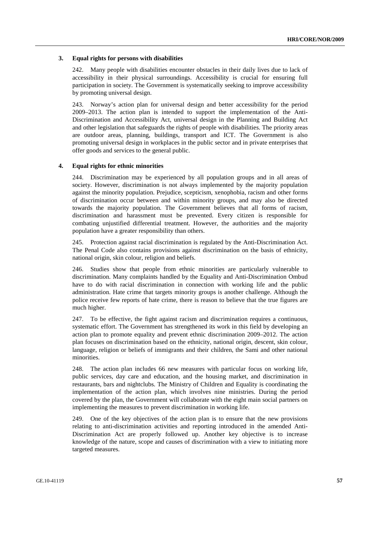#### **3. Equal rights for persons with disabilities**

242. Many people with disabilities encounter obstacles in their daily lives due to lack of accessibility in their physical surroundings. Accessibility is crucial for ensuring full participation in society. The Government is systematically seeking to improve accessibility by promoting universal design.

243. Norway's action plan for universal design and better accessibility for the period 2009–2013. The action plan is intended to support the implementation of the Anti-Discrimination and Accessibility Act, universal design in the Planning and Building Act and other legislation that safeguards the rights of people with disabilities. The priority areas are outdoor areas, planning, buildings, transport and ICT. The Government is also promoting universal design in workplaces in the public sector and in private enterprises that offer goods and services to the general public.

#### **4. Equal rights for ethnic minorities**

244. Discrimination may be experienced by all population groups and in all areas of society. However, discrimination is not always implemented by the majority population against the minority population. Prejudice, scepticism, xenophobia, racism and other forms of discrimination occur between and within minority groups, and may also be directed towards the majority population. The Government believes that all forms of racism, discrimination and harassment must be prevented. Every citizen is responsible for combating unjustified differential treatment. However, the authorities and the majority population have a greater responsibility than others.

245. Protection against racial discrimination is regulated by the Anti-Discrimination Act. The Penal Code also contains provisions against discrimination on the basis of ethnicity, national origin, skin colour, religion and beliefs.

246. Studies show that people from ethnic minorities are particularly vulnerable to discrimination. Many complaints handled by the Equality and Anti-Discrimination Ombud have to do with racial discrimination in connection with working life and the public administration. Hate crime that targets minority groups is another challenge. Although the police receive few reports of hate crime, there is reason to believe that the true figures are much higher.

247. To be effective, the fight against racism and discrimination requires a continuous, systematic effort. The Government has strengthened its work in this field by developing an action plan to promote equality and prevent ethnic discrimination 2009–2012. The action plan focuses on discrimination based on the ethnicity, national origin, descent, skin colour, language, religion or beliefs of immigrants and their children, the Sami and other national minorities.

248. The action plan includes 66 new measures with particular focus on working life, public services, day care and education, and the housing market, and discrimination in restaurants, bars and nightclubs. The Ministry of Children and Equality is coordinating the implementation of the action plan, which involves nine ministries. During the period covered by the plan, the Government will collaborate with the eight main social partners on implementing the measures to prevent discrimination in working life.

249. One of the key objectives of the action plan is to ensure that the new provisions relating to anti-discrimination activities and reporting introduced in the amended Anti-Discrimination Act are properly followed up. Another key objective is to increase knowledge of the nature, scope and causes of discrimination with a view to initiating more targeted measures.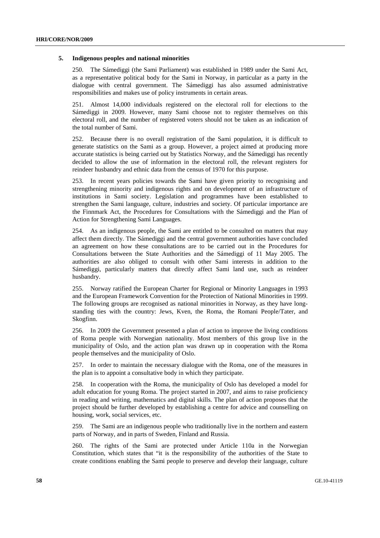#### **5. Indigenous peoples and national minorities**

250. The Sámediggi (the Sami Parliament) was established in 1989 under the Sami Act, as a representative political body for the Sami in Norway, in particular as a party in the dialogue with central government. The Sámediggi has also assumed administrative responsibilities and makes use of policy instruments in certain areas.

251. Almost 14,000 individuals registered on the electoral roll for elections to the Sámediggi in 2009. However, many Sami choose not to register themselves on this electoral roll, and the number of registered voters should not be taken as an indication of the total number of Sami.

252. Because there is no overall registration of the Sami population, it is difficult to generate statistics on the Sami as a group. However, a project aimed at producing more accurate statistics is being carried out by Statistics Norway, and the Sámediggi has recently decided to allow the use of information in the electoral roll, the relevant registers for reindeer husbandry and ethnic data from the census of 1970 for this purpose.

253. In recent years policies towards the Sami have given priority to recognising and strengthening minority and indigenous rights and on development of an infrastructure of institutions in Sami society. Legislation and programmes have been established to strengthen the Sami language, culture, industries and society. Of particular importance are the Finnmark Act, the Procedures for Consultations with the Sámediggi and the Plan of Action for Strengthening Sami Languages.

254. As an indigenous people, the Sami are entitled to be consulted on matters that may affect them directly. The Sámediggi and the central government authorities have concluded an agreement on how these consultations are to be carried out in the Procedures for Consultations between the State Authorities and the Sámediggi of 11 May 2005. The authorities are also obliged to consult with other Sami interests in addition to the Sámediggi, particularly matters that directly affect Sami land use, such as reindeer husbandry.

255. Norway ratified the European Charter for Regional or Minority Languages in 1993 and the European Framework Convention for the Protection of National Minorities in 1999. The following groups are recognised as national minorities in Norway, as they have longstanding ties with the country: Jews, Kven, the Roma, the Romani People/Tater, and Skogfinn.

256. In 2009 the Government presented a plan of action to improve the living conditions of Roma people with Norwegian nationality. Most members of this group live in the municipality of Oslo, and the action plan was drawn up in cooperation with the Roma people themselves and the municipality of Oslo.

257. In order to maintain the necessary dialogue with the Roma, one of the measures in the plan is to appoint a consultative body in which they participate.

258. In cooperation with the Roma, the municipality of Oslo has developed a model for adult education for young Roma. The project started in 2007, and aims to raise proficiency in reading and writing, mathematics and digital skills. The plan of action proposes that the project should be further developed by establishing a centre for advice and counselling on housing, work, social services, etc.

259. The Sami are an indigenous people who traditionally live in the northern and eastern parts of Norway, and in parts of Sweden, Finland and Russia.

260. The rights of the Sami are protected under Article 110a in the Norwegian Constitution, which states that "it is the responsibility of the authorities of the State to create conditions enabling the Sami people to preserve and develop their language, culture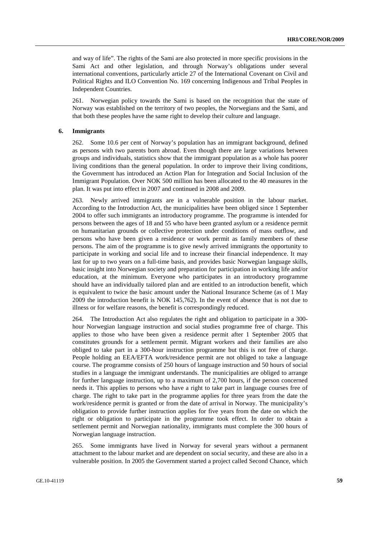and way of life". The rights of the Sami are also protected in more specific provisions in the Sami Act and other legislation, and through Norway's obligations under several international conventions, particularly article 27 of the International Covenant on Civil and Political Rights and ILO Convention No. 169 concerning Indigenous and Tribal Peoples in Independent Countries.

261. Norwegian policy towards the Sami is based on the recognition that the state of Norway was established on the territory of two peoples, the Norwegians and the Sami, and that both these peoples have the same right to develop their culture and language.

#### **6. Immigrants**

262. Some 10.6 per cent of Norway's population has an immigrant background, defined as persons with two parents born abroad. Even though there are large variations between groups and individuals, statistics show that the immigrant population as a whole has poorer living conditions than the general population. In order to improve their living conditions, the Government has introduced an Action Plan for Integration and Social Inclusion of the Immigrant Population. Over NOK 500 million has been allocated to the 40 measures in the plan. It was put into effect in 2007 and continued in 2008 and 2009.

263. Newly arrived immigrants are in a vulnerable position in the labour market. According to the Introduction Act, the municipalities have been obliged since 1 September 2004 to offer such immigrants an introductory programme. The programme is intended for persons between the ages of 18 and 55 who have been granted asylum or a residence permit on humanitarian grounds or collective protection under conditions of mass outflow, and persons who have been given a residence or work permit as family members of these persons. The aim of the programme is to give newly arrived immigrants the opportunity to participate in working and social life and to increase their financial independence. It may last for up to two years on a full-time basis, and provides basic Norwegian language skills, basic insight into Norwegian society and preparation for participation in working life and/or education, at the minimum. Everyone who participates in an introductory programme should have an individually tailored plan and are entitled to an introduction benefit, which is equivalent to twice the basic amount under the National Insurance Scheme (as of 1 May 2009 the introduction benefit is NOK 145,762). In the event of absence that is not due to illness or for welfare reasons, the benefit is correspondingly reduced.

264. The Introduction Act also regulates the right and obligation to participate in a 300 hour Norwegian language instruction and social studies programme free of charge. This applies to those who have been given a residence permit after 1 September 2005 that constitutes grounds for a settlement permit. Migrant workers and their families are also obliged to take part in a 300-hour instruction programme but this is not free of charge. People holding an EEA/EFTA work/residence permit are not obliged to take a language course. The programme consists of 250 hours of language instruction and 50 hours of social studies in a language the immigrant understands. The municipalities are obliged to arrange for further language instruction, up to a maximum of 2,700 hours, if the person concerned needs it. This applies to persons who have a right to take part in language courses free of charge. The right to take part in the programme applies for three years from the date the work/residence permit is granted or from the date of arrival in Norway. The municipality's obligation to provide further instruction applies for five years from the date on which the right or obligation to participate in the programme took effect. In order to obtain a settlement permit and Norwegian nationality, immigrants must complete the 300 hours of Norwegian language instruction.

265. Some immigrants have lived in Norway for several years without a permanent attachment to the labour market and are dependent on social security, and these are also in a vulnerable position. In 2005 the Government started a project called Second Chance, which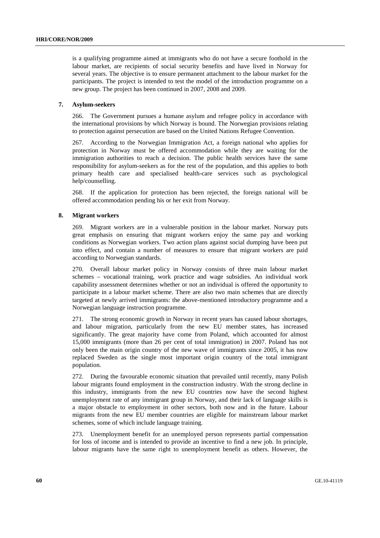is a qualifying programme aimed at immigrants who do not have a secure foothold in the labour market, are recipients of social security benefits and have lived in Norway for several years. The objective is to ensure permanent attachment to the labour market for the participants. The project is intended to test the model of the introduction programme on a new group. The project has been continued in 2007, 2008 and 2009.

#### **7. Asylum-seekers**

266. The Government pursues a humane asylum and refugee policy in accordance with the international provisions by which Norway is bound. The Norwegian provisions relating to protection against persecution are based on the United Nations Refugee Convention.

267. According to the Norwegian Immigration Act, a foreign national who applies for protection in Norway must be offered accommodation while they are waiting for the immigration authorities to reach a decision. The public health services have the same responsibility for asylum-seekers as for the rest of the population, and this applies to both primary health care and specialised health-care services such as psychological help/counselling.

268. If the application for protection has been rejected, the foreign national will be offered accommodation pending his or her exit from Norway.

#### **8. Migrant workers**

269. Migrant workers are in a vulnerable position in the labour market. Norway puts great emphasis on ensuring that migrant workers enjoy the same pay and working conditions as Norwegian workers. Two action plans against social dumping have been put into effect, and contain a number of measures to ensure that migrant workers are paid according to Norwegian standards.

270. Overall labour market policy in Norway consists of three main labour market schemes – vocational training, work practice and wage subsidies. An individual work capability assessment determines whether or not an individual is offered the opportunity to participate in a labour market scheme. There are also two main schemes that are directly targeted at newly arrived immigrants: the above-mentioned introductory programme and a Norwegian language instruction programme.

271. The strong economic growth in Norway in recent years has caused labour shortages, and labour migration, particularly from the new EU member states, has increased significantly. The great majority have come from Poland, which accounted for almost 15,000 immigrants (more than 26 per cent of total immigration) in 2007. Poland has not only been the main origin country of the new wave of immigrants since 2005, it has now replaced Sweden as the single most important origin country of the total immigrant population.

272. During the favourable economic situation that prevailed until recently, many Polish labour migrants found employment in the construction industry. With the strong decline in this industry, immigrants from the new EU countries now have the second highest unemployment rate of any immigrant group in Norway, and their lack of language skills is a major obstacle to employment in other sectors, both now and in the future. Labour migrants from the new EU member countries are eligible for mainstream labour market schemes, some of which include language training.

273. Unemployment benefit for an unemployed person represents partial compensation for loss of income and is intended to provide an incentive to find a new job. In principle, labour migrants have the same right to unemployment benefit as others. However, the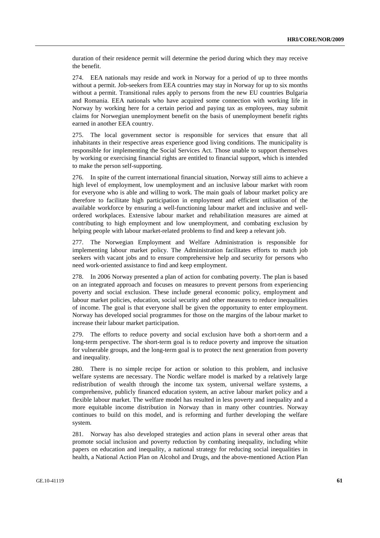duration of their residence permit will determine the period during which they may receive the benefit.

274. EEA nationals may reside and work in Norway for a period of up to three months without a permit. Job-seekers from EEA countries may stay in Norway for up to six months without a permit. Transitional rules apply to persons from the new EU countries Bulgaria and Romania. EEA nationals who have acquired some connection with working life in Norway by working here for a certain period and paying tax as employees, may submit claims for Norwegian unemployment benefit on the basis of unemployment benefit rights earned in another EEA country.

275. The local government sector is responsible for services that ensure that all inhabitants in their respective areas experience good living conditions. The municipality is responsible for implementing the Social Services Act. Those unable to support themselves by working or exercising financial rights are entitled to financial support, which is intended to make the person self-supporting.

276. In spite of the current international financial situation, Norway still aims to achieve a high level of employment, low unemployment and an inclusive labour market with room for everyone who is able and willing to work. The main goals of labour market policy are therefore to facilitate high participation in employment and efficient utilisation of the available workforce by ensuring a well-functioning labour market and inclusive and wellordered workplaces. Extensive labour market and rehabilitation measures are aimed at contributing to high employment and low unemployment, and combating exclusion by helping people with labour market-related problems to find and keep a relevant job.

277. The Norwegian Employment and Welfare Administration is responsible for implementing labour market policy. The Administration facilitates efforts to match job seekers with vacant jobs and to ensure comprehensive help and security for persons who need work-oriented assistance to find and keep employment.

278. In 2006 Norway presented a plan of action for combating poverty. The plan is based on an integrated approach and focuses on measures to prevent persons from experiencing poverty and social exclusion. These include general economic policy, employment and labour market policies, education, social security and other measures to reduce inequalities of income. The goal is that everyone shall be given the opportunity to enter employment. Norway has developed social programmes for those on the margins of the labour market to increase their labour market participation.

279. The efforts to reduce poverty and social exclusion have both a short-term and a long-term perspective. The short-term goal is to reduce poverty and improve the situation for vulnerable groups, and the long-term goal is to protect the next generation from poverty and inequality.

280. There is no simple recipe for action or solution to this problem, and inclusive welfare systems are necessary. The Nordic welfare model is marked by a relatively large redistribution of wealth through the income tax system, universal welfare systems, a comprehensive, publicly financed education system, an active labour market policy and a flexible labour market. The welfare model has resulted in less poverty and inequality and a more equitable income distribution in Norway than in many other countries. Norway continues to build on this model, and is reforming and further developing the welfare system.

281. Norway has also developed strategies and action plans in several other areas that promote social inclusion and poverty reduction by combating inequality, including white papers on education and inequality, a national strategy for reducing social inequalities in health, a National Action Plan on Alcohol and Drugs, and the above-mentioned Action Plan